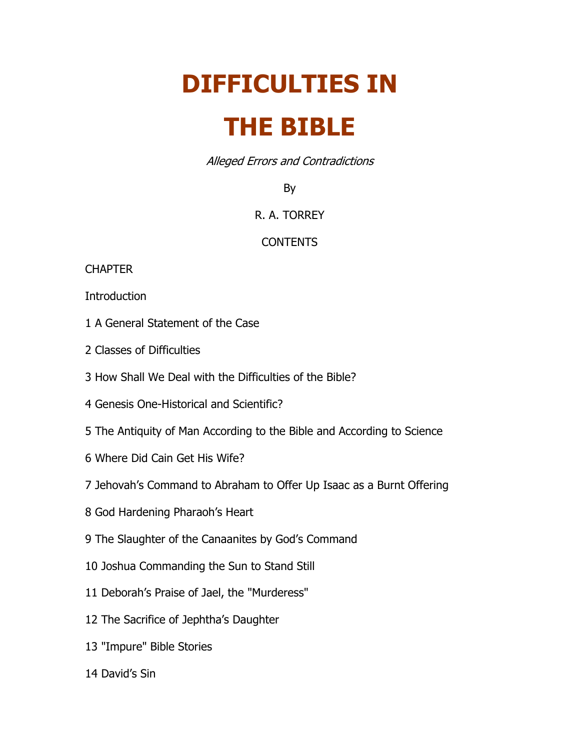# DIFFICULTIES IN

# THE BIBLE

Alleged Errors and Contradictions

By

## R. A. TORREY

## **CONTENTS**

**CHAPTER** 

**Introduction** 

- 1 A General Statement of the Case
- 2 Classes of Difficulties
- 3 How Shall We Deal with the Difficulties of the Bible?
- 4 Genesis One-Historical and Scientific?
- 5 The Antiquity of Man According to the Bible and According to Science
- 6 Where Did Cain Get His Wife?
- 7 Jehovah's Command to Abraham to Offer Up Isaac as a Burnt Offering
- 8 God Hardening Pharaoh's Heart
- 9 The Slaughter of the Canaanites by God's Command
- 10 Joshua Commanding the Sun to Stand Still
- 11 Deborah's Praise of Jael, the "Murderess"
- 12 The Sacrifice of Jephtha's Daughter
- 13 "Impure" Bible Stories
- 14 David's Sin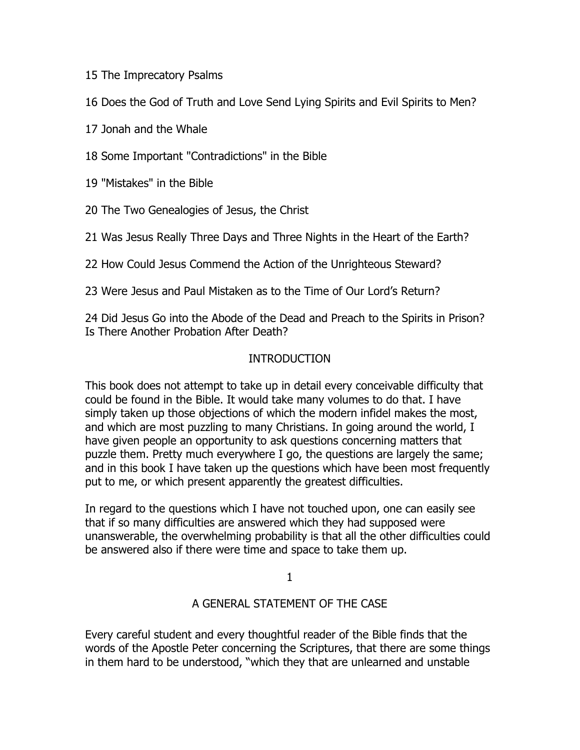15 The Imprecatory Psalms

16 Does the God of Truth and Love Send Lying Spirits and Evil Spirits to Men?

17 Jonah and the Whale

18 Some Important "Contradictions" in the Bible

19 "Mistakes" in the Bible

20 The Two Genealogies of Jesus, the Christ

21 Was Jesus Really Three Days and Three Nights in the Heart of the Earth?

22 How Could Jesus Commend the Action of the Unrighteous Steward?

23 Were Jesus and Paul Mistaken as to the Time of Our Lord's Return?

24 Did Jesus Go into the Abode of the Dead and Preach to the Spirits in Prison? Is There Another Probation After Death?

## **INTRODUCTION**

This book does not attempt to take up in detail every conceivable difficulty that could be found in the Bible. It would take many volumes to do that. I have simply taken up those objections of which the modern infidel makes the most, and which are most puzzling to many Christians. In going around the world, I have given people an opportunity to ask questions concerning matters that puzzle them. Pretty much everywhere I go, the questions are largely the same; and in this book I have taken up the questions which have been most frequently put to me, or which present apparently the greatest difficulties.

In regard to the questions which I have not touched upon, one can easily see that if so many difficulties are answered which they had supposed were unanswerable, the overwhelming probability is that all the other difficulties could be answered also if there were time and space to take them up.

1

## A GENERAL STATEMENT OF THE CASE

Every careful student and every thoughtful reader of the Bible finds that the words of the Apostle Peter concerning the Scriptures, that there are some things in them hard to be understood, "which they that are unlearned and unstable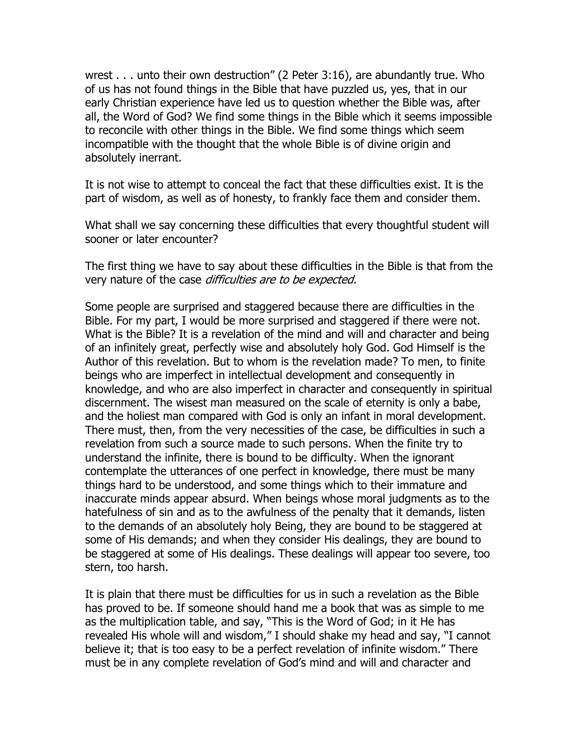wrest . . . unto their own destruction" (2 Peter 3:16), are abundantly true. Who of us has not found things in the Bible that have puzzled us, yes, that in our early Christian experience have led us to question whether the Bible was, after all, the Word of God? We find some things in the Bible which it seems impossible to reconcile with other things in the Bible. We find some things which seem incompatible with the thought that the whole Bible is of divine origin and absolutely inerrant.

It is not wise to attempt to conceal the fact that these difficulties exist. It is the part of wisdom, as well as of honesty, to frankly face them and consider them.

What shall we say concerning these difficulties that every thoughtful student will sooner or later encounter?

The first thing we have to say about these difficulties in the Bible is that from the very nature of the case *difficulties are to be expected.* 

Some people are surprised and staggered because there are difficulties in the Bible. For my part, I would be more surprised and staggered if there were not. What is the Bible? It is a revelation of the mind and will and character and being of an infinitely great, perfectly wise and absolutely holy God. God Himself is the Author of this revelation. But to whom is the revelation made? To men, to finite beings who are imperfect in intellectual development and consequently in knowledge, and who are also imperfect in character and consequently in spiritual discernment. The wisest man measured on the scale of eternity is only a babe, and the holiest man compared with God is only an infant in moral development. There must, then, from the very necessities of the case, be difficulties in such a revelation from such a source made to such persons. When the finite try to understand the infinite, there is bound to be difficulty. When the ignorant contemplate the utterances of one perfect in knowledge, there must be many things hard to be understood, and some things which to their immature and inaccurate minds appear absurd. When beings whose moral judgments as to the hatefulness of sin and as to the awfulness of the penalty that it demands, listen to the demands of an absolutely holy Being, they are bound to be staggered at some of His demands; and when they consider His dealings, they are bound to be staggered at some of His dealings. These dealings will appear too severe, too stern, too harsh.

It is plain that there must be difficulties for us in such a revelation as the Bible has proved to be. If someone should hand me a book that was as simple to me as the multiplication table, and say, "This is the Word of God; in it He has revealed His whole will and wisdom," I should shake my head and say, "I cannot believe it; that is too easy to be a perfect revelation of infinite wisdom." There must be in any complete revelation of God's mind and will and character and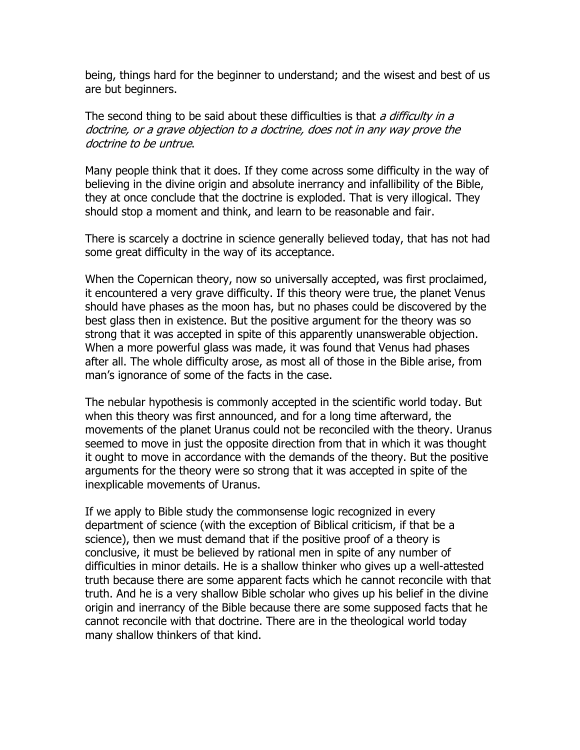being, things hard for the beginner to understand; and the wisest and best of us are but beginners.

The second thing to be said about these difficulties is that  $\alpha$  difficulty in  $\alpha$ doctrine, or a grave objection to a doctrine, does not in any way prove the doctrine to be untrue.

Many people think that it does. If they come across some difficulty in the way of believing in the divine origin and absolute inerrancy and infallibility of the Bible, they at once conclude that the doctrine is exploded. That is very illogical. They should stop a moment and think, and learn to be reasonable and fair.

There is scarcely a doctrine in science generally believed today, that has not had some great difficulty in the way of its acceptance.

When the Copernican theory, now so universally accepted, was first proclaimed, it encountered a very grave difficulty. If this theory were true, the planet Venus should have phases as the moon has, but no phases could be discovered by the best glass then in existence. But the positive argument for the theory was so strong that it was accepted in spite of this apparently unanswerable objection. When a more powerful glass was made, it was found that Venus had phases after all. The whole difficulty arose, as most all of those in the Bible arise, from man's ignorance of some of the facts in the case.

The nebular hypothesis is commonly accepted in the scientific world today. But when this theory was first announced, and for a long time afterward, the movements of the planet Uranus could not be reconciled with the theory. Uranus seemed to move in just the opposite direction from that in which it was thought it ought to move in accordance with the demands of the theory. But the positive arguments for the theory were so strong that it was accepted in spite of the inexplicable movements of Uranus.

If we apply to Bible study the commonsense logic recognized in every department of science (with the exception of Biblical criticism, if that be a science), then we must demand that if the positive proof of a theory is conclusive, it must be believed by rational men in spite of any number of difficulties in minor details. He is a shallow thinker who gives up a well-attested truth because there are some apparent facts which he cannot reconcile with that truth. And he is a very shallow Bible scholar who gives up his belief in the divine origin and inerrancy of the Bible because there are some supposed facts that he cannot reconcile with that doctrine. There are in the theological world today many shallow thinkers of that kind.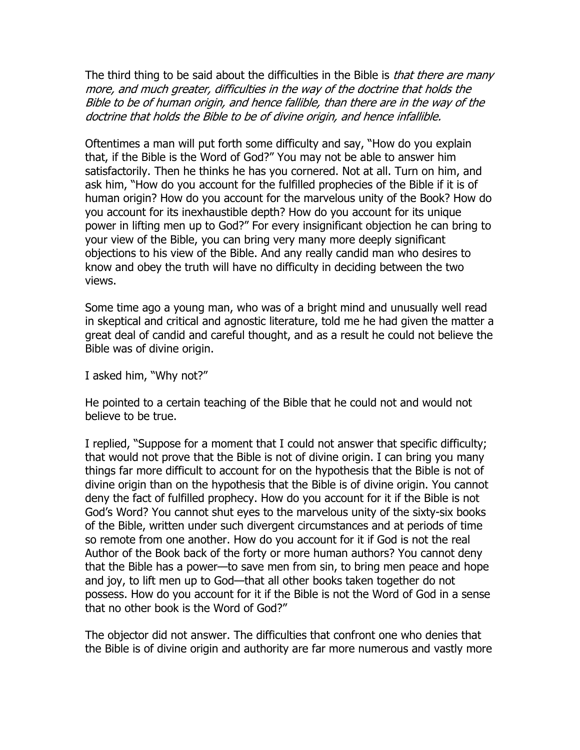The third thing to be said about the difficulties in the Bible is *that there are many* more, and much greater, difficulties in the way of the doctrine that holds the Bible to be of human origin, and hence fallible, than there are in the way of the doctrine that holds the Bible to be of divine origin, and hence infallible.

Oftentimes a man will put forth some difficulty and say, "How do you explain that, if the Bible is the Word of God?" You may not be able to answer him satisfactorily. Then he thinks he has you cornered. Not at all. Turn on him, and ask him, "How do you account for the fulfilled prophecies of the Bible if it is of human origin? How do you account for the marvelous unity of the Book? How do you account for its inexhaustible depth? How do you account for its unique power in lifting men up to God?" For every insignificant objection he can bring to your view of the Bible, you can bring very many more deeply significant objections to his view of the Bible. And any really candid man who desires to know and obey the truth will have no difficulty in deciding between the two views.

Some time ago a young man, who was of a bright mind and unusually well read in skeptical and critical and agnostic literature, told me he had given the matter a great deal of candid and careful thought, and as a result he could not believe the Bible was of divine origin.

I asked him, "Why not?"

He pointed to a certain teaching of the Bible that he could not and would not believe to be true.

I replied, "Suppose for a moment that I could not answer that specific difficulty; that would not prove that the Bible is not of divine origin. I can bring you many things far more difficult to account for on the hypothesis that the Bible is not of divine origin than on the hypothesis that the Bible is of divine origin. You cannot deny the fact of fulfilled prophecy. How do you account for it if the Bible is not God's Word? You cannot shut eyes to the marvelous unity of the sixty-six books of the Bible, written under such divergent circumstances and at periods of time so remote from one another. How do you account for it if God is not the real Author of the Book back of the forty or more human authors? You cannot deny that the Bible has a power—to save men from sin, to bring men peace and hope and joy, to lift men up to God—that all other books taken together do not possess. How do you account for it if the Bible is not the Word of God in a sense that no other book is the Word of God?"

The objector did not answer. The difficulties that confront one who denies that the Bible is of divine origin and authority are far more numerous and vastly more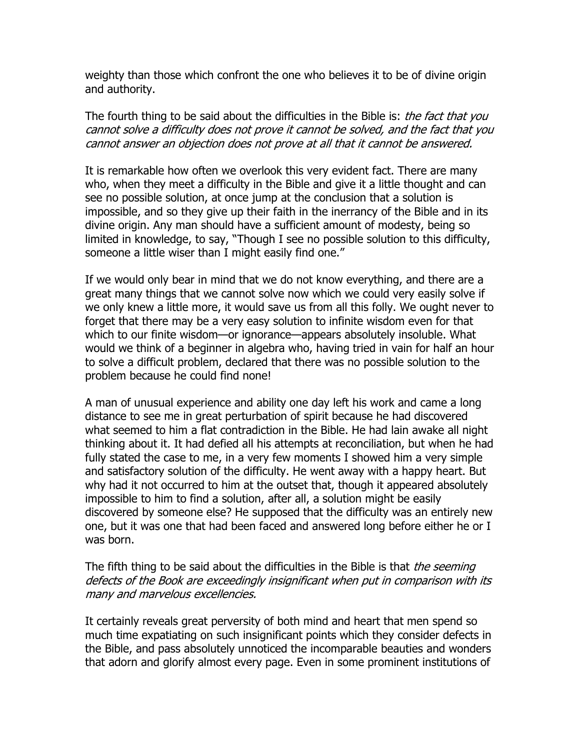weighty than those which confront the one who believes it to be of divine origin and authority.

The fourth thing to be said about the difficulties in the Bible is: the fact that you cannot solve a difficulty does not prove it cannot be solved, and the fact that you cannot answer an objection does not prove at all that it cannot be answered.

It is remarkable how often we overlook this very evident fact. There are many who, when they meet a difficulty in the Bible and give it a little thought and can see no possible solution, at once jump at the conclusion that a solution is impossible, and so they give up their faith in the inerrancy of the Bible and in its divine origin. Any man should have a sufficient amount of modesty, being so limited in knowledge, to say, "Though I see no possible solution to this difficulty, someone a little wiser than I might easily find one."

If we would only bear in mind that we do not know everything, and there are a great many things that we cannot solve now which we could very easily solve if we only knew a little more, it would save us from all this folly. We ought never to forget that there may be a very easy solution to infinite wisdom even for that which to our finite wisdom—or ignorance—appears absolutely insoluble. What would we think of a beginner in algebra who, having tried in vain for half an hour to solve a difficult problem, declared that there was no possible solution to the problem because he could find none!

A man of unusual experience and ability one day left his work and came a long distance to see me in great perturbation of spirit because he had discovered what seemed to him a flat contradiction in the Bible. He had lain awake all night thinking about it. It had defied all his attempts at reconciliation, but when he had fully stated the case to me, in a very few moments I showed him a very simple and satisfactory solution of the difficulty. He went away with a happy heart. But why had it not occurred to him at the outset that, though it appeared absolutely impossible to him to find a solution, after all, a solution might be easily discovered by someone else? He supposed that the difficulty was an entirely new one, but it was one that had been faced and answered long before either he or I was born.

The fifth thing to be said about the difficulties in the Bible is that *the seeming* defects of the Book are exceedingly insignificant when put in comparison with its many and marvelous excellencies.

It certainly reveals great perversity of both mind and heart that men spend so much time expatiating on such insignificant points which they consider defects in the Bible, and pass absolutely unnoticed the incomparable beauties and wonders that adorn and glorify almost every page. Even in some prominent institutions of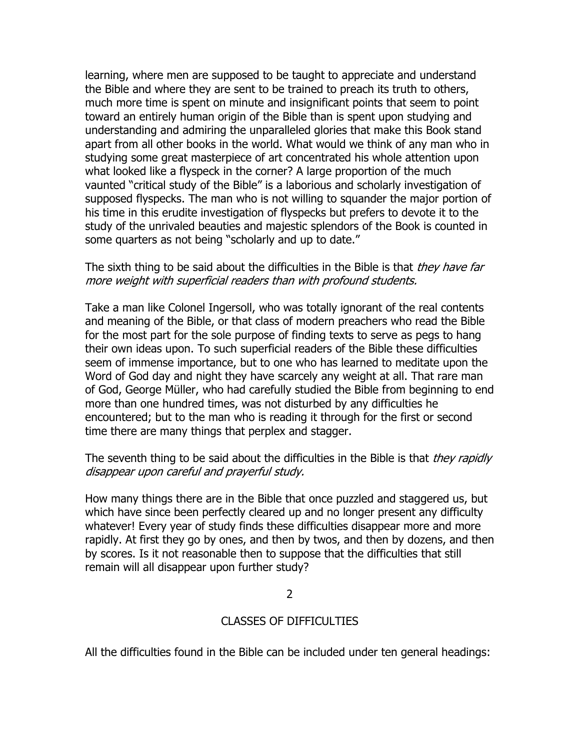learning, where men are supposed to be taught to appreciate and understand the Bible and where they are sent to be trained to preach its truth to others, much more time is spent on minute and insignificant points that seem to point toward an entirely human origin of the Bible than is spent upon studying and understanding and admiring the unparalleled glories that make this Book stand apart from all other books in the world. What would we think of any man who in studying some great masterpiece of art concentrated his whole attention upon what looked like a flyspeck in the corner? A large proportion of the much vaunted "critical study of the Bible" is a laborious and scholarly investigation of supposed flyspecks. The man who is not willing to squander the major portion of his time in this erudite investigation of flyspecks but prefers to devote it to the study of the unrivaled beauties and majestic splendors of the Book is counted in some quarters as not being "scholarly and up to date."

### The sixth thing to be said about the difficulties in the Bible is that *they have far* more weight with superficial readers than with profound students.

Take a man like Colonel Ingersoll, who was totally ignorant of the real contents and meaning of the Bible, or that class of modern preachers who read the Bible for the most part for the sole purpose of finding texts to serve as pegs to hang their own ideas upon. To such superficial readers of the Bible these difficulties seem of immense importance, but to one who has learned to meditate upon the Word of God day and night they have scarcely any weight at all. That rare man of God, George Müller, who had carefully studied the Bible from beginning to end more than one hundred times, was not disturbed by any difficulties he encountered; but to the man who is reading it through for the first or second time there are many things that perplex and stagger.

The seventh thing to be said about the difficulties in the Bible is that *they rapidly* disappear upon careful and prayerful study.

How many things there are in the Bible that once puzzled and staggered us, but which have since been perfectly cleared up and no longer present any difficulty whatever! Every year of study finds these difficulties disappear more and more rapidly. At first they go by ones, and then by twos, and then by dozens, and then by scores. Is it not reasonable then to suppose that the difficulties that still remain will all disappear upon further study?

2

## CLASSES OF DIFFICULTIES

All the difficulties found in the Bible can be included under ten general headings: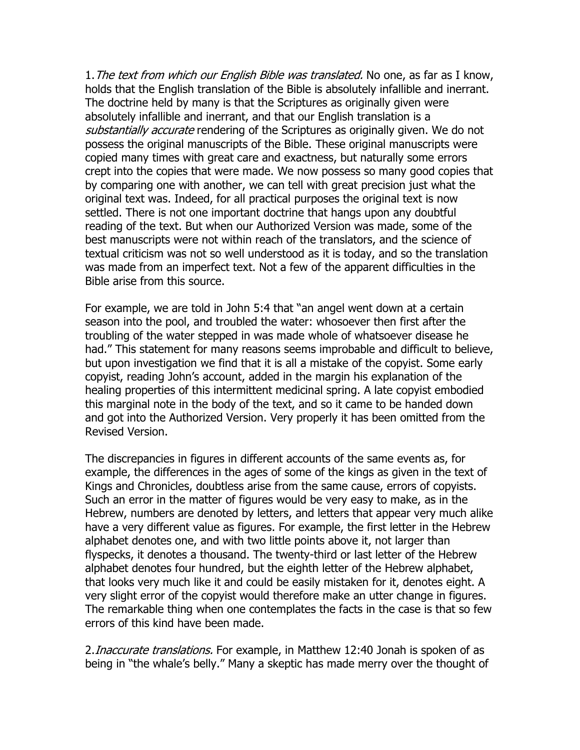1. The text from which our English Bible was translated. No one, as far as I know, holds that the English translation of the Bible is absolutely infallible and inerrant. The doctrine held by many is that the Scriptures as originally given were absolutely infallible and inerrant, and that our English translation is a substantially accurate rendering of the Scriptures as originally given. We do not possess the original manuscripts of the Bible. These original manuscripts were copied many times with great care and exactness, but naturally some errors crept into the copies that were made. We now possess so many good copies that by comparing one with another, we can tell with great precision just what the original text was. Indeed, for all practical purposes the original text is now settled. There is not one important doctrine that hangs upon any doubtful reading of the text. But when our Authorized Version was made, some of the best manuscripts were not within reach of the translators, and the science of textual criticism was not so well understood as it is today, and so the translation was made from an imperfect text. Not a few of the apparent difficulties in the Bible arise from this source.

For example, we are told in John 5:4 that "an angel went down at a certain season into the pool, and troubled the water: whosoever then first after the troubling of the water stepped in was made whole of whatsoever disease he had." This statement for many reasons seems improbable and difficult to believe, but upon investigation we find that it is all a mistake of the copyist. Some early copyist, reading John's account, added in the margin his explanation of the healing properties of this intermittent medicinal spring. A late copyist embodied this marginal note in the body of the text, and so it came to be handed down and got into the Authorized Version. Very properly it has been omitted from the Revised Version.

The discrepancies in figures in different accounts of the same events as, for example, the differences in the ages of some of the kings as given in the text of Kings and Chronicles, doubtless arise from the same cause, errors of copyists. Such an error in the matter of figures would be very easy to make, as in the Hebrew, numbers are denoted by letters, and letters that appear very much alike have a very different value as figures. For example, the first letter in the Hebrew alphabet denotes one, and with two little points above it, not larger than flyspecks, it denotes a thousand. The twenty-third or last letter of the Hebrew alphabet denotes four hundred, but the eighth letter of the Hebrew alphabet, that looks very much like it and could be easily mistaken for it, denotes eight. A very slight error of the copyist would therefore make an utter change in figures. The remarkable thing when one contemplates the facts in the case is that so few errors of this kind have been made.

2. Inaccurate translations. For example, in Matthew 12:40 Jonah is spoken of as being in "the whale's belly." Many a skeptic has made merry over the thought of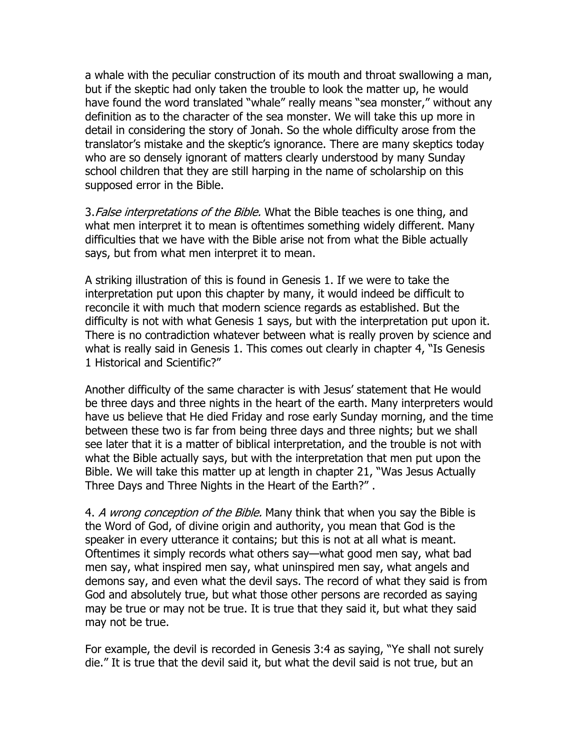a whale with the peculiar construction of its mouth and throat swallowing a man, but if the skeptic had only taken the trouble to look the matter up, he would have found the word translated "whale" really means "sea monster," without any definition as to the character of the sea monster. We will take this up more in detail in considering the story of Jonah. So the whole difficulty arose from the translator's mistake and the skeptic's ignorance. There are many skeptics today who are so densely ignorant of matters clearly understood by many Sunday school children that they are still harping in the name of scholarship on this supposed error in the Bible.

3. False interpretations of the Bible. What the Bible teaches is one thing, and what men interpret it to mean is oftentimes something widely different. Many difficulties that we have with the Bible arise not from what the Bible actually says, but from what men interpret it to mean.

A striking illustration of this is found in Genesis 1. If we were to take the interpretation put upon this chapter by many, it would indeed be difficult to reconcile it with much that modern science regards as established. But the difficulty is not with what Genesis 1 says, but with the interpretation put upon it. There is no contradiction whatever between what is really proven by science and what is really said in Genesis 1. This comes out clearly in chapter 4, "Is Genesis 1 Historical and Scientific?"

Another difficulty of the same character is with Jesus' statement that He would be three days and three nights in the heart of the earth. Many interpreters would have us believe that He died Friday and rose early Sunday morning, and the time between these two is far from being three days and three nights; but we shall see later that it is a matter of biblical interpretation, and the trouble is not with what the Bible actually says, but with the interpretation that men put upon the Bible. We will take this matter up at length in chapter 21, "Was Jesus Actually Three Days and Three Nights in the Heart of the Earth?" .

4. A wrong conception of the Bible. Many think that when you say the Bible is the Word of God, of divine origin and authority, you mean that God is the speaker in every utterance it contains; but this is not at all what is meant. Oftentimes it simply records what others say—what good men say, what bad men say, what inspired men say, what uninspired men say, what angels and demons say, and even what the devil says. The record of what they said is from God and absolutely true, but what those other persons are recorded as saying may be true or may not be true. It is true that they said it, but what they said may not be true.

For example, the devil is recorded in Genesis 3:4 as saying, "Ye shall not surely die." It is true that the devil said it, but what the devil said is not true, but an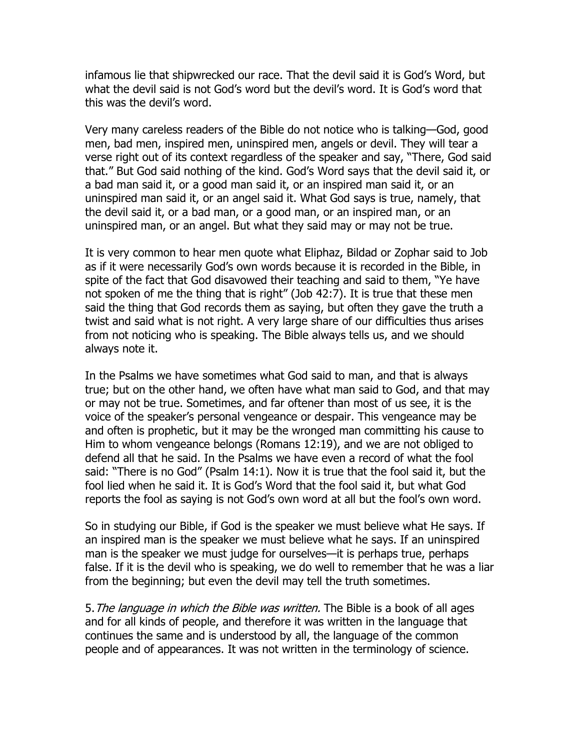infamous lie that shipwrecked our race. That the devil said it is God's Word, but what the devil said is not God's word but the devil's word. It is God's word that this was the devil's word.

Very many careless readers of the Bible do not notice who is talking—God, good men, bad men, inspired men, uninspired men, angels or devil. They will tear a verse right out of its context regardless of the speaker and say, "There, God said that." But God said nothing of the kind. God's Word says that the devil said it, or a bad man said it, or a good man said it, or an inspired man said it, or an uninspired man said it, or an angel said it. What God says is true, namely, that the devil said it, or a bad man, or a good man, or an inspired man, or an uninspired man, or an angel. But what they said may or may not be true.

It is very common to hear men quote what Eliphaz, Bildad or Zophar said to Job as if it were necessarily God's own words because it is recorded in the Bible, in spite of the fact that God disavowed their teaching and said to them, "Ye have not spoken of me the thing that is right" (Job 42:7). It is true that these men said the thing that God records them as saying, but often they gave the truth a twist and said what is not right. A very large share of our difficulties thus arises from not noticing who is speaking. The Bible always tells us, and we should always note it.

In the Psalms we have sometimes what God said to man, and that is always true; but on the other hand, we often have what man said to God, and that may or may not be true. Sometimes, and far oftener than most of us see, it is the voice of the speaker's personal vengeance or despair. This vengeance may be and often is prophetic, but it may be the wronged man committing his cause to Him to whom vengeance belongs (Romans 12:19), and we are not obliged to defend all that he said. In the Psalms we have even a record of what the fool said: "There is no God" (Psalm 14:1). Now it is true that the fool said it, but the fool lied when he said it. It is God's Word that the fool said it, but what God reports the fool as saying is not God's own word at all but the fool's own word.

So in studying our Bible, if God is the speaker we must believe what He says. If an inspired man is the speaker we must believe what he says. If an uninspired man is the speaker we must judge for ourselves—it is perhaps true, perhaps false. If it is the devil who is speaking, we do well to remember that he was a liar from the beginning; but even the devil may tell the truth sometimes.

5. The language in which the Bible was written. The Bible is a book of all ages and for all kinds of people, and therefore it was written in the language that continues the same and is understood by all, the language of the common people and of appearances. It was not written in the terminology of science.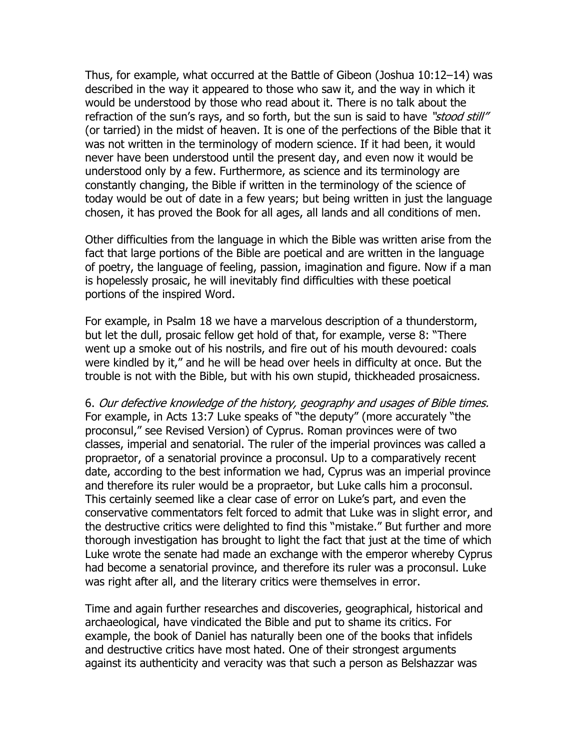Thus, for example, what occurred at the Battle of Gibeon (Joshua 10:12–14) was described in the way it appeared to those who saw it, and the way in which it would be understood by those who read about it. There is no talk about the refraction of the sun's rays, and so forth, but the sun is said to have "stood still" (or tarried) in the midst of heaven. It is one of the perfections of the Bible that it was not written in the terminology of modern science. If it had been, it would never have been understood until the present day, and even now it would be understood only by a few. Furthermore, as science and its terminology are constantly changing, the Bible if written in the terminology of the science of today would be out of date in a few years; but being written in just the language chosen, it has proved the Book for all ages, all lands and all conditions of men.

Other difficulties from the language in which the Bible was written arise from the fact that large portions of the Bible are poetical and are written in the language of poetry, the language of feeling, passion, imagination and figure. Now if a man is hopelessly prosaic, he will inevitably find difficulties with these poetical portions of the inspired Word.

For example, in Psalm 18 we have a marvelous description of a thunderstorm, but let the dull, prosaic fellow get hold of that, for example, verse 8: "There went up a smoke out of his nostrils, and fire out of his mouth devoured: coals were kindled by it," and he will be head over heels in difficulty at once. But the trouble is not with the Bible, but with his own stupid, thickheaded prosaicness.

6. Our defective knowledge of the history, geography and usages of Bible times. For example, in Acts 13:7 Luke speaks of "the deputy" (more accurately "the proconsul," see Revised Version) of Cyprus. Roman provinces were of two classes, imperial and senatorial. The ruler of the imperial provinces was called a propraetor, of a senatorial province a proconsul. Up to a comparatively recent date, according to the best information we had, Cyprus was an imperial province and therefore its ruler would be a propraetor, but Luke calls him a proconsul. This certainly seemed like a clear case of error on Luke's part, and even the conservative commentators felt forced to admit that Luke was in slight error, and the destructive critics were delighted to find this "mistake." But further and more thorough investigation has brought to light the fact that just at the time of which Luke wrote the senate had made an exchange with the emperor whereby Cyprus had become a senatorial province, and therefore its ruler was a proconsul. Luke was right after all, and the literary critics were themselves in error.

Time and again further researches and discoveries, geographical, historical and archaeological, have vindicated the Bible and put to shame its critics. For example, the book of Daniel has naturally been one of the books that infidels and destructive critics have most hated. One of their strongest arguments against its authenticity and veracity was that such a person as Belshazzar was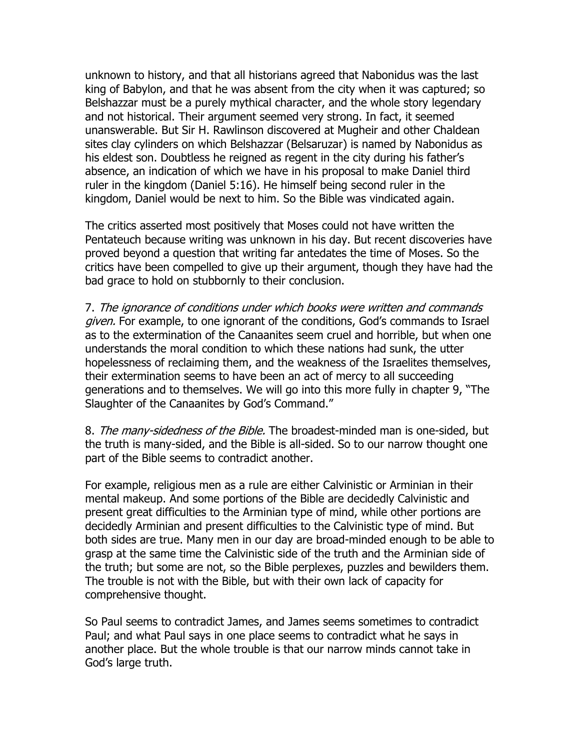unknown to history, and that all historians agreed that Nabonidus was the last king of Babylon, and that he was absent from the city when it was captured; so Belshazzar must be a purely mythical character, and the whole story legendary and not historical. Their argument seemed very strong. In fact, it seemed unanswerable. But Sir H. Rawlinson discovered at Mugheir and other Chaldean sites clay cylinders on which Belshazzar (Belsaruzar) is named by Nabonidus as his eldest son. Doubtless he reigned as regent in the city during his father's absence, an indication of which we have in his proposal to make Daniel third ruler in the kingdom (Daniel 5:16). He himself being second ruler in the kingdom, Daniel would be next to him. So the Bible was vindicated again.

The critics asserted most positively that Moses could not have written the Pentateuch because writing was unknown in his day. But recent discoveries have proved beyond a question that writing far antedates the time of Moses. So the critics have been compelled to give up their argument, though they have had the bad grace to hold on stubbornly to their conclusion.

7. The ignorance of conditions under which books were written and commands given. For example, to one ignorant of the conditions, God's commands to Israel as to the extermination of the Canaanites seem cruel and horrible, but when one understands the moral condition to which these nations had sunk, the utter hopelessness of reclaiming them, and the weakness of the Israelites themselves, their extermination seems to have been an act of mercy to all succeeding generations and to themselves. We will go into this more fully in chapter 9, "The Slaughter of the Canaanites by God's Command."

8. *The many-sidedness of the Bible.* The broadest-minded man is one-sided, but the truth is many-sided, and the Bible is all-sided. So to our narrow thought one part of the Bible seems to contradict another.

For example, religious men as a rule are either Calvinistic or Arminian in their mental makeup. And some portions of the Bible are decidedly Calvinistic and present great difficulties to the Arminian type of mind, while other portions are decidedly Arminian and present difficulties to the Calvinistic type of mind. But both sides are true. Many men in our day are broad-minded enough to be able to grasp at the same time the Calvinistic side of the truth and the Arminian side of the truth; but some are not, so the Bible perplexes, puzzles and bewilders them. The trouble is not with the Bible, but with their own lack of capacity for comprehensive thought.

So Paul seems to contradict James, and James seems sometimes to contradict Paul; and what Paul says in one place seems to contradict what he says in another place. But the whole trouble is that our narrow minds cannot take in God's large truth.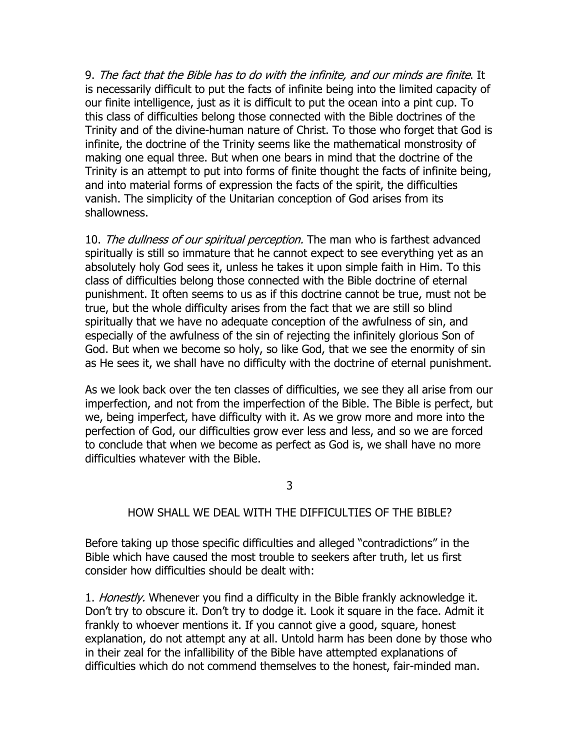9. The fact that the Bible has to do with the infinite, and our minds are finite. It is necessarily difficult to put the facts of infinite being into the limited capacity of our finite intelligence, just as it is difficult to put the ocean into a pint cup. To this class of difficulties belong those connected with the Bible doctrines of the Trinity and of the divine-human nature of Christ. To those who forget that God is infinite, the doctrine of the Trinity seems like the mathematical monstrosity of making one equal three. But when one bears in mind that the doctrine of the Trinity is an attempt to put into forms of finite thought the facts of infinite being, and into material forms of expression the facts of the spirit, the difficulties vanish. The simplicity of the Unitarian conception of God arises from its shallowness.

10. The dullness of our spiritual perception. The man who is farthest advanced spiritually is still so immature that he cannot expect to see everything yet as an absolutely holy God sees it, unless he takes it upon simple faith in Him. To this class of difficulties belong those connected with the Bible doctrine of eternal punishment. It often seems to us as if this doctrine cannot be true, must not be true, but the whole difficulty arises from the fact that we are still so blind spiritually that we have no adequate conception of the awfulness of sin, and especially of the awfulness of the sin of rejecting the infinitely glorious Son of God. But when we become so holy, so like God, that we see the enormity of sin as He sees it, we shall have no difficulty with the doctrine of eternal punishment.

As we look back over the ten classes of difficulties, we see they all arise from our imperfection, and not from the imperfection of the Bible. The Bible is perfect, but we, being imperfect, have difficulty with it. As we grow more and more into the perfection of God, our difficulties grow ever less and less, and so we are forced to conclude that when we become as perfect as God is, we shall have no more difficulties whatever with the Bible.

3

## HOW SHALL WE DEAL WITH THE DIFFICULTIES OF THE BIBLE?

Before taking up those specific difficulties and alleged "contradictions" in the Bible which have caused the most trouble to seekers after truth, let us first consider how difficulties should be dealt with:

1. Honestly. Whenever you find a difficulty in the Bible frankly acknowledge it. Don't try to obscure it. Don't try to dodge it. Look it square in the face. Admit it frankly to whoever mentions it. If you cannot give a good, square, honest explanation, do not attempt any at all. Untold harm has been done by those who in their zeal for the infallibility of the Bible have attempted explanations of difficulties which do not commend themselves to the honest, fair-minded man.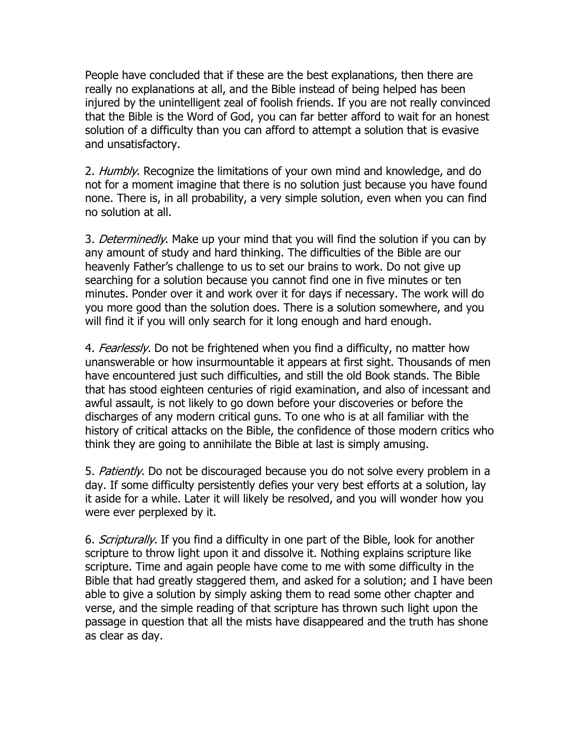People have concluded that if these are the best explanations, then there are really no explanations at all, and the Bible instead of being helped has been injured by the unintelligent zeal of foolish friends. If you are not really convinced that the Bible is the Word of God, you can far better afford to wait for an honest solution of a difficulty than you can afford to attempt a solution that is evasive and unsatisfactory.

2. Humbly. Recognize the limitations of your own mind and knowledge, and do not for a moment imagine that there is no solution just because you have found none. There is, in all probability, a very simple solution, even when you can find no solution at all.

3. Determinedly. Make up your mind that you will find the solution if you can by any amount of study and hard thinking. The difficulties of the Bible are our heavenly Father's challenge to us to set our brains to work. Do not give up searching for a solution because you cannot find one in five minutes or ten minutes. Ponder over it and work over it for days if necessary. The work will do you more good than the solution does. There is a solution somewhere, and you will find it if you will only search for it long enough and hard enough.

4. Fearlessly. Do not be frightened when you find a difficulty, no matter how unanswerable or how insurmountable it appears at first sight. Thousands of men have encountered just such difficulties, and still the old Book stands. The Bible that has stood eighteen centuries of rigid examination, and also of incessant and awful assault, is not likely to go down before your discoveries or before the discharges of any modern critical guns. To one who is at all familiar with the history of critical attacks on the Bible, the confidence of those modern critics who think they are going to annihilate the Bible at last is simply amusing.

5. Patiently. Do not be discouraged because you do not solve every problem in a day. If some difficulty persistently defies your very best efforts at a solution, lay it aside for a while. Later it will likely be resolved, and you will wonder how you were ever perplexed by it.

6. Scripturally. If you find a difficulty in one part of the Bible, look for another scripture to throw light upon it and dissolve it. Nothing explains scripture like scripture. Time and again people have come to me with some difficulty in the Bible that had greatly staggered them, and asked for a solution; and I have been able to give a solution by simply asking them to read some other chapter and verse, and the simple reading of that scripture has thrown such light upon the passage in question that all the mists have disappeared and the truth has shone as clear as day.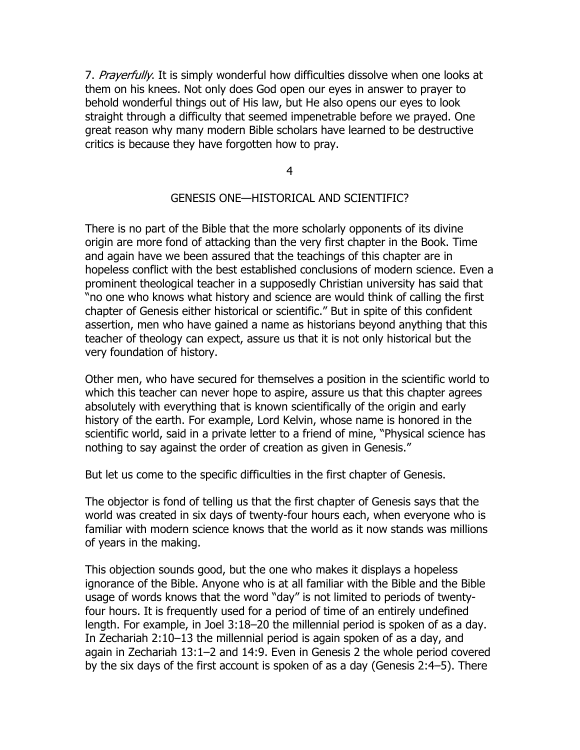7. Prayerfully. It is simply wonderful how difficulties dissolve when one looks at them on his knees. Not only does God open our eyes in answer to prayer to behold wonderful things out of His law, but He also opens our eyes to look straight through a difficulty that seemed impenetrable before we prayed. One great reason why many modern Bible scholars have learned to be destructive critics is because they have forgotten how to pray.

4

## GENESIS ONE—HISTORICAL AND SCIENTIFIC?

There is no part of the Bible that the more scholarly opponents of its divine origin are more fond of attacking than the very first chapter in the Book. Time and again have we been assured that the teachings of this chapter are in hopeless conflict with the best established conclusions of modern science. Even a prominent theological teacher in a supposedly Christian university has said that "no one who knows what history and science are would think of calling the first chapter of Genesis either historical or scientific." But in spite of this confident assertion, men who have gained a name as historians beyond anything that this teacher of theology can expect, assure us that it is not only historical but the very foundation of history.

Other men, who have secured for themselves a position in the scientific world to which this teacher can never hope to aspire, assure us that this chapter agrees absolutely with everything that is known scientifically of the origin and early history of the earth. For example, Lord Kelvin, whose name is honored in the scientific world, said in a private letter to a friend of mine, "Physical science has nothing to say against the order of creation as given in Genesis."

But let us come to the specific difficulties in the first chapter of Genesis.

The objector is fond of telling us that the first chapter of Genesis says that the world was created in six days of twenty-four hours each, when everyone who is familiar with modern science knows that the world as it now stands was millions of years in the making.

This objection sounds good, but the one who makes it displays a hopeless ignorance of the Bible. Anyone who is at all familiar with the Bible and the Bible usage of words knows that the word "day" is not limited to periods of twentyfour hours. It is frequently used for a period of time of an entirely undefined length. For example, in Joel 3:18–20 the millennial period is spoken of as a day. In Zechariah 2:10–13 the millennial period is again spoken of as a day, and again in Zechariah 13:1–2 and 14:9. Even in Genesis 2 the whole period covered by the six days of the first account is spoken of as a day (Genesis 2:4–5). There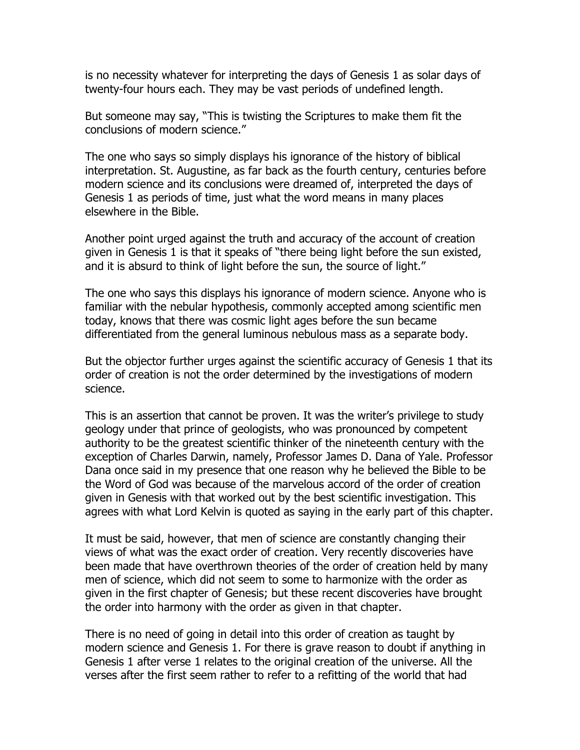is no necessity whatever for interpreting the days of Genesis 1 as solar days of twenty-four hours each. They may be vast periods of undefined length.

But someone may say, "This is twisting the Scriptures to make them fit the conclusions of modern science."

The one who says so simply displays his ignorance of the history of biblical interpretation. St. Augustine, as far back as the fourth century, centuries before modern science and its conclusions were dreamed of, interpreted the days of Genesis 1 as periods of time, just what the word means in many places elsewhere in the Bible.

Another point urged against the truth and accuracy of the account of creation given in Genesis 1 is that it speaks of "there being light before the sun existed, and it is absurd to think of light before the sun, the source of light."

The one who says this displays his ignorance of modern science. Anyone who is familiar with the nebular hypothesis, commonly accepted among scientific men today, knows that there was cosmic light ages before the sun became differentiated from the general luminous nebulous mass as a separate body.

But the objector further urges against the scientific accuracy of Genesis 1 that its order of creation is not the order determined by the investigations of modern science.

This is an assertion that cannot be proven. It was the writer's privilege to study geology under that prince of geologists, who was pronounced by competent authority to be the greatest scientific thinker of the nineteenth century with the exception of Charles Darwin, namely, Professor James D. Dana of Yale. Professor Dana once said in my presence that one reason why he believed the Bible to be the Word of God was because of the marvelous accord of the order of creation given in Genesis with that worked out by the best scientific investigation. This agrees with what Lord Kelvin is quoted as saying in the early part of this chapter.

It must be said, however, that men of science are constantly changing their views of what was the exact order of creation. Very recently discoveries have been made that have overthrown theories of the order of creation held by many men of science, which did not seem to some to harmonize with the order as given in the first chapter of Genesis; but these recent discoveries have brought the order into harmony with the order as given in that chapter.

There is no need of going in detail into this order of creation as taught by modern science and Genesis 1. For there is grave reason to doubt if anything in Genesis 1 after verse 1 relates to the original creation of the universe. All the verses after the first seem rather to refer to a refitting of the world that had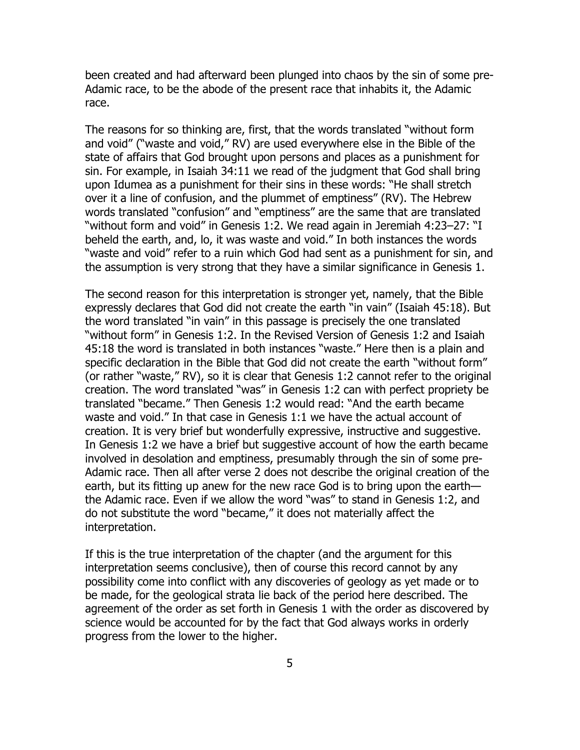been created and had afterward been plunged into chaos by the sin of some pre-Adamic race, to be the abode of the present race that inhabits it, the Adamic race.

The reasons for so thinking are, first, that the words translated "without form and void" ("waste and void," RV) are used everywhere else in the Bible of the state of affairs that God brought upon persons and places as a punishment for sin. For example, in Isaiah 34:11 we read of the judgment that God shall bring upon Idumea as a punishment for their sins in these words: "He shall stretch over it a line of confusion, and the plummet of emptiness" (RV). The Hebrew words translated "confusion" and "emptiness" are the same that are translated "without form and void" in Genesis 1:2. We read again in Jeremiah 4:23–27: "I beheld the earth, and, lo, it was waste and void." In both instances the words "waste and void" refer to a ruin which God had sent as a punishment for sin, and the assumption is very strong that they have a similar significance in Genesis 1.

The second reason for this interpretation is stronger yet, namely, that the Bible expressly declares that God did not create the earth "in vain" (Isaiah 45:18). But the word translated "in vain" in this passage is precisely the one translated "without form" in Genesis 1:2. In the Revised Version of Genesis 1:2 and Isaiah 45:18 the word is translated in both instances "waste." Here then is a plain and specific declaration in the Bible that God did not create the earth "without form" (or rather "waste," RV), so it is clear that Genesis 1:2 cannot refer to the original creation. The word translated "was" in Genesis 1:2 can with perfect propriety be translated "became." Then Genesis 1:2 would read: "And the earth became waste and void." In that case in Genesis 1:1 we have the actual account of creation. It is very brief but wonderfully expressive, instructive and suggestive. In Genesis 1:2 we have a brief but suggestive account of how the earth became involved in desolation and emptiness, presumably through the sin of some pre-Adamic race. Then all after verse 2 does not describe the original creation of the earth, but its fitting up anew for the new race God is to bring upon the earth the Adamic race. Even if we allow the word "was" to stand in Genesis 1:2, and do not substitute the word "became," it does not materially affect the interpretation.

If this is the true interpretation of the chapter (and the argument for this interpretation seems conclusive), then of course this record cannot by any possibility come into conflict with any discoveries of geology as yet made or to be made, for the geological strata lie back of the period here described. The agreement of the order as set forth in Genesis 1 with the order as discovered by science would be accounted for by the fact that God always works in orderly progress from the lower to the higher.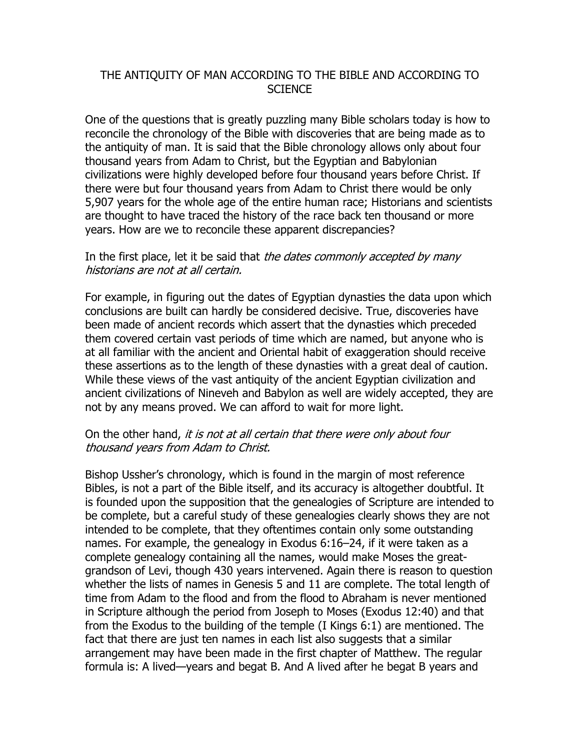## THE ANTIQUITY OF MAN ACCORDING TO THE BIBLE AND ACCORDING TO **SCIENCE**

One of the questions that is greatly puzzling many Bible scholars today is how to reconcile the chronology of the Bible with discoveries that are being made as to the antiquity of man. It is said that the Bible chronology allows only about four thousand years from Adam to Christ, but the Egyptian and Babylonian civilizations were highly developed before four thousand years before Christ. If there were but four thousand years from Adam to Christ there would be only 5,907 years for the whole age of the entire human race; Historians and scientists are thought to have traced the history of the race back ten thousand or more years. How are we to reconcile these apparent discrepancies?

## In the first place, let it be said that the dates commonly accepted by many historians are not at all certain.

For example, in figuring out the dates of Egyptian dynasties the data upon which conclusions are built can hardly be considered decisive. True, discoveries have been made of ancient records which assert that the dynasties which preceded them covered certain vast periods of time which are named, but anyone who is at all familiar with the ancient and Oriental habit of exaggeration should receive these assertions as to the length of these dynasties with a great deal of caution. While these views of the vast antiquity of the ancient Egyptian civilization and ancient civilizations of Nineveh and Babylon as well are widely accepted, they are not by any means proved. We can afford to wait for more light.

## On the other hand, it is not at all certain that there were only about four thousand years from Adam to Christ.

Bishop Ussher's chronology, which is found in the margin of most reference Bibles, is not a part of the Bible itself, and its accuracy is altogether doubtful. It is founded upon the supposition that the genealogies of Scripture are intended to be complete, but a careful study of these genealogies clearly shows they are not intended to be complete, that they oftentimes contain only some outstanding names. For example, the genealogy in Exodus 6:16–24, if it were taken as a complete genealogy containing all the names, would make Moses the greatgrandson of Levi, though 430 years intervened. Again there is reason to question whether the lists of names in Genesis 5 and 11 are complete. The total length of time from Adam to the flood and from the flood to Abraham is never mentioned in Scripture although the period from Joseph to Moses (Exodus 12:40) and that from the Exodus to the building of the temple (I Kings 6:1) are mentioned. The fact that there are just ten names in each list also suggests that a similar arrangement may have been made in the first chapter of Matthew. The regular formula is: A lived—years and begat B. And A lived after he begat B years and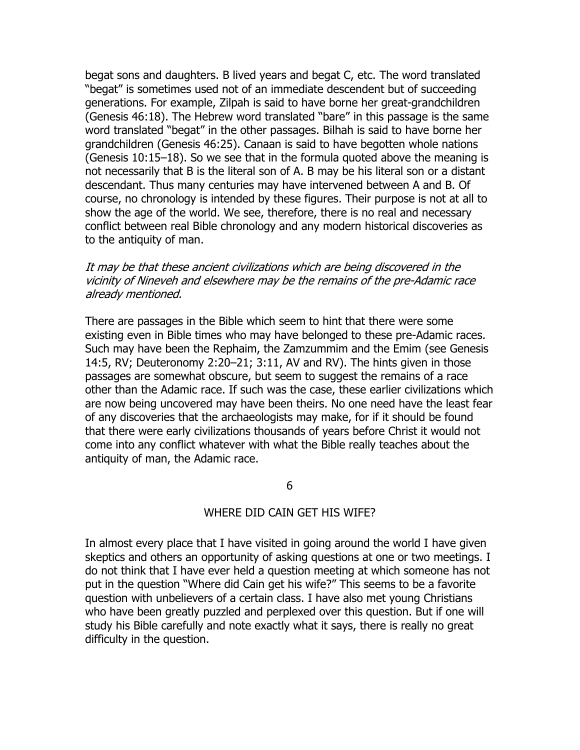begat sons and daughters. B lived years and begat C, etc. The word translated "begat" is sometimes used not of an immediate descendent but of succeeding generations. For example, Zilpah is said to have borne her great-grandchildren (Genesis 46:18). The Hebrew word translated "bare" in this passage is the same word translated "begat" in the other passages. Bilhah is said to have borne her grandchildren (Genesis 46:25). Canaan is said to have begotten whole nations (Genesis 10:15–18). So we see that in the formula quoted above the meaning is not necessarily that B is the literal son of A. B may be his literal son or a distant descendant. Thus many centuries may have intervened between A and B. Of course, no chronology is intended by these figures. Their purpose is not at all to show the age of the world. We see, therefore, there is no real and necessary conflict between real Bible chronology and any modern historical discoveries as to the antiquity of man.

It may be that these ancient civilizations which are being discovered in the vicinity of Nineveh and elsewhere may be the remains of the pre-Adamic race already mentioned.

There are passages in the Bible which seem to hint that there were some existing even in Bible times who may have belonged to these pre-Adamic races. Such may have been the Rephaim, the Zamzummim and the Emim (see Genesis 14:5, RV; Deuteronomy 2:20–21; 3:11, AV and RV). The hints given in those passages are somewhat obscure, but seem to suggest the remains of a race other than the Adamic race. If such was the case, these earlier civilizations which are now being uncovered may have been theirs. No one need have the least fear of any discoveries that the archaeologists may make, for if it should be found that there were early civilizations thousands of years before Christ it would not come into any conflict whatever with what the Bible really teaches about the antiquity of man, the Adamic race.

6

## WHERE DID CAIN GET HIS WIFE?

In almost every place that I have visited in going around the world I have given skeptics and others an opportunity of asking questions at one or two meetings. I do not think that I have ever held a question meeting at which someone has not put in the question "Where did Cain get his wife?" This seems to be a favorite question with unbelievers of a certain class. I have also met young Christians who have been greatly puzzled and perplexed over this question. But if one will study his Bible carefully and note exactly what it says, there is really no great difficulty in the question.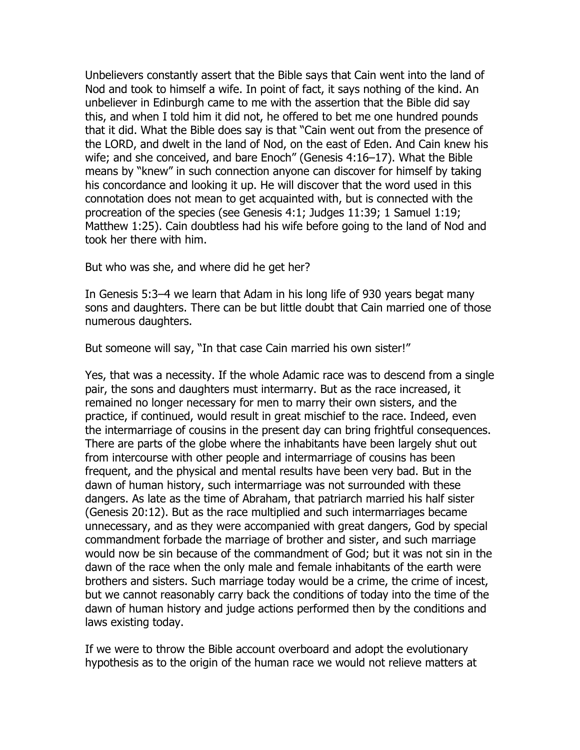Unbelievers constantly assert that the Bible says that Cain went into the land of Nod and took to himself a wife. In point of fact, it says nothing of the kind. An unbeliever in Edinburgh came to me with the assertion that the Bible did say this, and when I told him it did not, he offered to bet me one hundred pounds that it did. What the Bible does say is that "Cain went out from the presence of the LORD, and dwelt in the land of Nod, on the east of Eden. And Cain knew his wife; and she conceived, and bare Enoch" (Genesis 4:16–17). What the Bible means by "knew" in such connection anyone can discover for himself by taking his concordance and looking it up. He will discover that the word used in this connotation does not mean to get acquainted with, but is connected with the procreation of the species (see Genesis 4:1; Judges 11:39; 1 Samuel 1:19; Matthew 1:25). Cain doubtless had his wife before going to the land of Nod and took her there with him.

But who was she, and where did he get her?

In Genesis 5:3–4 we learn that Adam in his long life of 930 years begat many sons and daughters. There can be but little doubt that Cain married one of those numerous daughters.

But someone will say, "In that case Cain married his own sister!"

Yes, that was a necessity. If the whole Adamic race was to descend from a single pair, the sons and daughters must intermarry. But as the race increased, it remained no longer necessary for men to marry their own sisters, and the practice, if continued, would result in great mischief to the race. Indeed, even the intermarriage of cousins in the present day can bring frightful consequences. There are parts of the globe where the inhabitants have been largely shut out from intercourse with other people and intermarriage of cousins has been frequent, and the physical and mental results have been very bad. But in the dawn of human history, such intermarriage was not surrounded with these dangers. As late as the time of Abraham, that patriarch married his half sister (Genesis 20:12). But as the race multiplied and such intermarriages became unnecessary, and as they were accompanied with great dangers, God by special commandment forbade the marriage of brother and sister, and such marriage would now be sin because of the commandment of God; but it was not sin in the dawn of the race when the only male and female inhabitants of the earth were brothers and sisters. Such marriage today would be a crime, the crime of incest, but we cannot reasonably carry back the conditions of today into the time of the dawn of human history and judge actions performed then by the conditions and laws existing today.

If we were to throw the Bible account overboard and adopt the evolutionary hypothesis as to the origin of the human race we would not relieve matters at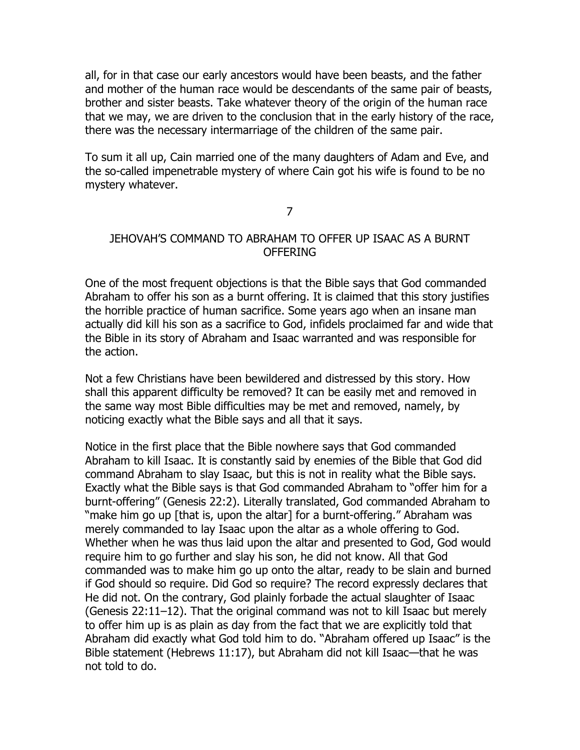all, for in that case our early ancestors would have been beasts, and the father and mother of the human race would be descendants of the same pair of beasts, brother and sister beasts. Take whatever theory of the origin of the human race that we may, we are driven to the conclusion that in the early history of the race, there was the necessary intermarriage of the children of the same pair.

To sum it all up, Cain married one of the many daughters of Adam and Eve, and the so-called impenetrable mystery of where Cain got his wife is found to be no mystery whatever.

#### 7

### JEHOVAH'S COMMAND TO ABRAHAM TO OFFER UP ISAAC AS A BURNT OFFERING

One of the most frequent objections is that the Bible says that God commanded Abraham to offer his son as a burnt offering. It is claimed that this story justifies the horrible practice of human sacrifice. Some years ago when an insane man actually did kill his son as a sacrifice to God, infidels proclaimed far and wide that the Bible in its story of Abraham and Isaac warranted and was responsible for the action.

Not a few Christians have been bewildered and distressed by this story. How shall this apparent difficulty be removed? It can be easily met and removed in the same way most Bible difficulties may be met and removed, namely, by noticing exactly what the Bible says and all that it says.

Notice in the first place that the Bible nowhere says that God commanded Abraham to kill Isaac. It is constantly said by enemies of the Bible that God did command Abraham to slay Isaac, but this is not in reality what the Bible says. Exactly what the Bible says is that God commanded Abraham to "offer him for a burnt-offering" (Genesis 22:2). Literally translated, God commanded Abraham to "make him go up [that is, upon the altar] for a burnt-offering." Abraham was merely commanded to lay Isaac upon the altar as a whole offering to God. Whether when he was thus laid upon the altar and presented to God, God would require him to go further and slay his son, he did not know. All that God commanded was to make him go up onto the altar, ready to be slain and burned if God should so require. Did God so require? The record expressly declares that He did not. On the contrary, God plainly forbade the actual slaughter of Isaac (Genesis 22:11–12). That the original command was not to kill Isaac but merely to offer him up is as plain as day from the fact that we are explicitly told that Abraham did exactly what God told him to do. "Abraham offered up Isaac" is the Bible statement (Hebrews 11:17), but Abraham did not kill Isaac—that he was not told to do.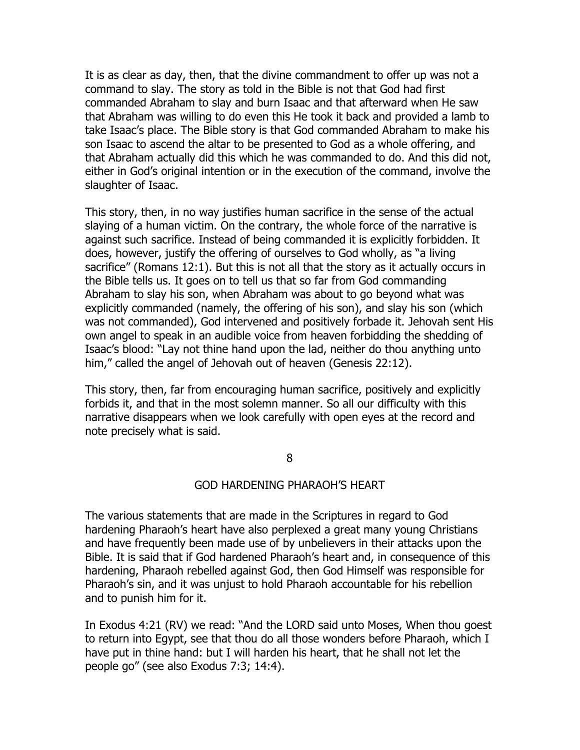It is as clear as day, then, that the divine commandment to offer up was not a command to slay. The story as told in the Bible is not that God had first commanded Abraham to slay and burn Isaac and that afterward when He saw that Abraham was willing to do even this He took it back and provided a lamb to take Isaac's place. The Bible story is that God commanded Abraham to make his son Isaac to ascend the altar to be presented to God as a whole offering, and that Abraham actually did this which he was commanded to do. And this did not, either in God's original intention or in the execution of the command, involve the slaughter of Isaac.

This story, then, in no way justifies human sacrifice in the sense of the actual slaying of a human victim. On the contrary, the whole force of the narrative is against such sacrifice. Instead of being commanded it is explicitly forbidden. It does, however, justify the offering of ourselves to God wholly, as "a living sacrifice" (Romans 12:1). But this is not all that the story as it actually occurs in the Bible tells us. It goes on to tell us that so far from God commanding Abraham to slay his son, when Abraham was about to go beyond what was explicitly commanded (namely, the offering of his son), and slay his son (which was not commanded), God intervened and positively forbade it. Jehovah sent His own angel to speak in an audible voice from heaven forbidding the shedding of Isaac's blood: "Lay not thine hand upon the lad, neither do thou anything unto him," called the angel of Jehovah out of heaven (Genesis 22:12).

This story, then, far from encouraging human sacrifice, positively and explicitly forbids it, and that in the most solemn manner. So all our difficulty with this narrative disappears when we look carefully with open eyes at the record and note precisely what is said.

8

## GOD HARDENING PHARAOH'S HEART

The various statements that are made in the Scriptures in regard to God hardening Pharaoh's heart have also perplexed a great many young Christians and have frequently been made use of by unbelievers in their attacks upon the Bible. It is said that if God hardened Pharaoh's heart and, in consequence of this hardening, Pharaoh rebelled against God, then God Himself was responsible for Pharaoh's sin, and it was unjust to hold Pharaoh accountable for his rebellion and to punish him for it.

In Exodus 4:21 (RV) we read: "And the LORD said unto Moses, When thou goest to return into Egypt, see that thou do all those wonders before Pharaoh, which I have put in thine hand: but I will harden his heart, that he shall not let the people go" (see also Exodus 7:3; 14:4).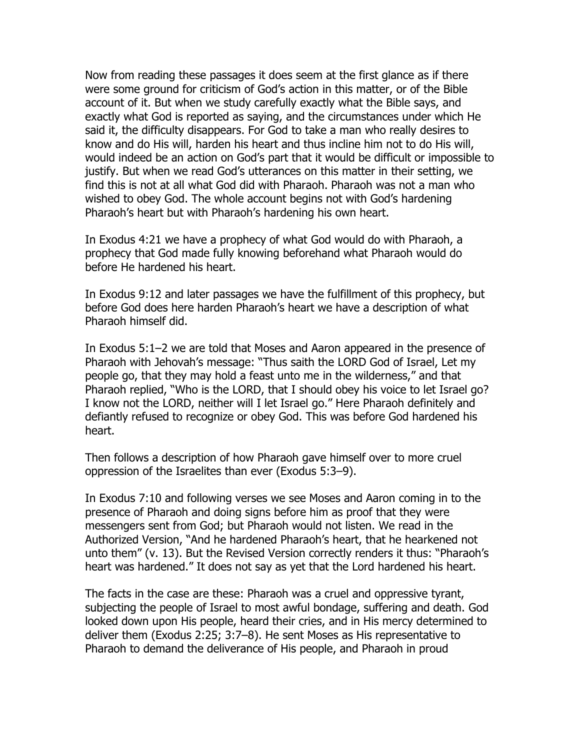Now from reading these passages it does seem at the first glance as if there were some ground for criticism of God's action in this matter, or of the Bible account of it. But when we study carefully exactly what the Bible says, and exactly what God is reported as saying, and the circumstances under which He said it, the difficulty disappears. For God to take a man who really desires to know and do His will, harden his heart and thus incline him not to do His will, would indeed be an action on God's part that it would be difficult or impossible to justify. But when we read God's utterances on this matter in their setting, we find this is not at all what God did with Pharaoh. Pharaoh was not a man who wished to obey God. The whole account begins not with God's hardening Pharaoh's heart but with Pharaoh's hardening his own heart.

In Exodus 4:21 we have a prophecy of what God would do with Pharaoh, a prophecy that God made fully knowing beforehand what Pharaoh would do before He hardened his heart.

In Exodus 9:12 and later passages we have the fulfillment of this prophecy, but before God does here harden Pharaoh's heart we have a description of what Pharaoh himself did.

In Exodus 5:1–2 we are told that Moses and Aaron appeared in the presence of Pharaoh with Jehovah's message: "Thus saith the LORD God of Israel, Let my people go, that they may hold a feast unto me in the wilderness," and that Pharaoh replied, "Who is the LORD, that I should obey his voice to let Israel go? I know not the LORD, neither will I let Israel go." Here Pharaoh definitely and defiantly refused to recognize or obey God. This was before God hardened his heart.

Then follows a description of how Pharaoh gave himself over to more cruel oppression of the Israelites than ever (Exodus 5:3–9).

In Exodus 7:10 and following verses we see Moses and Aaron coming in to the presence of Pharaoh and doing signs before him as proof that they were messengers sent from God; but Pharaoh would not listen. We read in the Authorized Version, "And he hardened Pharaoh's heart, that he hearkened not unto them" (v. 13). But the Revised Version correctly renders it thus: "Pharaoh's heart was hardened." It does not say as yet that the Lord hardened his heart.

The facts in the case are these: Pharaoh was a cruel and oppressive tyrant, subjecting the people of Israel to most awful bondage, suffering and death. God looked down upon His people, heard their cries, and in His mercy determined to deliver them (Exodus 2:25; 3:7–8). He sent Moses as His representative to Pharaoh to demand the deliverance of His people, and Pharaoh in proud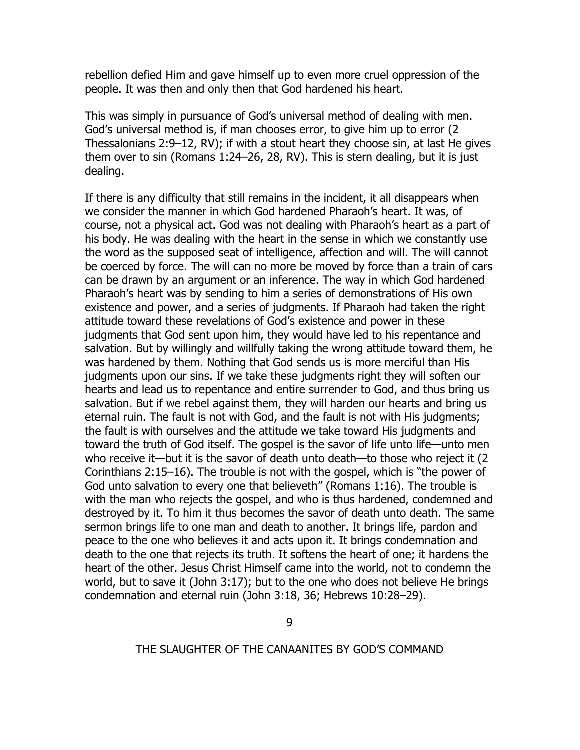rebellion defied Him and gave himself up to even more cruel oppression of the people. It was then and only then that God hardened his heart.

This was simply in pursuance of God's universal method of dealing with men. God's universal method is, if man chooses error, to give him up to error (2 Thessalonians 2:9–12, RV); if with a stout heart they choose sin, at last He gives them over to sin (Romans 1:24–26, 28, RV). This is stern dealing, but it is just dealing.

If there is any difficulty that still remains in the incident, it all disappears when we consider the manner in which God hardened Pharaoh's heart. It was, of course, not a physical act. God was not dealing with Pharaoh's heart as a part of his body. He was dealing with the heart in the sense in which we constantly use the word as the supposed seat of intelligence, affection and will. The will cannot be coerced by force. The will can no more be moved by force than a train of cars can be drawn by an argument or an inference. The way in which God hardened Pharaoh's heart was by sending to him a series of demonstrations of His own existence and power, and a series of judgments. If Pharaoh had taken the right attitude toward these revelations of God's existence and power in these judgments that God sent upon him, they would have led to his repentance and salvation. But by willingly and willfully taking the wrong attitude toward them, he was hardened by them. Nothing that God sends us is more merciful than His judgments upon our sins. If we take these judgments right they will soften our hearts and lead us to repentance and entire surrender to God, and thus bring us salvation. But if we rebel against them, they will harden our hearts and bring us eternal ruin. The fault is not with God, and the fault is not with His judgments; the fault is with ourselves and the attitude we take toward His judgments and toward the truth of God itself. The gospel is the savor of life unto life—unto men who receive it—but it is the savor of death unto death—to those who reject it (2 Corinthians 2:15–16). The trouble is not with the gospel, which is "the power of God unto salvation to every one that believeth" (Romans 1:16). The trouble is with the man who rejects the gospel, and who is thus hardened, condemned and destroyed by it. To him it thus becomes the savor of death unto death. The same sermon brings life to one man and death to another. It brings life, pardon and peace to the one who believes it and acts upon it. It brings condemnation and death to the one that rejects its truth. It softens the heart of one; it hardens the heart of the other. Jesus Christ Himself came into the world, not to condemn the world, but to save it (John 3:17); but to the one who does not believe He brings condemnation and eternal ruin (John 3:18, 36; Hebrews 10:28–29).

### THE SLAUGHTER OF THE CANAANITES BY GOD'S COMMAND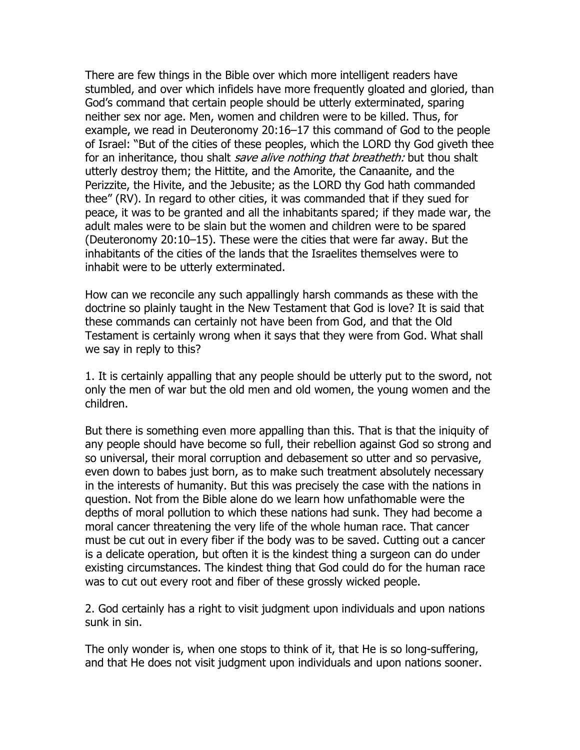There are few things in the Bible over which more intelligent readers have stumbled, and over which infidels have more frequently gloated and gloried, than God's command that certain people should be utterly exterminated, sparing neither sex nor age. Men, women and children were to be killed. Thus, for example, we read in Deuteronomy 20:16–17 this command of God to the people of Israel: "But of the cities of these peoples, which the LORD thy God giveth thee for an inheritance, thou shalt save alive nothing that breatheth: but thou shalt utterly destroy them; the Hittite, and the Amorite, the Canaanite, and the Perizzite, the Hivite, and the Jebusite; as the LORD thy God hath commanded thee" (RV). In regard to other cities, it was commanded that if they sued for peace, it was to be granted and all the inhabitants spared; if they made war, the adult males were to be slain but the women and children were to be spared (Deuteronomy 20:10–15). These were the cities that were far away. But the inhabitants of the cities of the lands that the Israelites themselves were to inhabit were to be utterly exterminated.

How can we reconcile any such appallingly harsh commands as these with the doctrine so plainly taught in the New Testament that God is love? It is said that these commands can certainly not have been from God, and that the Old Testament is certainly wrong when it says that they were from God. What shall we say in reply to this?

1. It is certainly appalling that any people should be utterly put to the sword, not only the men of war but the old men and old women, the young women and the children.

But there is something even more appalling than this. That is that the iniquity of any people should have become so full, their rebellion against God so strong and so universal, their moral corruption and debasement so utter and so pervasive, even down to babes just born, as to make such treatment absolutely necessary in the interests of humanity. But this was precisely the case with the nations in question. Not from the Bible alone do we learn how unfathomable were the depths of moral pollution to which these nations had sunk. They had become a moral cancer threatening the very life of the whole human race. That cancer must be cut out in every fiber if the body was to be saved. Cutting out a cancer is a delicate operation, but often it is the kindest thing a surgeon can do under existing circumstances. The kindest thing that God could do for the human race was to cut out every root and fiber of these grossly wicked people.

2. God certainly has a right to visit judgment upon individuals and upon nations sunk in sin.

The only wonder is, when one stops to think of it, that He is so long-suffering, and that He does not visit judgment upon individuals and upon nations sooner.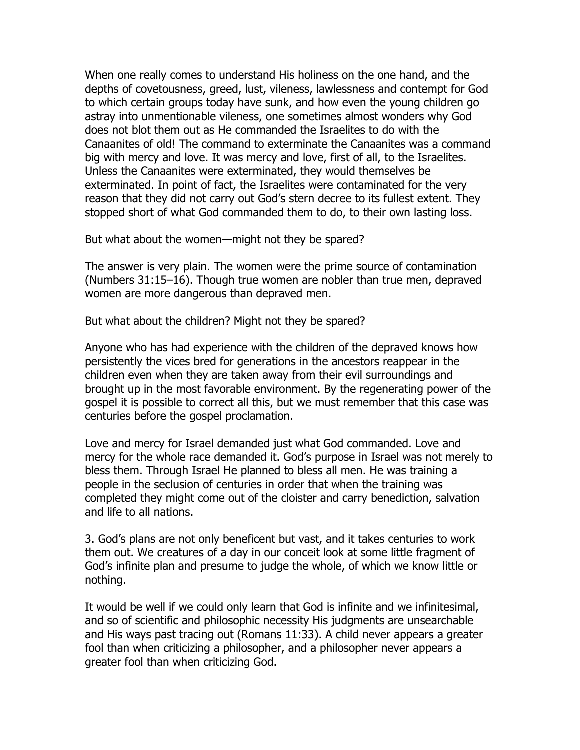When one really comes to understand His holiness on the one hand, and the depths of covetousness, greed, lust, vileness, lawlessness and contempt for God to which certain groups today have sunk, and how even the young children go astray into unmentionable vileness, one sometimes almost wonders why God does not blot them out as He commanded the Israelites to do with the Canaanites of old! The command to exterminate the Canaanites was a command big with mercy and love. It was mercy and love, first of all, to the Israelites. Unless the Canaanites were exterminated, they would themselves be exterminated. In point of fact, the Israelites were contaminated for the very reason that they did not carry out God's stern decree to its fullest extent. They stopped short of what God commanded them to do, to their own lasting loss.

But what about the women—might not they be spared?

The answer is very plain. The women were the prime source of contamination (Numbers 31:15–16). Though true women are nobler than true men, depraved women are more dangerous than depraved men.

But what about the children? Might not they be spared?

Anyone who has had experience with the children of the depraved knows how persistently the vices bred for generations in the ancestors reappear in the children even when they are taken away from their evil surroundings and brought up in the most favorable environment. By the regenerating power of the gospel it is possible to correct all this, but we must remember that this case was centuries before the gospel proclamation.

Love and mercy for Israel demanded just what God commanded. Love and mercy for the whole race demanded it. God's purpose in Israel was not merely to bless them. Through Israel He planned to bless all men. He was training a people in the seclusion of centuries in order that when the training was completed they might come out of the cloister and carry benediction, salvation and life to all nations.

3. God's plans are not only beneficent but vast, and it takes centuries to work them out. We creatures of a day in our conceit look at some little fragment of God's infinite plan and presume to judge the whole, of which we know little or nothing.

It would be well if we could only learn that God is infinite and we infinitesimal, and so of scientific and philosophic necessity His judgments are unsearchable and His ways past tracing out (Romans 11:33). A child never appears a greater fool than when criticizing a philosopher, and a philosopher never appears a greater fool than when criticizing God.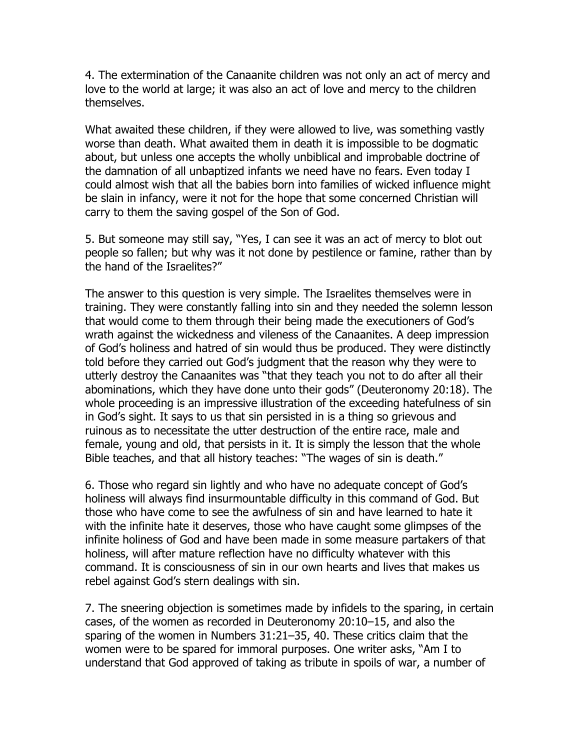4. The extermination of the Canaanite children was not only an act of mercy and love to the world at large; it was also an act of love and mercy to the children themselves.

What awaited these children, if they were allowed to live, was something vastly worse than death. What awaited them in death it is impossible to be dogmatic about, but unless one accepts the wholly unbiblical and improbable doctrine of the damnation of all unbaptized infants we need have no fears. Even today I could almost wish that all the babies born into families of wicked influence might be slain in infancy, were it not for the hope that some concerned Christian will carry to them the saving gospel of the Son of God.

5. But someone may still say, "Yes, I can see it was an act of mercy to blot out people so fallen; but why was it not done by pestilence or famine, rather than by the hand of the Israelites?"

The answer to this question is very simple. The Israelites themselves were in training. They were constantly falling into sin and they needed the solemn lesson that would come to them through their being made the executioners of God's wrath against the wickedness and vileness of the Canaanites. A deep impression of God's holiness and hatred of sin would thus be produced. They were distinctly told before they carried out God's judgment that the reason why they were to utterly destroy the Canaanites was "that they teach you not to do after all their abominations, which they have done unto their gods" (Deuteronomy 20:18). The whole proceeding is an impressive illustration of the exceeding hatefulness of sin in God's sight. It says to us that sin persisted in is a thing so grievous and ruinous as to necessitate the utter destruction of the entire race, male and female, young and old, that persists in it. It is simply the lesson that the whole Bible teaches, and that all history teaches: "The wages of sin is death."

6. Those who regard sin lightly and who have no adequate concept of God's holiness will always find insurmountable difficulty in this command of God. But those who have come to see the awfulness of sin and have learned to hate it with the infinite hate it deserves, those who have caught some glimpses of the infinite holiness of God and have been made in some measure partakers of that holiness, will after mature reflection have no difficulty whatever with this command. It is consciousness of sin in our own hearts and lives that makes us rebel against God's stern dealings with sin.

7. The sneering objection is sometimes made by infidels to the sparing, in certain cases, of the women as recorded in Deuteronomy 20:10–15, and also the sparing of the women in Numbers 31:21–35, 40. These critics claim that the women were to be spared for immoral purposes. One writer asks, "Am I to understand that God approved of taking as tribute in spoils of war, a number of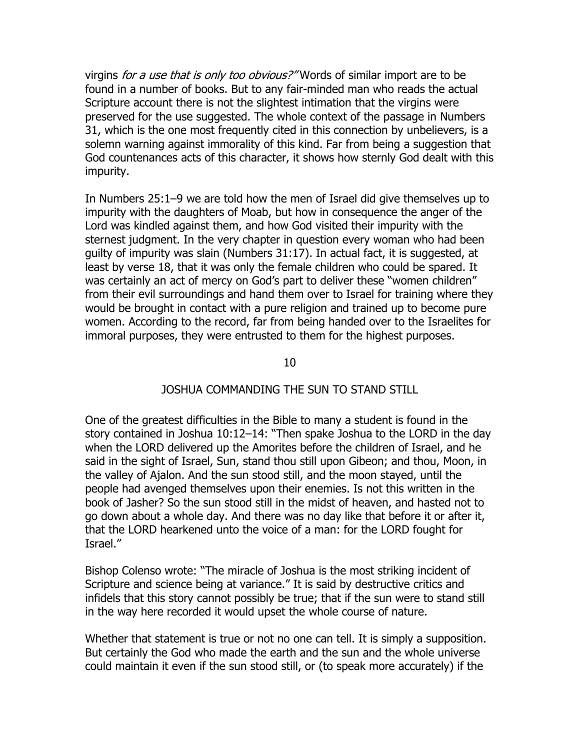virgins for a use that is only too obvious?" Words of similar import are to be found in a number of books. But to any fair-minded man who reads the actual Scripture account there is not the slightest intimation that the virgins were preserved for the use suggested. The whole context of the passage in Numbers 31, which is the one most frequently cited in this connection by unbelievers, is a solemn warning against immorality of this kind. Far from being a suggestion that God countenances acts of this character, it shows how sternly God dealt with this impurity.

In Numbers 25:1–9 we are told how the men of Israel did give themselves up to impurity with the daughters of Moab, but how in consequence the anger of the Lord was kindled against them, and how God visited their impurity with the sternest judgment. In the very chapter in question every woman who had been guilty of impurity was slain (Numbers 31:17). In actual fact, it is suggested, at least by verse 18, that it was only the female children who could be spared. It was certainly an act of mercy on God's part to deliver these "women children" from their evil surroundings and hand them over to Israel for training where they would be brought in contact with a pure religion and trained up to become pure women. According to the record, far from being handed over to the Israelites for immoral purposes, they were entrusted to them for the highest purposes.

10

## JOSHUA COMMANDING THE SUN TO STAND STILL

One of the greatest difficulties in the Bible to many a student is found in the story contained in Joshua 10:12–14: "Then spake Joshua to the LORD in the day when the LORD delivered up the Amorites before the children of Israel, and he said in the sight of Israel, Sun, stand thou still upon Gibeon; and thou, Moon, in the valley of Ajalon. And the sun stood still, and the moon stayed, until the people had avenged themselves upon their enemies. Is not this written in the book of Jasher? So the sun stood still in the midst of heaven, and hasted not to go down about a whole day. And there was no day like that before it or after it, that the LORD hearkened unto the voice of a man: for the LORD fought for Israel."

Bishop Colenso wrote: "The miracle of Joshua is the most striking incident of Scripture and science being at variance." It is said by destructive critics and infidels that this story cannot possibly be true; that if the sun were to stand still in the way here recorded it would upset the whole course of nature.

Whether that statement is true or not no one can tell. It is simply a supposition. But certainly the God who made the earth and the sun and the whole universe could maintain it even if the sun stood still, or (to speak more accurately) if the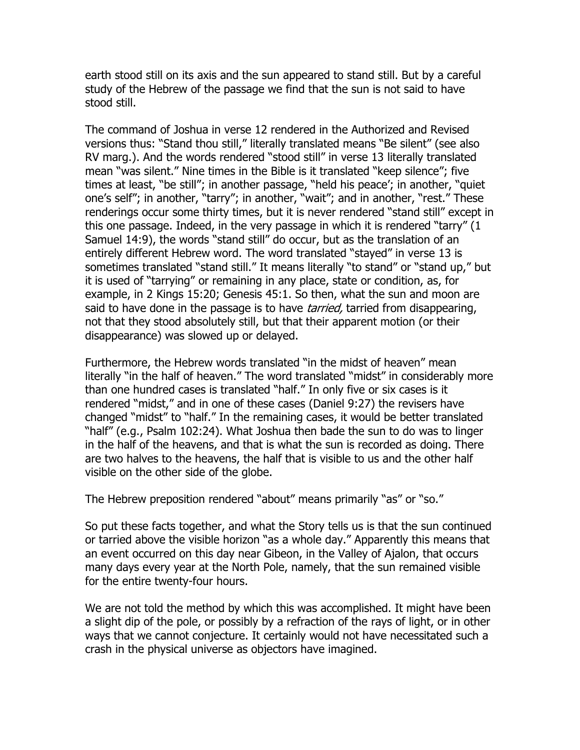earth stood still on its axis and the sun appeared to stand still. But by a careful study of the Hebrew of the passage we find that the sun is not said to have stood still.

The command of Joshua in verse 12 rendered in the Authorized and Revised versions thus: "Stand thou still," literally translated means "Be silent" (see also RV marg.). And the words rendered "stood still" in verse 13 literally translated mean "was silent." Nine times in the Bible is it translated "keep silence"; five times at least, "be still"; in another passage, "held his peace'; in another, "quiet one's self"; in another, "tarry"; in another, "wait"; and in another, "rest." These renderings occur some thirty times, but it is never rendered "stand still" except in this one passage. Indeed, in the very passage in which it is rendered "tarry" (1 Samuel 14:9), the words "stand still" do occur, but as the translation of an entirely different Hebrew word. The word translated "stayed" in verse 13 is sometimes translated "stand still." It means literally "to stand" or "stand up," but it is used of "tarrying" or remaining in any place, state or condition, as, for example, in 2 Kings 15:20; Genesis 45:1. So then, what the sun and moon are said to have done in the passage is to have *tarried*, tarried from disappearing, not that they stood absolutely still, but that their apparent motion (or their disappearance) was slowed up or delayed.

Furthermore, the Hebrew words translated "in the midst of heaven" mean literally "in the half of heaven." The word translated "midst" in considerably more than one hundred cases is translated "half." In only five or six cases is it rendered "midst," and in one of these cases (Daniel 9:27) the revisers have changed "midst" to "half." In the remaining cases, it would be better translated "half" (e.g., Psalm 102:24). What Joshua then bade the sun to do was to linger in the half of the heavens, and that is what the sun is recorded as doing. There are two halves to the heavens, the half that is visible to us and the other half visible on the other side of the globe.

The Hebrew preposition rendered "about" means primarily "as" or "so."

So put these facts together, and what the Story tells us is that the sun continued or tarried above the visible horizon "as a whole day." Apparently this means that an event occurred on this day near Gibeon, in the Valley of Ajalon, that occurs many days every year at the North Pole, namely, that the sun remained visible for the entire twenty-four hours.

We are not told the method by which this was accomplished. It might have been a slight dip of the pole, or possibly by a refraction of the rays of light, or in other ways that we cannot conjecture. It certainly would not have necessitated such a crash in the physical universe as objectors have imagined.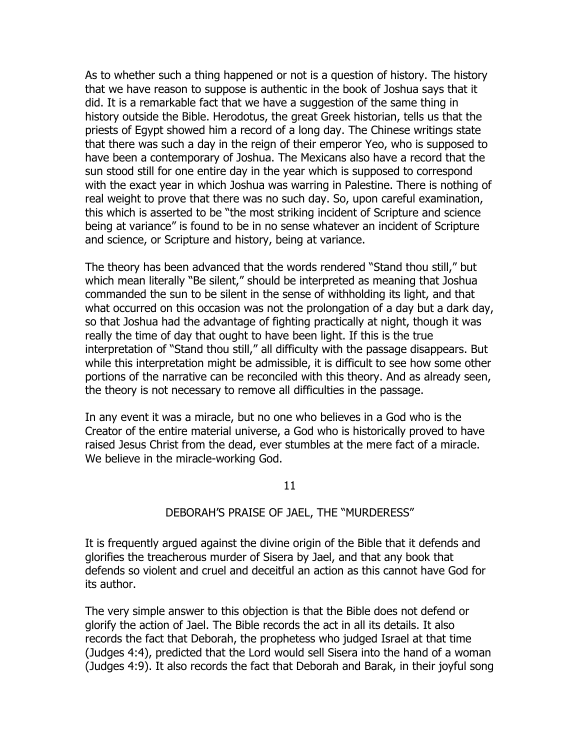As to whether such a thing happened or not is a question of history. The history that we have reason to suppose is authentic in the book of Joshua says that it did. It is a remarkable fact that we have a suggestion of the same thing in history outside the Bible. Herodotus, the great Greek historian, tells us that the priests of Egypt showed him a record of a long day. The Chinese writings state that there was such a day in the reign of their emperor Yeo, who is supposed to have been a contemporary of Joshua. The Mexicans also have a record that the sun stood still for one entire day in the year which is supposed to correspond with the exact year in which Joshua was warring in Palestine. There is nothing of real weight to prove that there was no such day. So, upon careful examination, this which is asserted to be "the most striking incident of Scripture and science being at variance" is found to be in no sense whatever an incident of Scripture and science, or Scripture and history, being at variance.

The theory has been advanced that the words rendered "Stand thou still," but which mean literally "Be silent," should be interpreted as meaning that Joshua commanded the sun to be silent in the sense of withholding its light, and that what occurred on this occasion was not the prolongation of a day but a dark day, so that Joshua had the advantage of fighting practically at night, though it was really the time of day that ought to have been light. If this is the true interpretation of "Stand thou still," all difficulty with the passage disappears. But while this interpretation might be admissible, it is difficult to see how some other portions of the narrative can be reconciled with this theory. And as already seen, the theory is not necessary to remove all difficulties in the passage.

In any event it was a miracle, but no one who believes in a God who is the Creator of the entire material universe, a God who is historically proved to have raised Jesus Christ from the dead, ever stumbles at the mere fact of a miracle. We believe in the miracle-working God.

11

## DEBORAH'S PRAISE OF JAEL, THE "MURDERESS"

It is frequently argued against the divine origin of the Bible that it defends and glorifies the treacherous murder of Sisera by Jael, and that any book that defends so violent and cruel and deceitful an action as this cannot have God for its author.

The very simple answer to this objection is that the Bible does not defend or glorify the action of Jael. The Bible records the act in all its details. It also records the fact that Deborah, the prophetess who judged Israel at that time (Judges 4:4), predicted that the Lord would sell Sisera into the hand of a woman (Judges 4:9). It also records the fact that Deborah and Barak, in their joyful song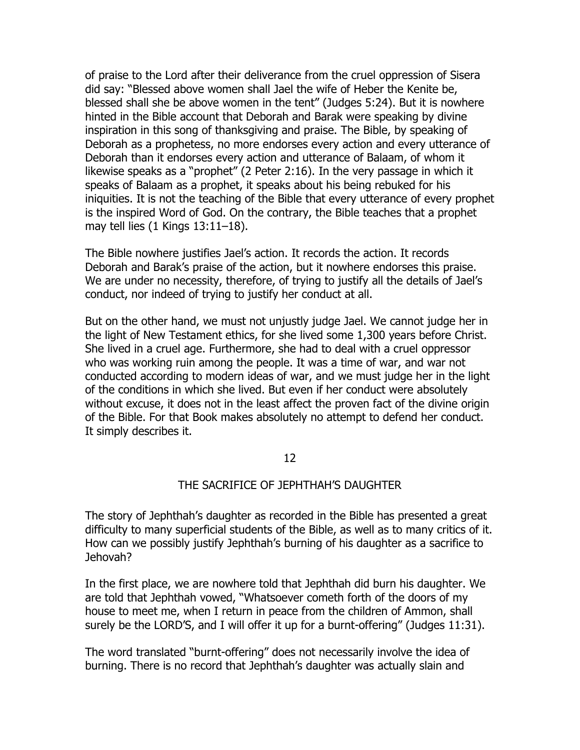of praise to the Lord after their deliverance from the cruel oppression of Sisera did say: "Blessed above women shall Jael the wife of Heber the Kenite be, blessed shall she be above women in the tent" (Judges 5:24). But it is nowhere hinted in the Bible account that Deborah and Barak were speaking by divine inspiration in this song of thanksgiving and praise. The Bible, by speaking of Deborah as a prophetess, no more endorses every action and every utterance of Deborah than it endorses every action and utterance of Balaam, of whom it likewise speaks as a "prophet" (2 Peter 2:16). In the very passage in which it speaks of Balaam as a prophet, it speaks about his being rebuked for his iniquities. It is not the teaching of the Bible that every utterance of every prophet is the inspired Word of God. On the contrary, the Bible teaches that a prophet may tell lies (1 Kings 13:11–18).

The Bible nowhere justifies Jael's action. It records the action. It records Deborah and Barak's praise of the action, but it nowhere endorses this praise. We are under no necessity, therefore, of trying to justify all the details of Jael's conduct, nor indeed of trying to justify her conduct at all.

But on the other hand, we must not unjustly judge Jael. We cannot judge her in the light of New Testament ethics, for she lived some 1,300 years before Christ. She lived in a cruel age. Furthermore, she had to deal with a cruel oppressor who was working ruin among the people. It was a time of war, and war not conducted according to modern ideas of war, and we must judge her in the light of the conditions in which she lived. But even if her conduct were absolutely without excuse, it does not in the least affect the proven fact of the divine origin of the Bible. For that Book makes absolutely no attempt to defend her conduct. It simply describes it.

12

## THE SACRIFICE OF JEPHTHAH'S DAUGHTER

The story of Jephthah's daughter as recorded in the Bible has presented a great difficulty to many superficial students of the Bible, as well as to many critics of it. How can we possibly justify Jephthah's burning of his daughter as a sacrifice to Jehovah?

In the first place, we are nowhere told that Jephthah did burn his daughter. We are told that Jephthah vowed, "Whatsoever cometh forth of the doors of my house to meet me, when I return in peace from the children of Ammon, shall surely be the LORD'S, and I will offer it up for a burnt-offering" (Judges 11:31).

The word translated "burnt-offering" does not necessarily involve the idea of burning. There is no record that Jephthah's daughter was actually slain and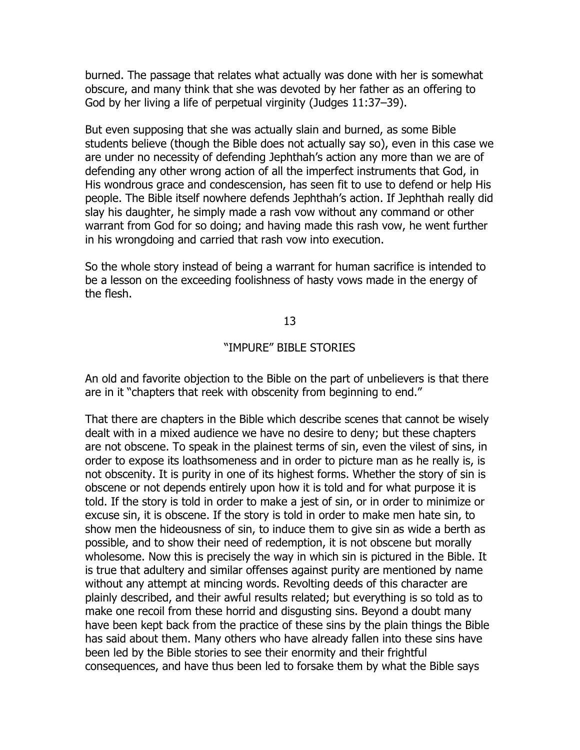burned. The passage that relates what actually was done with her is somewhat obscure, and many think that she was devoted by her father as an offering to God by her living a life of perpetual virginity (Judges 11:37–39).

But even supposing that she was actually slain and burned, as some Bible students believe (though the Bible does not actually say so), even in this case we are under no necessity of defending Jephthah's action any more than we are of defending any other wrong action of all the imperfect instruments that God, in His wondrous grace and condescension, has seen fit to use to defend or help His people. The Bible itself nowhere defends Jephthah's action. If Jephthah really did slay his daughter, he simply made a rash vow without any command or other warrant from God for so doing; and having made this rash vow, he went further in his wrongdoing and carried that rash vow into execution.

So the whole story instead of being a warrant for human sacrifice is intended to be a lesson on the exceeding foolishness of hasty vows made in the energy of the flesh.

### 13

### "IMPURE" BIBLE STORIES

An old and favorite objection to the Bible on the part of unbelievers is that there are in it "chapters that reek with obscenity from beginning to end."

That there are chapters in the Bible which describe scenes that cannot be wisely dealt with in a mixed audience we have no desire to deny; but these chapters are not obscene. To speak in the plainest terms of sin, even the vilest of sins, in order to expose its loathsomeness and in order to picture man as he really is, is not obscenity. It is purity in one of its highest forms. Whether the story of sin is obscene or not depends entirely upon how it is told and for what purpose it is told. If the story is told in order to make a jest of sin, or in order to minimize or excuse sin, it is obscene. If the story is told in order to make men hate sin, to show men the hideousness of sin, to induce them to give sin as wide a berth as possible, and to show their need of redemption, it is not obscene but morally wholesome. Now this is precisely the way in which sin is pictured in the Bible. It is true that adultery and similar offenses against purity are mentioned by name without any attempt at mincing words. Revolting deeds of this character are plainly described, and their awful results related; but everything is so told as to make one recoil from these horrid and disgusting sins. Beyond a doubt many have been kept back from the practice of these sins by the plain things the Bible has said about them. Many others who have already fallen into these sins have been led by the Bible stories to see their enormity and their frightful consequences, and have thus been led to forsake them by what the Bible says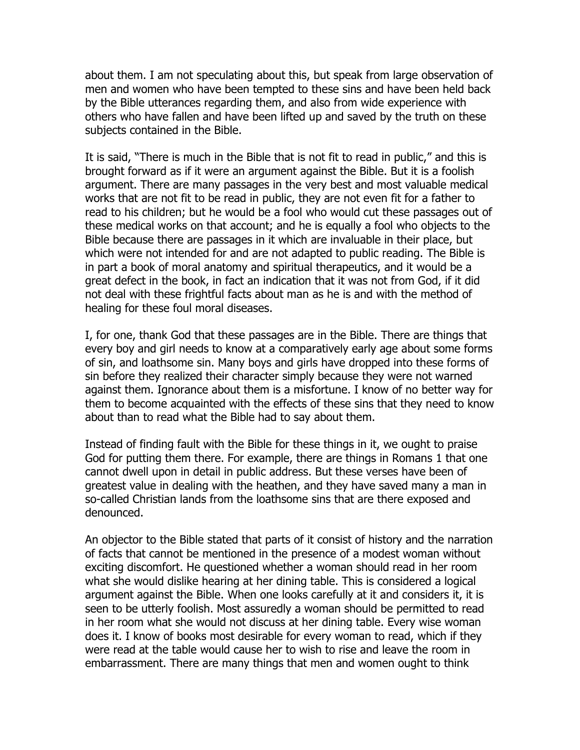about them. I am not speculating about this, but speak from large observation of men and women who have been tempted to these sins and have been held back by the Bible utterances regarding them, and also from wide experience with others who have fallen and have been lifted up and saved by the truth on these subjects contained in the Bible.

It is said, "There is much in the Bible that is not fit to read in public," and this is brought forward as if it were an argument against the Bible. But it is a foolish argument. There are many passages in the very best and most valuable medical works that are not fit to be read in public, they are not even fit for a father to read to his children; but he would be a fool who would cut these passages out of these medical works on that account; and he is equally a fool who objects to the Bible because there are passages in it which are invaluable in their place, but which were not intended for and are not adapted to public reading. The Bible is in part a book of moral anatomy and spiritual therapeutics, and it would be a great defect in the book, in fact an indication that it was not from God, if it did not deal with these frightful facts about man as he is and with the method of healing for these foul moral diseases.

I, for one, thank God that these passages are in the Bible. There are things that every boy and girl needs to know at a comparatively early age about some forms of sin, and loathsome sin. Many boys and girls have dropped into these forms of sin before they realized their character simply because they were not warned against them. Ignorance about them is a misfortune. I know of no better way for them to become acquainted with the effects of these sins that they need to know about than to read what the Bible had to say about them.

Instead of finding fault with the Bible for these things in it, we ought to praise God for putting them there. For example, there are things in Romans 1 that one cannot dwell upon in detail in public address. But these verses have been of greatest value in dealing with the heathen, and they have saved many a man in so-called Christian lands from the loathsome sins that are there exposed and denounced.

An objector to the Bible stated that parts of it consist of history and the narration of facts that cannot be mentioned in the presence of a modest woman without exciting discomfort. He questioned whether a woman should read in her room what she would dislike hearing at her dining table. This is considered a logical argument against the Bible. When one looks carefully at it and considers it, it is seen to be utterly foolish. Most assuredly a woman should be permitted to read in her room what she would not discuss at her dining table. Every wise woman does it. I know of books most desirable for every woman to read, which if they were read at the table would cause her to wish to rise and leave the room in embarrassment. There are many things that men and women ought to think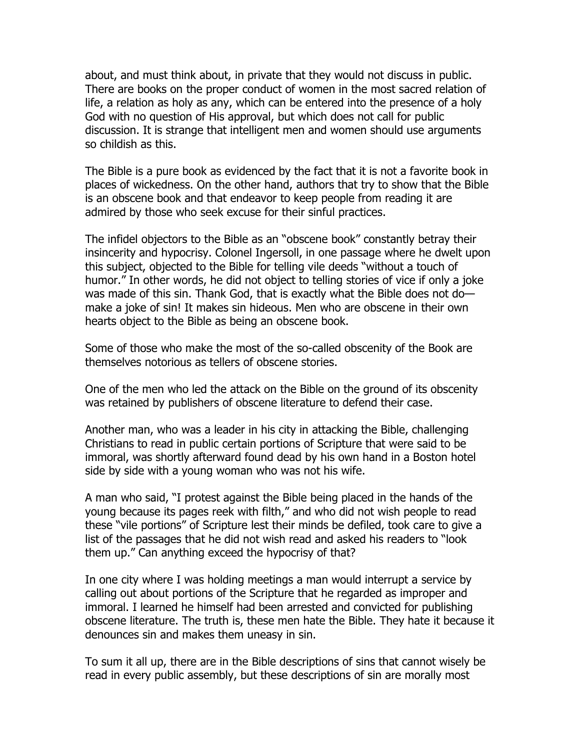about, and must think about, in private that they would not discuss in public. There are books on the proper conduct of women in the most sacred relation of life, a relation as holy as any, which can be entered into the presence of a holy God with no question of His approval, but which does not call for public discussion. It is strange that intelligent men and women should use arguments so childish as this.

The Bible is a pure book as evidenced by the fact that it is not a favorite book in places of wickedness. On the other hand, authors that try to show that the Bible is an obscene book and that endeavor to keep people from reading it are admired by those who seek excuse for their sinful practices.

The infidel objectors to the Bible as an "obscene book" constantly betray their insincerity and hypocrisy. Colonel Ingersoll, in one passage where he dwelt upon this subject, objected to the Bible for telling vile deeds "without a touch of humor." In other words, he did not object to telling stories of vice if only a joke was made of this sin. Thank God, that is exactly what the Bible does not do make a joke of sin! It makes sin hideous. Men who are obscene in their own hearts object to the Bible as being an obscene book.

Some of those who make the most of the so-called obscenity of the Book are themselves notorious as tellers of obscene stories.

One of the men who led the attack on the Bible on the ground of its obscenity was retained by publishers of obscene literature to defend their case.

Another man, who was a leader in his city in attacking the Bible, challenging Christians to read in public certain portions of Scripture that were said to be immoral, was shortly afterward found dead by his own hand in a Boston hotel side by side with a young woman who was not his wife.

A man who said, "I protest against the Bible being placed in the hands of the young because its pages reek with filth," and who did not wish people to read these "vile portions" of Scripture lest their minds be defiled, took care to give a list of the passages that he did not wish read and asked his readers to "look them up." Can anything exceed the hypocrisy of that?

In one city where I was holding meetings a man would interrupt a service by calling out about portions of the Scripture that he regarded as improper and immoral. I learned he himself had been arrested and convicted for publishing obscene literature. The truth is, these men hate the Bible. They hate it because it denounces sin and makes them uneasy in sin.

To sum it all up, there are in the Bible descriptions of sins that cannot wisely be read in every public assembly, but these descriptions of sin are morally most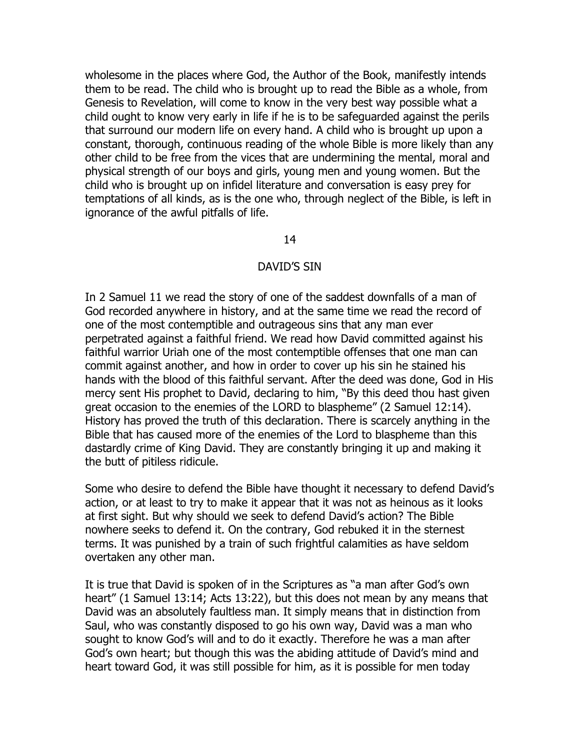wholesome in the places where God, the Author of the Book, manifestly intends them to be read. The child who is brought up to read the Bible as a whole, from Genesis to Revelation, will come to know in the very best way possible what a child ought to know very early in life if he is to be safeguarded against the perils that surround our modern life on every hand. A child who is brought up upon a constant, thorough, continuous reading of the whole Bible is more likely than any other child to be free from the vices that are undermining the mental, moral and physical strength of our boys and girls, young men and young women. But the child who is brought up on infidel literature and conversation is easy prey for temptations of all kinds, as is the one who, through neglect of the Bible, is left in ignorance of the awful pitfalls of life.

14

#### DAVID'S SIN

In 2 Samuel 11 we read the story of one of the saddest downfalls of a man of God recorded anywhere in history, and at the same time we read the record of one of the most contemptible and outrageous sins that any man ever perpetrated against a faithful friend. We read how David committed against his faithful warrior Uriah one of the most contemptible offenses that one man can commit against another, and how in order to cover up his sin he stained his hands with the blood of this faithful servant. After the deed was done, God in His mercy sent His prophet to David, declaring to him, "By this deed thou hast given great occasion to the enemies of the LORD to blaspheme" (2 Samuel 12:14). History has proved the truth of this declaration. There is scarcely anything in the Bible that has caused more of the enemies of the Lord to blaspheme than this dastardly crime of King David. They are constantly bringing it up and making it the butt of pitiless ridicule.

Some who desire to defend the Bible have thought it necessary to defend David's action, or at least to try to make it appear that it was not as heinous as it looks at first sight. But why should we seek to defend David's action? The Bible nowhere seeks to defend it. On the contrary, God rebuked it in the sternest terms. It was punished by a train of such frightful calamities as have seldom overtaken any other man.

It is true that David is spoken of in the Scriptures as "a man after God's own heart" (1 Samuel 13:14; Acts 13:22), but this does not mean by any means that David was an absolutely faultless man. It simply means that in distinction from Saul, who was constantly disposed to go his own way, David was a man who sought to know God's will and to do it exactly. Therefore he was a man after God's own heart; but though this was the abiding attitude of David's mind and heart toward God, it was still possible for him, as it is possible for men today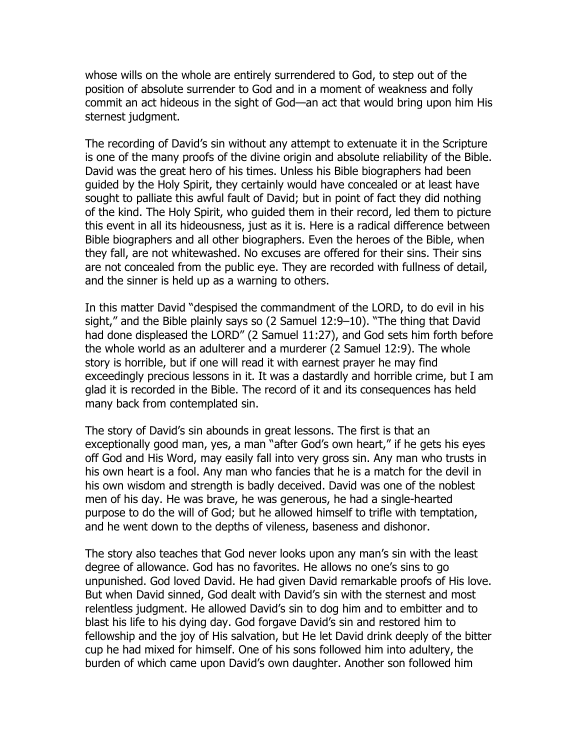whose wills on the whole are entirely surrendered to God, to step out of the position of absolute surrender to God and in a moment of weakness and folly commit an act hideous in the sight of God—an act that would bring upon him His sternest judgment.

The recording of David's sin without any attempt to extenuate it in the Scripture is one of the many proofs of the divine origin and absolute reliability of the Bible. David was the great hero of his times. Unless his Bible biographers had been guided by the Holy Spirit, they certainly would have concealed or at least have sought to palliate this awful fault of David; but in point of fact they did nothing of the kind. The Holy Spirit, who guided them in their record, led them to picture this event in all its hideousness, just as it is. Here is a radical difference between Bible biographers and all other biographers. Even the heroes of the Bible, when they fall, are not whitewashed. No excuses are offered for their sins. Their sins are not concealed from the public eye. They are recorded with fullness of detail, and the sinner is held up as a warning to others.

In this matter David "despised the commandment of the LORD, to do evil in his sight," and the Bible plainly says so (2 Samuel 12:9–10). "The thing that David had done displeased the LORD" (2 Samuel 11:27), and God sets him forth before the whole world as an adulterer and a murderer (2 Samuel 12:9). The whole story is horrible, but if one will read it with earnest prayer he may find exceedingly precious lessons in it. It was a dastardly and horrible crime, but I am glad it is recorded in the Bible. The record of it and its consequences has held many back from contemplated sin.

The story of David's sin abounds in great lessons. The first is that an exceptionally good man, yes, a man "after God's own heart," if he gets his eyes off God and His Word, may easily fall into very gross sin. Any man who trusts in his own heart is a fool. Any man who fancies that he is a match for the devil in his own wisdom and strength is badly deceived. David was one of the noblest men of his day. He was brave, he was generous, he had a single-hearted purpose to do the will of God; but he allowed himself to trifle with temptation, and he went down to the depths of vileness, baseness and dishonor.

The story also teaches that God never looks upon any man's sin with the least degree of allowance. God has no favorites. He allows no one's sins to go unpunished. God loved David. He had given David remarkable proofs of His love. But when David sinned, God dealt with David's sin with the sternest and most relentless judgment. He allowed David's sin to dog him and to embitter and to blast his life to his dying day. God forgave David's sin and restored him to fellowship and the joy of His salvation, but He let David drink deeply of the bitter cup he had mixed for himself. One of his sons followed him into adultery, the burden of which came upon David's own daughter. Another son followed him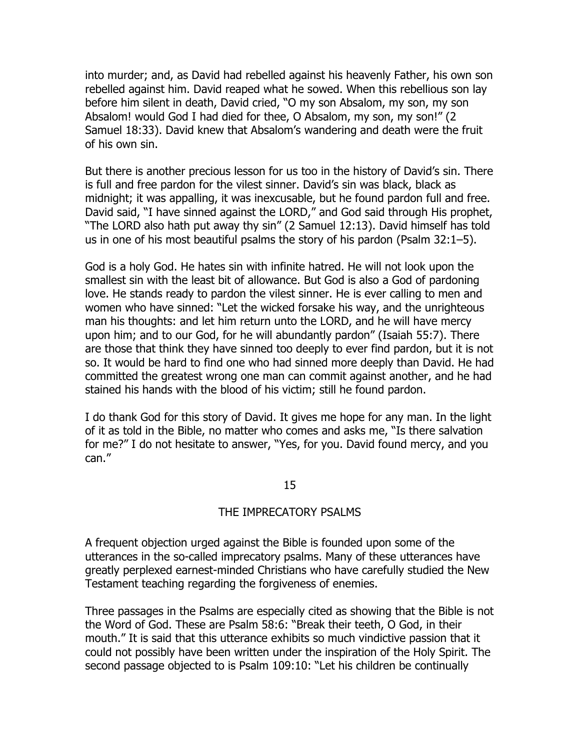into murder; and, as David had rebelled against his heavenly Father, his own son rebelled against him. David reaped what he sowed. When this rebellious son lay before him silent in death, David cried, "O my son Absalom, my son, my son Absalom! would God I had died for thee, O Absalom, my son, my son!" (2 Samuel 18:33). David knew that Absalom's wandering and death were the fruit of his own sin.

But there is another precious lesson for us too in the history of David's sin. There is full and free pardon for the vilest sinner. David's sin was black, black as midnight; it was appalling, it was inexcusable, but he found pardon full and free. David said, "I have sinned against the LORD," and God said through His prophet, "The LORD also hath put away thy sin" (2 Samuel 12:13). David himself has told us in one of his most beautiful psalms the story of his pardon (Psalm 32:1–5).

God is a holy God. He hates sin with infinite hatred. He will not look upon the smallest sin with the least bit of allowance. But God is also a God of pardoning love. He stands ready to pardon the vilest sinner. He is ever calling to men and women who have sinned: "Let the wicked forsake his way, and the unrighteous man his thoughts: and let him return unto the LORD, and he will have mercy upon him; and to our God, for he will abundantly pardon" (Isaiah 55:7). There are those that think they have sinned too deeply to ever find pardon, but it is not so. It would be hard to find one who had sinned more deeply than David. He had committed the greatest wrong one man can commit against another, and he had stained his hands with the blood of his victim; still he found pardon.

I do thank God for this story of David. It gives me hope for any man. In the light of it as told in the Bible, no matter who comes and asks me, "Is there salvation for me?" I do not hesitate to answer, "Yes, for you. David found mercy, and you can."

15

## THE IMPRECATORY PSALMS

A frequent objection urged against the Bible is founded upon some of the utterances in the so-called imprecatory psalms. Many of these utterances have greatly perplexed earnest-minded Christians who have carefully studied the New Testament teaching regarding the forgiveness of enemies.

Three passages in the Psalms are especially cited as showing that the Bible is not the Word of God. These are Psalm 58:6: "Break their teeth, O God, in their mouth." It is said that this utterance exhibits so much vindictive passion that it could not possibly have been written under the inspiration of the Holy Spirit. The second passage objected to is Psalm 109:10: "Let his children be continually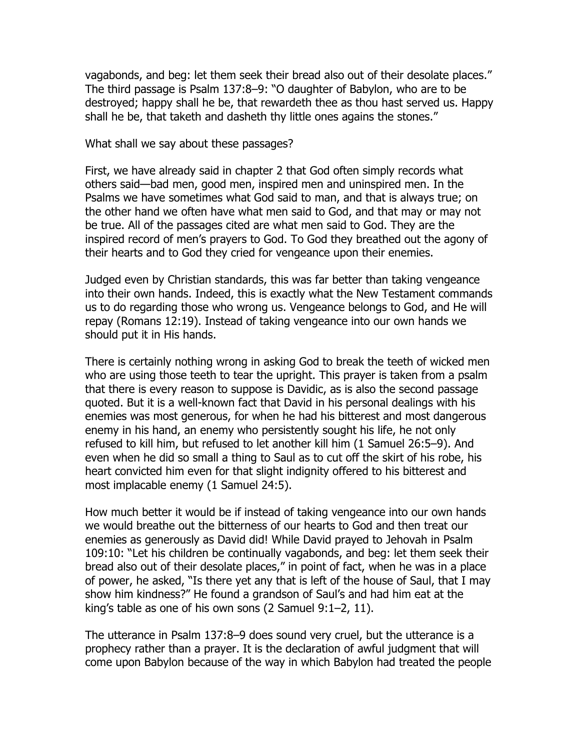vagabonds, and beg: let them seek their bread also out of their desolate places." The third passage is Psalm 137:8–9: "O daughter of Babylon, who are to be destroyed; happy shall he be, that rewardeth thee as thou hast served us. Happy shall he be, that taketh and dasheth thy little ones agains the stones."

What shall we say about these passages?

First, we have already said in chapter 2 that God often simply records what others said—bad men, good men, inspired men and uninspired men. In the Psalms we have sometimes what God said to man, and that is always true; on the other hand we often have what men said to God, and that may or may not be true. All of the passages cited are what men said to God. They are the inspired record of men's prayers to God. To God they breathed out the agony of their hearts and to God they cried for vengeance upon their enemies.

Judged even by Christian standards, this was far better than taking vengeance into their own hands. Indeed, this is exactly what the New Testament commands us to do regarding those who wrong us. Vengeance belongs to God, and He will repay (Romans 12:19). Instead of taking vengeance into our own hands we should put it in His hands.

There is certainly nothing wrong in asking God to break the teeth of wicked men who are using those teeth to tear the upright. This prayer is taken from a psalm that there is every reason to suppose is Davidic, as is also the second passage quoted. But it is a well-known fact that David in his personal dealings with his enemies was most generous, for when he had his bitterest and most dangerous enemy in his hand, an enemy who persistently sought his life, he not only refused to kill him, but refused to let another kill him (1 Samuel 26:5–9). And even when he did so small a thing to Saul as to cut off the skirt of his robe, his heart convicted him even for that slight indignity offered to his bitterest and most implacable enemy (1 Samuel 24:5).

How much better it would be if instead of taking vengeance into our own hands we would breathe out the bitterness of our hearts to God and then treat our enemies as generously as David did! While David prayed to Jehovah in Psalm 109:10: "Let his children be continually vagabonds, and beg: let them seek their bread also out of their desolate places," in point of fact, when he was in a place of power, he asked, "Is there yet any that is left of the house of Saul, that I may show him kindness?" He found a grandson of Saul's and had him eat at the king's table as one of his own sons (2 Samuel 9:1–2, 11).

The utterance in Psalm 137:8–9 does sound very cruel, but the utterance is a prophecy rather than a prayer. It is the declaration of awful judgment that will come upon Babylon because of the way in which Babylon had treated the people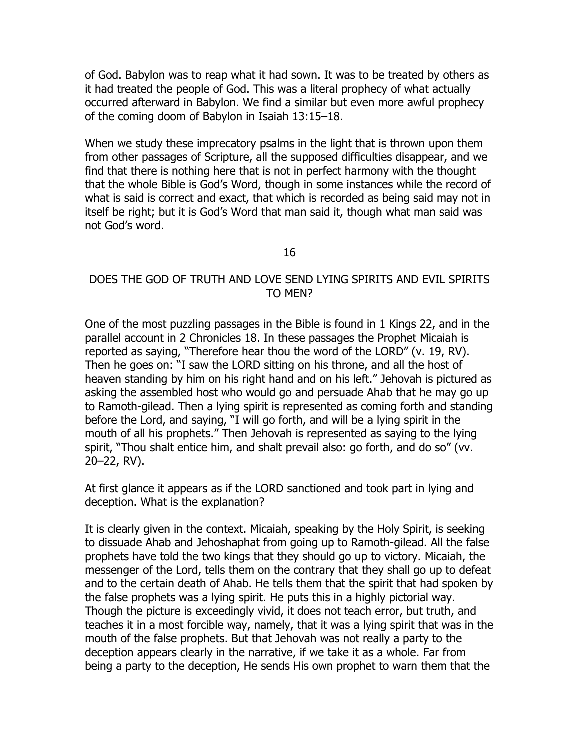of God. Babylon was to reap what it had sown. It was to be treated by others as it had treated the people of God. This was a literal prophecy of what actually occurred afterward in Babylon. We find a similar but even more awful prophecy of the coming doom of Babylon in Isaiah 13:15–18.

When we study these imprecatory psalms in the light that is thrown upon them from other passages of Scripture, all the supposed difficulties disappear, and we find that there is nothing here that is not in perfect harmony with the thought that the whole Bible is God's Word, though in some instances while the record of what is said is correct and exact, that which is recorded as being said may not in itself be right; but it is God's Word that man said it, though what man said was not God's word.

16

## DOES THE GOD OF TRUTH AND LOVE SEND LYING SPIRITS AND EVIL SPIRITS TO MEN?

One of the most puzzling passages in the Bible is found in 1 Kings 22, and in the parallel account in 2 Chronicles 18. In these passages the Prophet Micaiah is reported as saying, "Therefore hear thou the word of the LORD" (v. 19, RV). Then he goes on: "I saw the LORD sitting on his throne, and all the host of heaven standing by him on his right hand and on his left." Jehovah is pictured as asking the assembled host who would go and persuade Ahab that he may go up to Ramoth-gilead. Then a lying spirit is represented as coming forth and standing before the Lord, and saying, "I will go forth, and will be a lying spirit in the mouth of all his prophets." Then Jehovah is represented as saying to the lying spirit, "Thou shalt entice him, and shalt prevail also: go forth, and do so" (vv. 20–22, RV).

At first glance it appears as if the LORD sanctioned and took part in lying and deception. What is the explanation?

It is clearly given in the context. Micaiah, speaking by the Holy Spirit, is seeking to dissuade Ahab and Jehoshaphat from going up to Ramoth-gilead. All the false prophets have told the two kings that they should go up to victory. Micaiah, the messenger of the Lord, tells them on the contrary that they shall go up to defeat and to the certain death of Ahab. He tells them that the spirit that had spoken by the false prophets was a lying spirit. He puts this in a highly pictorial way. Though the picture is exceedingly vivid, it does not teach error, but truth, and teaches it in a most forcible way, namely, that it was a lying spirit that was in the mouth of the false prophets. But that Jehovah was not really a party to the deception appears clearly in the narrative, if we take it as a whole. Far from being a party to the deception, He sends His own prophet to warn them that the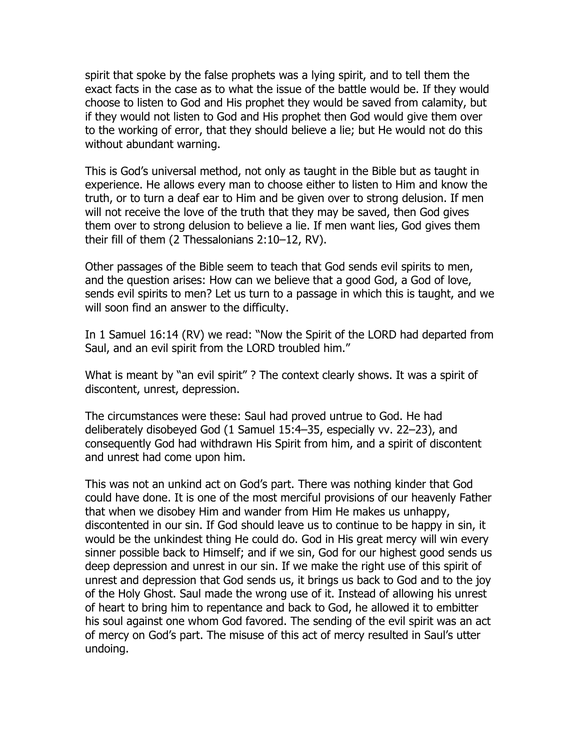spirit that spoke by the false prophets was a lying spirit, and to tell them the exact facts in the case as to what the issue of the battle would be. If they would choose to listen to God and His prophet they would be saved from calamity, but if they would not listen to God and His prophet then God would give them over to the working of error, that they should believe a lie; but He would not do this without abundant warning.

This is God's universal method, not only as taught in the Bible but as taught in experience. He allows every man to choose either to listen to Him and know the truth, or to turn a deaf ear to Him and be given over to strong delusion. If men will not receive the love of the truth that they may be saved, then God gives them over to strong delusion to believe a lie. If men want lies, God gives them their fill of them (2 Thessalonians 2:10–12, RV).

Other passages of the Bible seem to teach that God sends evil spirits to men, and the question arises: How can we believe that a good God, a God of love, sends evil spirits to men? Let us turn to a passage in which this is taught, and we will soon find an answer to the difficulty.

In 1 Samuel 16:14 (RV) we read: "Now the Spirit of the LORD had departed from Saul, and an evil spirit from the LORD troubled him."

What is meant by "an evil spirit"? The context clearly shows. It was a spirit of discontent, unrest, depression.

The circumstances were these: Saul had proved untrue to God. He had deliberately disobeyed God (1 Samuel 15:4–35, especially vv. 22–23), and consequently God had withdrawn His Spirit from him, and a spirit of discontent and unrest had come upon him.

This was not an unkind act on God's part. There was nothing kinder that God could have done. It is one of the most merciful provisions of our heavenly Father that when we disobey Him and wander from Him He makes us unhappy, discontented in our sin. If God should leave us to continue to be happy in sin, it would be the unkindest thing He could do. God in His great mercy will win every sinner possible back to Himself; and if we sin, God for our highest good sends us deep depression and unrest in our sin. If we make the right use of this spirit of unrest and depression that God sends us, it brings us back to God and to the joy of the Holy Ghost. Saul made the wrong use of it. Instead of allowing his unrest of heart to bring him to repentance and back to God, he allowed it to embitter his soul against one whom God favored. The sending of the evil spirit was an act of mercy on God's part. The misuse of this act of mercy resulted in Saul's utter undoing.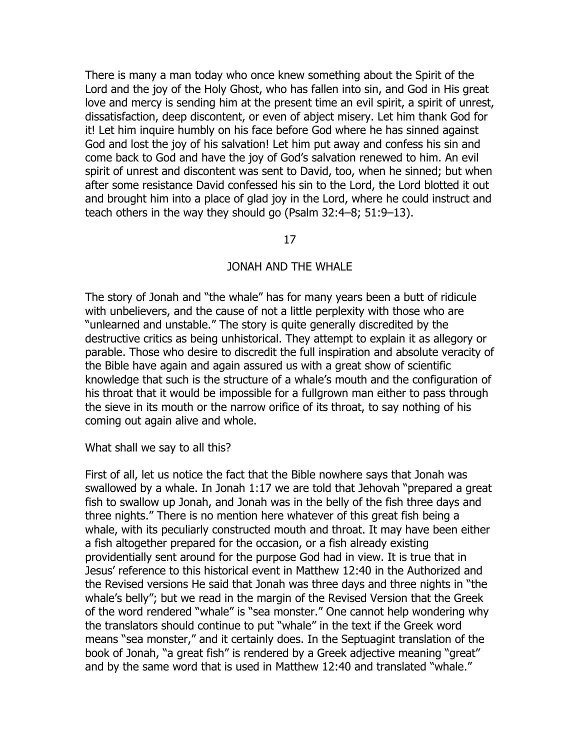There is many a man today who once knew something about the Spirit of the Lord and the joy of the Holy Ghost, who has fallen into sin, and God in His great love and mercy is sending him at the present time an evil spirit, a spirit of unrest, dissatisfaction, deep discontent, or even of abject misery. Let him thank God for it! Let him inquire humbly on his face before God where he has sinned against God and lost the joy of his salvation! Let him put away and confess his sin and come back to God and have the joy of God's salvation renewed to him. An evil spirit of unrest and discontent was sent to David, too, when he sinned; but when after some resistance David confessed his sin to the Lord, the Lord blotted it out and brought him into a place of glad joy in the Lord, where he could instruct and teach others in the way they should go (Psalm 32:4–8; 51:9–13).

### 17

#### JONAH AND THE WHALE

The story of Jonah and "the whale" has for many years been a butt of ridicule with unbelievers, and the cause of not a little perplexity with those who are "unlearned and unstable." The story is quite generally discredited by the destructive critics as being unhistorical. They attempt to explain it as allegory or parable. Those who desire to discredit the full inspiration and absolute veracity of the Bible have again and again assured us with a great show of scientific knowledge that such is the structure of a whale's mouth and the configuration of his throat that it would be impossible for a fullgrown man either to pass through the sieve in its mouth or the narrow orifice of its throat, to say nothing of his coming out again alive and whole.

What shall we say to all this?

First of all, let us notice the fact that the Bible nowhere says that Jonah was swallowed by a whale. In Jonah 1:17 we are told that Jehovah "prepared a great fish to swallow up Jonah, and Jonah was in the belly of the fish three days and three nights." There is no mention here whatever of this great fish being a whale, with its peculiarly constructed mouth and throat. It may have been either a fish altogether prepared for the occasion, or a fish already existing providentially sent around for the purpose God had in view. It is true that in Jesus' reference to this historical event in Matthew 12:40 in the Authorized and the Revised versions He said that Jonah was three days and three nights in "the whale's belly"; but we read in the margin of the Revised Version that the Greek of the word rendered "whale" is "sea monster." One cannot help wondering why the translators should continue to put "whale" in the text if the Greek word means "sea monster," and it certainly does. In the Septuagint translation of the book of Jonah, "a great fish" is rendered by a Greek adjective meaning "great" and by the same word that is used in Matthew 12:40 and translated "whale."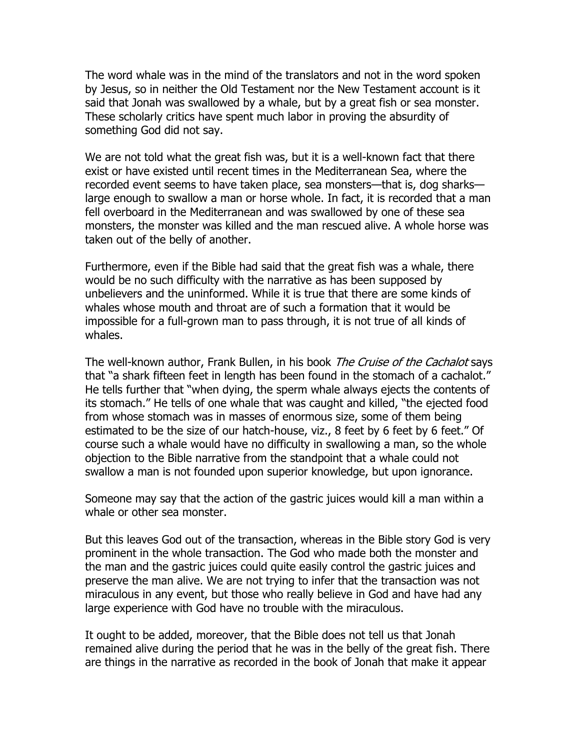The word whale was in the mind of the translators and not in the word spoken by Jesus, so in neither the Old Testament nor the New Testament account is it said that Jonah was swallowed by a whale, but by a great fish or sea monster. These scholarly critics have spent much labor in proving the absurdity of something God did not say.

We are not told what the great fish was, but it is a well-known fact that there exist or have existed until recent times in the Mediterranean Sea, where the recorded event seems to have taken place, sea monsters—that is, dog sharks large enough to swallow a man or horse whole. In fact, it is recorded that a man fell overboard in the Mediterranean and was swallowed by one of these sea monsters, the monster was killed and the man rescued alive. A whole horse was taken out of the belly of another.

Furthermore, even if the Bible had said that the great fish was a whale, there would be no such difficulty with the narrative as has been supposed by unbelievers and the uninformed. While it is true that there are some kinds of whales whose mouth and throat are of such a formation that it would be impossible for a full-grown man to pass through, it is not true of all kinds of whales.

The well-known author, Frank Bullen, in his book *The Cruise of the Cachalot* says that "a shark fifteen feet in length has been found in the stomach of a cachalot." He tells further that "when dying, the sperm whale always ejects the contents of its stomach." He tells of one whale that was caught and killed, "the ejected food from whose stomach was in masses of enormous size, some of them being estimated to be the size of our hatch-house, viz., 8 feet by 6 feet by 6 feet." Of course such a whale would have no difficulty in swallowing a man, so the whole objection to the Bible narrative from the standpoint that a whale could not swallow a man is not founded upon superior knowledge, but upon ignorance.

Someone may say that the action of the gastric juices would kill a man within a whale or other sea monster.

But this leaves God out of the transaction, whereas in the Bible story God is very prominent in the whole transaction. The God who made both the monster and the man and the gastric juices could quite easily control the gastric juices and preserve the man alive. We are not trying to infer that the transaction was not miraculous in any event, but those who really believe in God and have had any large experience with God have no trouble with the miraculous.

It ought to be added, moreover, that the Bible does not tell us that Jonah remained alive during the period that he was in the belly of the great fish. There are things in the narrative as recorded in the book of Jonah that make it appear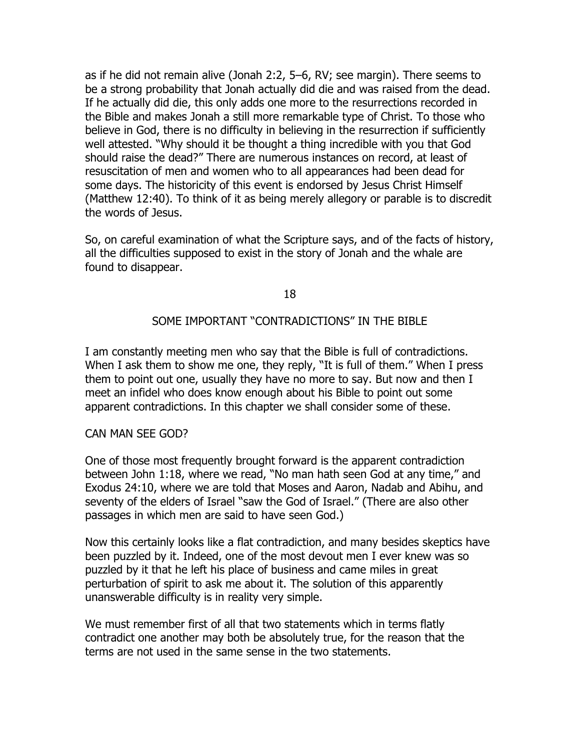as if he did not remain alive (Jonah 2:2, 5–6, RV; see margin). There seems to be a strong probability that Jonah actually did die and was raised from the dead. If he actually did die, this only adds one more to the resurrections recorded in the Bible and makes Jonah a still more remarkable type of Christ. To those who believe in God, there is no difficulty in believing in the resurrection if sufficiently well attested. "Why should it be thought a thing incredible with you that God should raise the dead?" There are numerous instances on record, at least of resuscitation of men and women who to all appearances had been dead for some days. The historicity of this event is endorsed by Jesus Christ Himself (Matthew 12:40). To think of it as being merely allegory or parable is to discredit the words of Jesus.

So, on careful examination of what the Scripture says, and of the facts of history, all the difficulties supposed to exist in the story of Jonah and the whale are found to disappear.

18

### SOME IMPORTANT "CONTRADICTIONS" IN THE BIBLE

I am constantly meeting men who say that the Bible is full of contradictions. When I ask them to show me one, they reply, "It is full of them." When I press them to point out one, usually they have no more to say. But now and then I meet an infidel who does know enough about his Bible to point out some apparent contradictions. In this chapter we shall consider some of these.

#### CAN MAN SEE GOD?

One of those most frequently brought forward is the apparent contradiction between John 1:18, where we read, "No man hath seen God at any time," and Exodus 24:10, where we are told that Moses and Aaron, Nadab and Abihu, and seventy of the elders of Israel "saw the God of Israel." (There are also other passages in which men are said to have seen God.)

Now this certainly looks like a flat contradiction, and many besides skeptics have been puzzled by it. Indeed, one of the most devout men I ever knew was so puzzled by it that he left his place of business and came miles in great perturbation of spirit to ask me about it. The solution of this apparently unanswerable difficulty is in reality very simple.

We must remember first of all that two statements which in terms flatly contradict one another may both be absolutely true, for the reason that the terms are not used in the same sense in the two statements.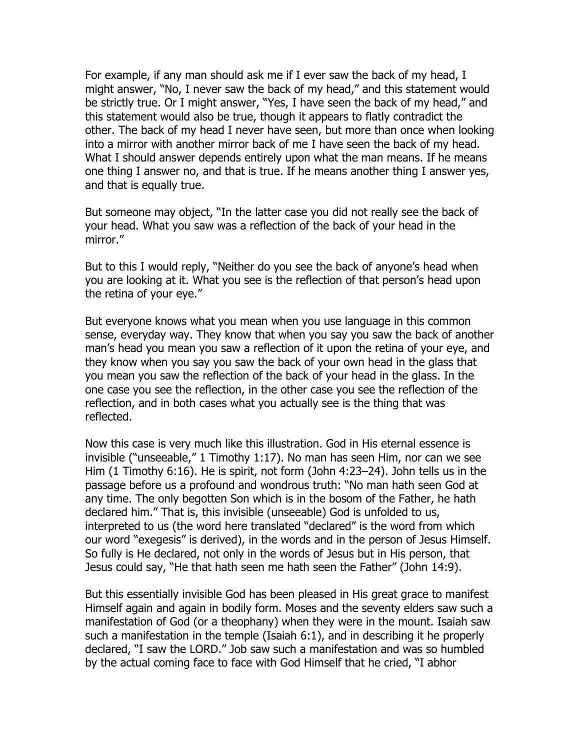For example, if any man should ask me if I ever saw the back of my head, I might answer, "No, I never saw the back of my head," and this statement would be strictly true. Or I might answer, "Yes, I have seen the back of my head," and this statement would also be true, though it appears to flatly contradict the other. The back of my head I never have seen, but more than once when looking into a mirror with another mirror back of me I have seen the back of my head. What I should answer depends entirely upon what the man means. If he means one thing I answer no, and that is true. If he means another thing I answer yes, and that is equally true.

But someone may object, "In the latter case you did not really see the back of your head. What you saw was a reflection of the back of your head in the mirror."

But to this I would reply, "Neither do you see the back of anyone's head when you are looking at it. What you see is the reflection of that person's head upon the retina of your eye."

But everyone knows what you mean when you use language in this common sense, everyday way. They know that when you say you saw the back of another man's head you mean you saw a reflection of it upon the retina of your eye, and they know when you say you saw the back of your own head in the glass that you mean you saw the reflection of the back of your head in the glass. In the one case you see the reflection, in the other case you see the reflection of the reflection, and in both cases what you actually see is the thing that was reflected.

Now this case is very much like this illustration. God in His eternal essence is invisible ("unseeable," 1 Timothy 1:17). No man has seen Him, nor can we see Him (1 Timothy 6:16). He is spirit, not form (John 4:23–24). John tells us in the passage before us a profound and wondrous truth: "No man hath seen God at any time. The only begotten Son which is in the bosom of the Father, he hath declared him." That is, this invisible (unseeable) God is unfolded to us, interpreted to us (the word here translated "declared" is the word from which our word "exegesis" is derived), in the words and in the person of Jesus Himself. So fully is He declared, not only in the words of Jesus but in His person, that Jesus could say, "He that hath seen me hath seen the Father" (John 14:9).

But this essentially invisible God has been pleased in His great grace to manifest Himself again and again in bodily form. Moses and the seventy elders saw such a manifestation of God (or a theophany) when they were in the mount. Isaiah saw such a manifestation in the temple (Isaiah 6:1), and in describing it he properly declared, "I saw the LORD." Job saw such a manifestation and was so humbled by the actual coming face to face with God Himself that he cried, "I abhor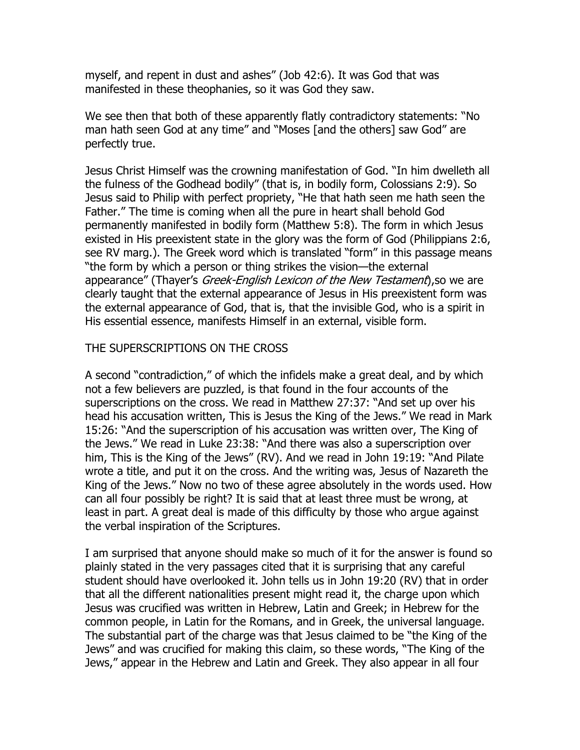myself, and repent in dust and ashes" (Job 42:6). It was God that was manifested in these theophanies, so it was God they saw.

We see then that both of these apparently flatly contradictory statements: "No man hath seen God at any time" and "Moses [and the others] saw God" are perfectly true.

Jesus Christ Himself was the crowning manifestation of God. "In him dwelleth all the fulness of the Godhead bodily" (that is, in bodily form, Colossians 2:9). So Jesus said to Philip with perfect propriety, "He that hath seen me hath seen the Father." The time is coming when all the pure in heart shall behold God permanently manifested in bodily form (Matthew 5:8). The form in which Jesus existed in His preexistent state in the glory was the form of God (Philippians 2:6, see RV marg.). The Greek word which is translated "form" in this passage means "the form by which a person or thing strikes the vision—the external appearance" (Thayer's Greek-English Lexicon of the New Testament), so we are clearly taught that the external appearance of Jesus in His preexistent form was the external appearance of God, that is, that the invisible God, who is a spirit in His essential essence, manifests Himself in an external, visible form.

## THE SUPERSCRIPTIONS ON THE CROSS

A second "contradiction," of which the infidels make a great deal, and by which not a few believers are puzzled, is that found in the four accounts of the superscriptions on the cross. We read in Matthew 27:37: "And set up over his head his accusation written, This is Jesus the King of the Jews." We read in Mark 15:26: "And the superscription of his accusation was written over, The King of the Jews." We read in Luke 23:38: "And there was also a superscription over him, This is the King of the Jews" (RV). And we read in John 19:19: "And Pilate wrote a title, and put it on the cross. And the writing was, Jesus of Nazareth the King of the Jews." Now no two of these agree absolutely in the words used. How can all four possibly be right? It is said that at least three must be wrong, at least in part. A great deal is made of this difficulty by those who argue against the verbal inspiration of the Scriptures.

I am surprised that anyone should make so much of it for the answer is found so plainly stated in the very passages cited that it is surprising that any careful student should have overlooked it. John tells us in John 19:20 (RV) that in order that all the different nationalities present might read it, the charge upon which Jesus was crucified was written in Hebrew, Latin and Greek; in Hebrew for the common people, in Latin for the Romans, and in Greek, the universal language. The substantial part of the charge was that Jesus claimed to be "the King of the Jews" and was crucified for making this claim, so these words, "The King of the Jews," appear in the Hebrew and Latin and Greek. They also appear in all four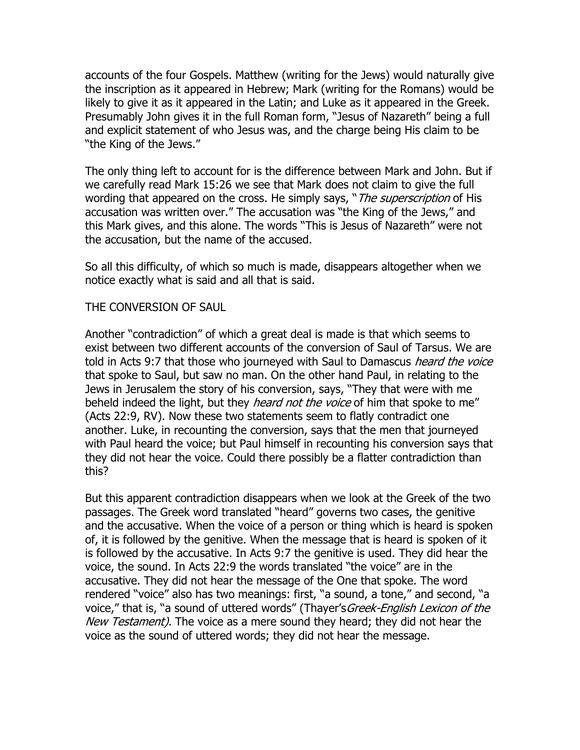accounts of the four Gospels. Matthew (writing for the Jews) would naturally give the inscription as it appeared in Hebrew; Mark (writing for the Romans) would be likely to give it as it appeared in the Latin; and Luke as it appeared in the Greek. Presumably John gives it in the full Roman form, "Jesus of Nazareth" being a full and explicit statement of who Jesus was, and the charge being His claim to be "the King of the Jews."

The only thing left to account for is the difference between Mark and John. But if we carefully read Mark 15:26 we see that Mark does not claim to give the full wording that appeared on the cross. He simply says, "The superscription of His accusation was written over." The accusation was "the King of the Jews," and this Mark gives, and this alone. The words "This is Jesus of Nazareth" were not the accusation, but the name of the accused.

So all this difficulty, of which so much is made, disappears altogether when we notice exactly what is said and all that is said.

THE CONVERSION OF SAUL

Another "contradiction" of which a great deal is made is that which seems to exist between two different accounts of the conversion of Saul of Tarsus. We are told in Acts 9:7 that those who journeyed with Saul to Damascus *heard the voice* that spoke to Saul, but saw no man. On the other hand Paul, in relating to the Jews in Jerusalem the story of his conversion, says, "They that were with me beheld indeed the light, but they *heard not the voice* of him that spoke to me" (Acts 22:9, RV). Now these two statements seem to flatly contradict one another. Luke, in recounting the conversion, says that the men that journeyed with Paul heard the voice; but Paul himself in recounting his conversion says that they did not hear the voice. Could there possibly be a flatter contradiction than this?

But this apparent contradiction disappears when we look at the Greek of the two passages. The Greek word translated "heard" governs two cases, the genitive and the accusative. When the voice of a person or thing which is heard is spoken of, it is followed by the genitive. When the message that is heard is spoken of it is followed by the accusative. In Acts 9:7 the genitive is used. They did hear the voice, the sound. In Acts 22:9 the words translated "the voice" are in the accusative. They did not hear the message of the One that spoke. The word rendered "voice" also has two meanings: first, "a sound, a tone," and second, "a voice," that is, "a sound of uttered words" (Thayer's Greek-English Lexicon of the New Testament). The voice as a mere sound they heard; they did not hear the voice as the sound of uttered words; they did not hear the message.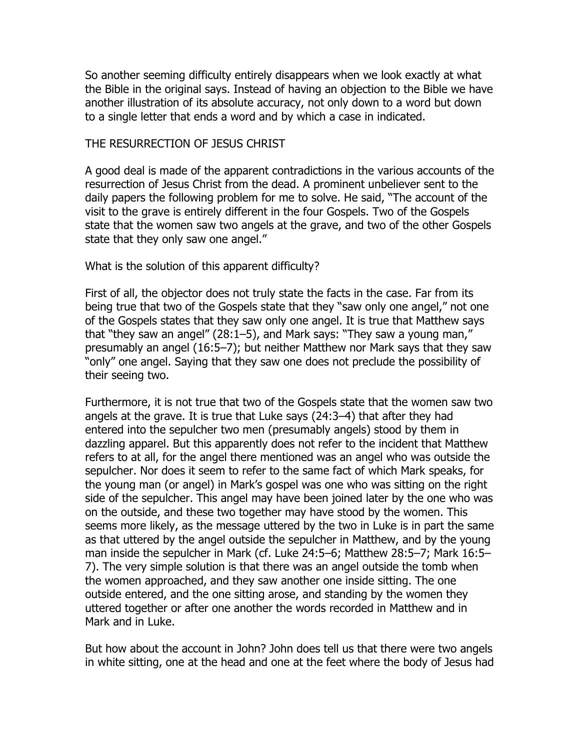So another seeming difficulty entirely disappears when we look exactly at what the Bible in the original says. Instead of having an objection to the Bible we have another illustration of its absolute accuracy, not only down to a word but down to a single letter that ends a word and by which a case in indicated.

### THE RESURRECTION OF JESUS CHRIST

A good deal is made of the apparent contradictions in the various accounts of the resurrection of Jesus Christ from the dead. A prominent unbeliever sent to the daily papers the following problem for me to solve. He said, "The account of the visit to the grave is entirely different in the four Gospels. Two of the Gospels state that the women saw two angels at the grave, and two of the other Gospels state that they only saw one angel."

What is the solution of this apparent difficulty?

First of all, the objector does not truly state the facts in the case. Far from its being true that two of the Gospels state that they "saw only one angel," not one of the Gospels states that they saw only one angel. It is true that Matthew says that "they saw an angel" (28:1–5), and Mark says: "They saw a young man," presumably an angel (16:5–7); but neither Matthew nor Mark says that they saw "only" one angel. Saying that they saw one does not preclude the possibility of their seeing two.

Furthermore, it is not true that two of the Gospels state that the women saw two angels at the grave. It is true that Luke says (24:3–4) that after they had entered into the sepulcher two men (presumably angels) stood by them in dazzling apparel. But this apparently does not refer to the incident that Matthew refers to at all, for the angel there mentioned was an angel who was outside the sepulcher. Nor does it seem to refer to the same fact of which Mark speaks, for the young man (or angel) in Mark's gospel was one who was sitting on the right side of the sepulcher. This angel may have been joined later by the one who was on the outside, and these two together may have stood by the women. This seems more likely, as the message uttered by the two in Luke is in part the same as that uttered by the angel outside the sepulcher in Matthew, and by the young man inside the sepulcher in Mark (cf. Luke 24:5–6; Matthew 28:5–7; Mark 16:5– 7). The very simple solution is that there was an angel outside the tomb when the women approached, and they saw another one inside sitting. The one outside entered, and the one sitting arose, and standing by the women they uttered together or after one another the words recorded in Matthew and in Mark and in Luke.

But how about the account in John? John does tell us that there were two angels in white sitting, one at the head and one at the feet where the body of Jesus had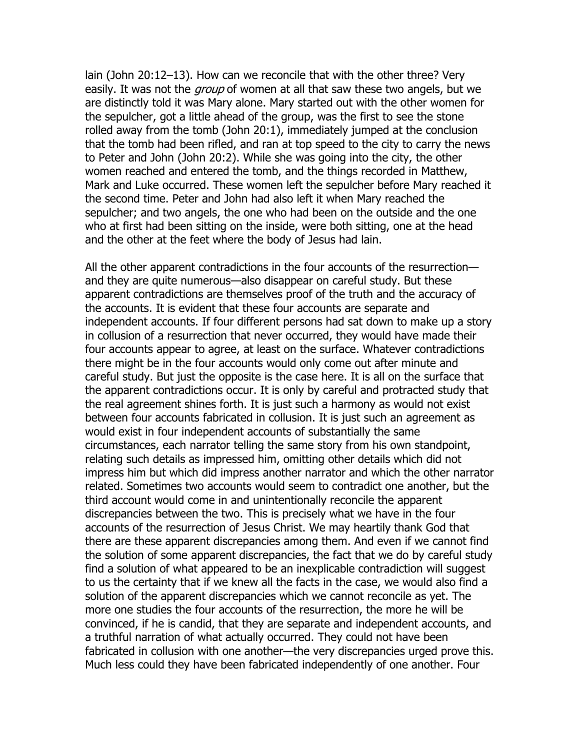lain (John 20:12–13). How can we reconcile that with the other three? Very easily. It was not the *group* of women at all that saw these two angels, but we are distinctly told it was Mary alone. Mary started out with the other women for the sepulcher, got a little ahead of the group, was the first to see the stone rolled away from the tomb (John 20:1), immediately jumped at the conclusion that the tomb had been rifled, and ran at top speed to the city to carry the news to Peter and John (John 20:2). While she was going into the city, the other women reached and entered the tomb, and the things recorded in Matthew, Mark and Luke occurred. These women left the sepulcher before Mary reached it the second time. Peter and John had also left it when Mary reached the sepulcher; and two angels, the one who had been on the outside and the one who at first had been sitting on the inside, were both sitting, one at the head and the other at the feet where the body of Jesus had lain.

All the other apparent contradictions in the four accounts of the resurrection and they are quite numerous—also disappear on careful study. But these apparent contradictions are themselves proof of the truth and the accuracy of the accounts. It is evident that these four accounts are separate and independent accounts. If four different persons had sat down to make up a story in collusion of a resurrection that never occurred, they would have made their four accounts appear to agree, at least on the surface. Whatever contradictions there might be in the four accounts would only come out after minute and careful study. But just the opposite is the case here. It is all on the surface that the apparent contradictions occur. It is only by careful and protracted study that the real agreement shines forth. It is just such a harmony as would not exist between four accounts fabricated in collusion. It is just such an agreement as would exist in four independent accounts of substantially the same circumstances, each narrator telling the same story from his own standpoint, relating such details as impressed him, omitting other details which did not impress him but which did impress another narrator and which the other narrator related. Sometimes two accounts would seem to contradict one another, but the third account would come in and unintentionally reconcile the apparent discrepancies between the two. This is precisely what we have in the four accounts of the resurrection of Jesus Christ. We may heartily thank God that there are these apparent discrepancies among them. And even if we cannot find the solution of some apparent discrepancies, the fact that we do by careful study find a solution of what appeared to be an inexplicable contradiction will suggest to us the certainty that if we knew all the facts in the case, we would also find a solution of the apparent discrepancies which we cannot reconcile as yet. The more one studies the four accounts of the resurrection, the more he will be convinced, if he is candid, that they are separate and independent accounts, and a truthful narration of what actually occurred. They could not have been fabricated in collusion with one another—the very discrepancies urged prove this. Much less could they have been fabricated independently of one another. Four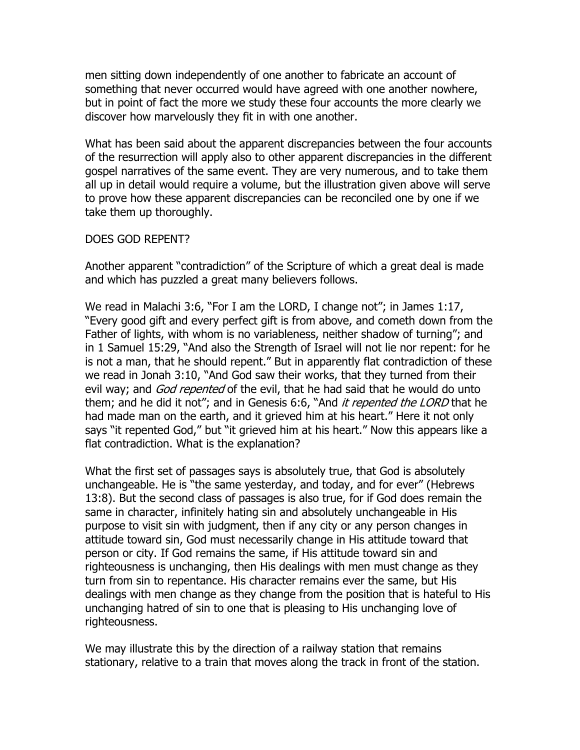men sitting down independently of one another to fabricate an account of something that never occurred would have agreed with one another nowhere, but in point of fact the more we study these four accounts the more clearly we discover how marvelously they fit in with one another.

What has been said about the apparent discrepancies between the four accounts of the resurrection will apply also to other apparent discrepancies in the different gospel narratives of the same event. They are very numerous, and to take them all up in detail would require a volume, but the illustration given above will serve to prove how these apparent discrepancies can be reconciled one by one if we take them up thoroughly.

### DOES GOD REPENT?

Another apparent "contradiction" of the Scripture of which a great deal is made and which has puzzled a great many believers follows.

We read in Malachi 3:6, "For I am the LORD, I change not"; in James 1:17, "Every good gift and every perfect gift is from above, and cometh down from the Father of lights, with whom is no variableness, neither shadow of turning"; and in 1 Samuel 15:29, "And also the Strength of Israel will not lie nor repent: for he is not a man, that he should repent." But in apparently flat contradiction of these we read in Jonah 3:10, "And God saw their works, that they turned from their evil way; and *God repented* of the evil, that he had said that he would do unto them; and he did it not"; and in Genesis 6:6, "And *it repented the LORD* that he had made man on the earth, and it grieved him at his heart." Here it not only says "it repented God," but "it grieved him at his heart." Now this appears like a flat contradiction. What is the explanation?

What the first set of passages says is absolutely true, that God is absolutely unchangeable. He is "the same yesterday, and today, and for ever" (Hebrews 13:8). But the second class of passages is also true, for if God does remain the same in character, infinitely hating sin and absolutely unchangeable in His purpose to visit sin with judgment, then if any city or any person changes in attitude toward sin, God must necessarily change in His attitude toward that person or city. If God remains the same, if His attitude toward sin and righteousness is unchanging, then His dealings with men must change as they turn from sin to repentance. His character remains ever the same, but His dealings with men change as they change from the position that is hateful to His unchanging hatred of sin to one that is pleasing to His unchanging love of righteousness.

We may illustrate this by the direction of a railway station that remains stationary, relative to a train that moves along the track in front of the station.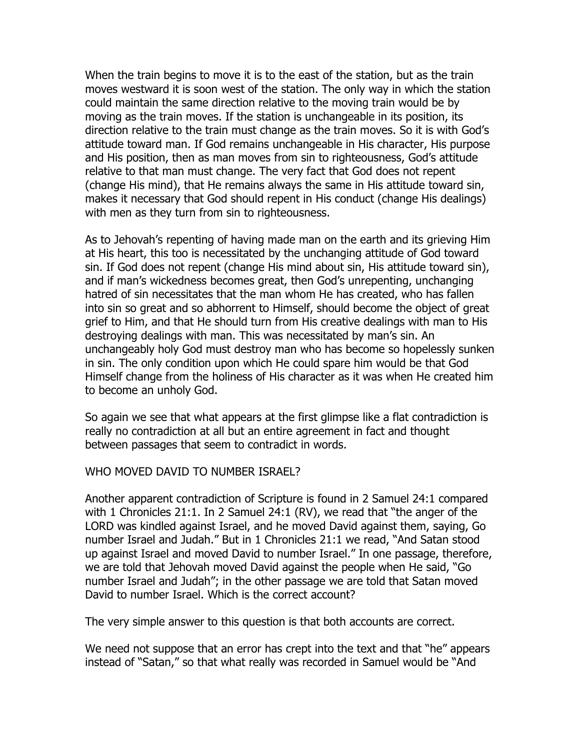When the train begins to move it is to the east of the station, but as the train moves westward it is soon west of the station. The only way in which the station could maintain the same direction relative to the moving train would be by moving as the train moves. If the station is unchangeable in its position, its direction relative to the train must change as the train moves. So it is with God's attitude toward man. If God remains unchangeable in His character, His purpose and His position, then as man moves from sin to righteousness, God's attitude relative to that man must change. The very fact that God does not repent (change His mind), that He remains always the same in His attitude toward sin, makes it necessary that God should repent in His conduct (change His dealings) with men as they turn from sin to righteousness.

As to Jehovah's repenting of having made man on the earth and its grieving Him at His heart, this too is necessitated by the unchanging attitude of God toward sin. If God does not repent (change His mind about sin, His attitude toward sin), and if man's wickedness becomes great, then God's unrepenting, unchanging hatred of sin necessitates that the man whom He has created, who has fallen into sin so great and so abhorrent to Himself, should become the object of great grief to Him, and that He should turn from His creative dealings with man to His destroying dealings with man. This was necessitated by man's sin. An unchangeably holy God must destroy man who has become so hopelessly sunken in sin. The only condition upon which He could spare him would be that God Himself change from the holiness of His character as it was when He created him to become an unholy God.

So again we see that what appears at the first glimpse like a flat contradiction is really no contradiction at all but an entire agreement in fact and thought between passages that seem to contradict in words.

#### WHO MOVED DAVID TO NUMBER ISRAEL?

Another apparent contradiction of Scripture is found in 2 Samuel 24:1 compared with 1 Chronicles 21:1. In 2 Samuel 24:1 (RV), we read that "the anger of the LORD was kindled against Israel, and he moved David against them, saying, Go number Israel and Judah." But in 1 Chronicles 21:1 we read, "And Satan stood up against Israel and moved David to number Israel." In one passage, therefore, we are told that Jehovah moved David against the people when He said, "Go number Israel and Judah"; in the other passage we are told that Satan moved David to number Israel. Which is the correct account?

The very simple answer to this question is that both accounts are correct.

We need not suppose that an error has crept into the text and that "he" appears instead of "Satan," so that what really was recorded in Samuel would be "And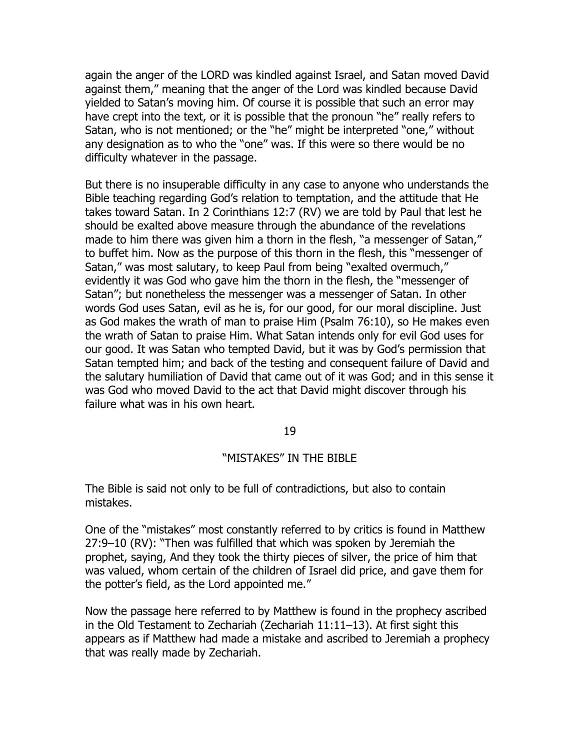again the anger of the LORD was kindled against Israel, and Satan moved David against them," meaning that the anger of the Lord was kindled because David yielded to Satan's moving him. Of course it is possible that such an error may have crept into the text, or it is possible that the pronoun "he" really refers to Satan, who is not mentioned; or the "he" might be interpreted "one," without any designation as to who the "one" was. If this were so there would be no difficulty whatever in the passage.

But there is no insuperable difficulty in any case to anyone who understands the Bible teaching regarding God's relation to temptation, and the attitude that He takes toward Satan. In 2 Corinthians 12:7 (RV) we are told by Paul that lest he should be exalted above measure through the abundance of the revelations made to him there was given him a thorn in the flesh, "a messenger of Satan," to buffet him. Now as the purpose of this thorn in the flesh, this "messenger of Satan," was most salutary, to keep Paul from being "exalted overmuch," evidently it was God who gave him the thorn in the flesh, the "messenger of Satan"; but nonetheless the messenger was a messenger of Satan. In other words God uses Satan, evil as he is, for our good, for our moral discipline. Just as God makes the wrath of man to praise Him (Psalm 76:10), so He makes even the wrath of Satan to praise Him. What Satan intends only for evil God uses for our good. It was Satan who tempted David, but it was by God's permission that Satan tempted him; and back of the testing and consequent failure of David and the salutary humiliation of David that came out of it was God; and in this sense it was God who moved David to the act that David might discover through his failure what was in his own heart.

19

## "MISTAKES" IN THE BIBLE

The Bible is said not only to be full of contradictions, but also to contain mistakes.

One of the "mistakes" most constantly referred to by critics is found in Matthew 27:9–10 (RV): "Then was fulfilled that which was spoken by Jeremiah the prophet, saying, And they took the thirty pieces of silver, the price of him that was valued, whom certain of the children of Israel did price, and gave them for the potter's field, as the Lord appointed me."

Now the passage here referred to by Matthew is found in the prophecy ascribed in the Old Testament to Zechariah (Zechariah 11:11–13). At first sight this appears as if Matthew had made a mistake and ascribed to Jeremiah a prophecy that was really made by Zechariah.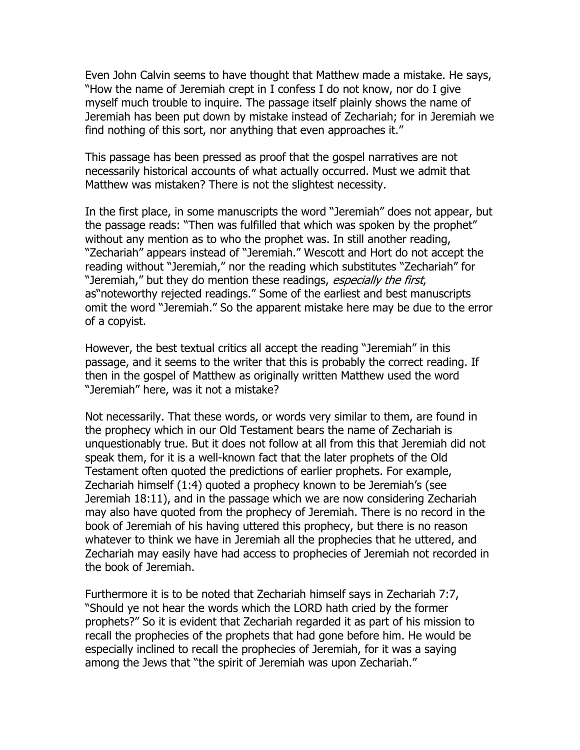Even John Calvin seems to have thought that Matthew made a mistake. He says, "How the name of Jeremiah crept in I confess I do not know, nor do I give myself much trouble to inquire. The passage itself plainly shows the name of Jeremiah has been put down by mistake instead of Zechariah; for in Jeremiah we find nothing of this sort, nor anything that even approaches it."

This passage has been pressed as proof that the gospel narratives are not necessarily historical accounts of what actually occurred. Must we admit that Matthew was mistaken? There is not the slightest necessity.

In the first place, in some manuscripts the word "Jeremiah" does not appear, but the passage reads: "Then was fulfilled that which was spoken by the prophet" without any mention as to who the prophet was. In still another reading, "Zechariah" appears instead of "Jeremiah." Wescott and Hort do not accept the reading without "Jeremiah," nor the reading which substitutes "Zechariah" for "Jeremiah," but they do mention these readings, especially the first, as"noteworthy rejected readings." Some of the earliest and best manuscripts omit the word "Jeremiah." So the apparent mistake here may be due to the error of a copyist.

However, the best textual critics all accept the reading "Jeremiah" in this passage, and it seems to the writer that this is probably the correct reading. If then in the gospel of Matthew as originally written Matthew used the word "Jeremiah" here, was it not a mistake?

Not necessarily. That these words, or words very similar to them, are found in the prophecy which in our Old Testament bears the name of Zechariah is unquestionably true. But it does not follow at all from this that Jeremiah did not speak them, for it is a well-known fact that the later prophets of the Old Testament often quoted the predictions of earlier prophets. For example, Zechariah himself (1:4) quoted a prophecy known to be Jeremiah's (see Jeremiah 18:11), and in the passage which we are now considering Zechariah may also have quoted from the prophecy of Jeremiah. There is no record in the book of Jeremiah of his having uttered this prophecy, but there is no reason whatever to think we have in Jeremiah all the prophecies that he uttered, and Zechariah may easily have had access to prophecies of Jeremiah not recorded in the book of Jeremiah.

Furthermore it is to be noted that Zechariah himself says in Zechariah 7:7, "Should ye not hear the words which the LORD hath cried by the former prophets?" So it is evident that Zechariah regarded it as part of his mission to recall the prophecies of the prophets that had gone before him. He would be especially inclined to recall the prophecies of Jeremiah, for it was a saying among the Jews that "the spirit of Jeremiah was upon Zechariah."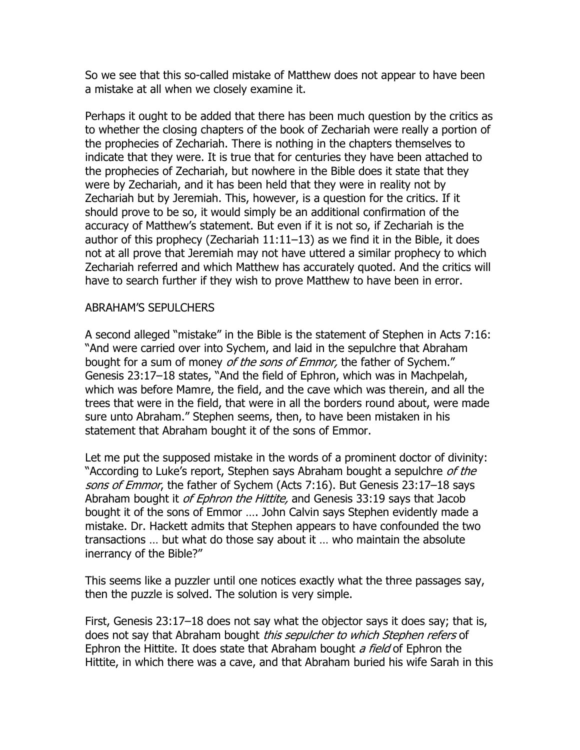So we see that this so-called mistake of Matthew does not appear to have been a mistake at all when we closely examine it.

Perhaps it ought to be added that there has been much question by the critics as to whether the closing chapters of the book of Zechariah were really a portion of the prophecies of Zechariah. There is nothing in the chapters themselves to indicate that they were. It is true that for centuries they have been attached to the prophecies of Zechariah, but nowhere in the Bible does it state that they were by Zechariah, and it has been held that they were in reality not by Zechariah but by Jeremiah. This, however, is a question for the critics. If it should prove to be so, it would simply be an additional confirmation of the accuracy of Matthew's statement. But even if it is not so, if Zechariah is the author of this prophecy (Zechariah 11:11–13) as we find it in the Bible, it does not at all prove that Jeremiah may not have uttered a similar prophecy to which Zechariah referred and which Matthew has accurately quoted. And the critics will have to search further if they wish to prove Matthew to have been in error.

### ABRAHAM'S SEPULCHERS

A second alleged "mistake" in the Bible is the statement of Stephen in Acts 7:16: "And were carried over into Sychem, and laid in the sepulchre that Abraham bought for a sum of money of the sons of Emmor, the father of Sychem." Genesis 23:17–18 states, "And the field of Ephron, which was in Machpelah, which was before Mamre, the field, and the cave which was therein, and all the trees that were in the field, that were in all the borders round about, were made sure unto Abraham." Stephen seems, then, to have been mistaken in his statement that Abraham bought it of the sons of Emmor.

Let me put the supposed mistake in the words of a prominent doctor of divinity: "According to Luke's report, Stephen says Abraham bought a sepulchre of the sons of Emmor, the father of Sychem (Acts 7:16). But Genesis 23:17-18 says Abraham bought it *of Ephron the Hittite*, and Genesis 33:19 says that Jacob bought it of the sons of Emmor …. John Calvin says Stephen evidently made a mistake. Dr. Hackett admits that Stephen appears to have confounded the two transactions … but what do those say about it … who maintain the absolute inerrancy of the Bible?"

This seems like a puzzler until one notices exactly what the three passages say, then the puzzle is solved. The solution is very simple.

First, Genesis 23:17–18 does not say what the objector says it does say; that is, does not say that Abraham bought this sepulcher to which Stephen refers of Ephron the Hittite. It does state that Abraham bought a field of Ephron the Hittite, in which there was a cave, and that Abraham buried his wife Sarah in this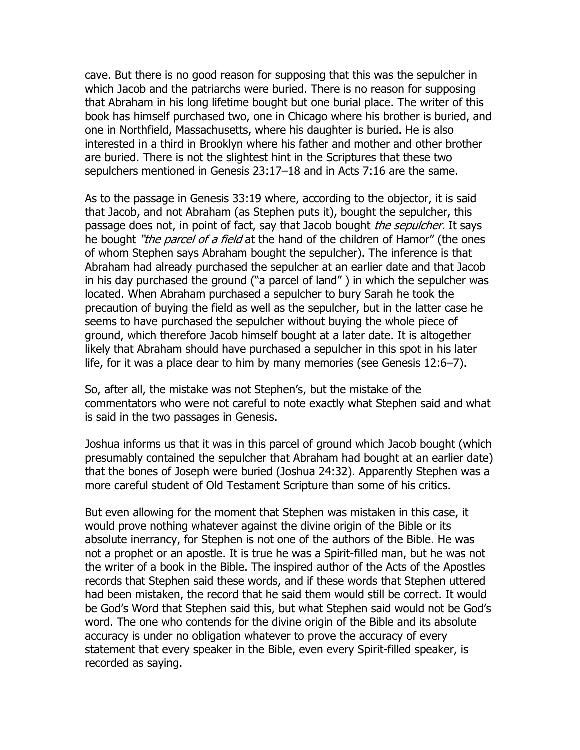cave. But there is no good reason for supposing that this was the sepulcher in which Jacob and the patriarchs were buried. There is no reason for supposing that Abraham in his long lifetime bought but one burial place. The writer of this book has himself purchased two, one in Chicago where his brother is buried, and one in Northfield, Massachusetts, where his daughter is buried. He is also interested in a third in Brooklyn where his father and mother and other brother are buried. There is not the slightest hint in the Scriptures that these two sepulchers mentioned in Genesis 23:17–18 and in Acts 7:16 are the same.

As to the passage in Genesis 33:19 where, according to the objector, it is said that Jacob, and not Abraham (as Stephen puts it), bought the sepulcher, this passage does not, in point of fact, say that Jacob bought *the sepulcher*. It says he bought "*the parcel of a field* at the hand of the children of Hamor" (the ones of whom Stephen says Abraham bought the sepulcher). The inference is that Abraham had already purchased the sepulcher at an earlier date and that Jacob in his day purchased the ground ("a parcel of land" ) in which the sepulcher was located. When Abraham purchased a sepulcher to bury Sarah he took the precaution of buying the field as well as the sepulcher, but in the latter case he seems to have purchased the sepulcher without buying the whole piece of ground, which therefore Jacob himself bought at a later date. It is altogether likely that Abraham should have purchased a sepulcher in this spot in his later life, for it was a place dear to him by many memories (see Genesis 12:6–7).

So, after all, the mistake was not Stephen's, but the mistake of the commentators who were not careful to note exactly what Stephen said and what is said in the two passages in Genesis.

Joshua informs us that it was in this parcel of ground which Jacob bought (which presumably contained the sepulcher that Abraham had bought at an earlier date) that the bones of Joseph were buried (Joshua 24:32). Apparently Stephen was a more careful student of Old Testament Scripture than some of his critics.

But even allowing for the moment that Stephen was mistaken in this case, it would prove nothing whatever against the divine origin of the Bible or its absolute inerrancy, for Stephen is not one of the authors of the Bible. He was not a prophet or an apostle. It is true he was a Spirit-filled man, but he was not the writer of a book in the Bible. The inspired author of the Acts of the Apostles records that Stephen said these words, and if these words that Stephen uttered had been mistaken, the record that he said them would still be correct. It would be God's Word that Stephen said this, but what Stephen said would not be God's word. The one who contends for the divine origin of the Bible and its absolute accuracy is under no obligation whatever to prove the accuracy of every statement that every speaker in the Bible, even every Spirit-filled speaker, is recorded as saying.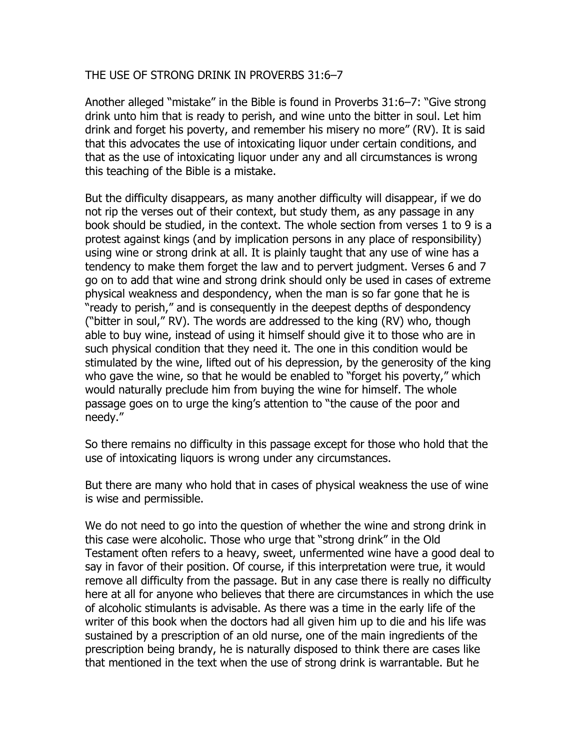## THE USE OF STRONG DRINK IN PROVERBS 31:6–7

Another alleged "mistake" in the Bible is found in Proverbs 31:6–7: "Give strong drink unto him that is ready to perish, and wine unto the bitter in soul. Let him drink and forget his poverty, and remember his misery no more" (RV). It is said that this advocates the use of intoxicating liquor under certain conditions, and that as the use of intoxicating liquor under any and all circumstances is wrong this teaching of the Bible is a mistake.

But the difficulty disappears, as many another difficulty will disappear, if we do not rip the verses out of their context, but study them, as any passage in any book should be studied, in the context. The whole section from verses 1 to 9 is a protest against kings (and by implication persons in any place of responsibility) using wine or strong drink at all. It is plainly taught that any use of wine has a tendency to make them forget the law and to pervert judgment. Verses 6 and 7 go on to add that wine and strong drink should only be used in cases of extreme physical weakness and despondency, when the man is so far gone that he is "ready to perish," and is consequently in the deepest depths of despondency ("bitter in soul," RV). The words are addressed to the king (RV) who, though able to buy wine, instead of using it himself should give it to those who are in such physical condition that they need it. The one in this condition would be stimulated by the wine, lifted out of his depression, by the generosity of the king who gave the wine, so that he would be enabled to "forget his poverty," which would naturally preclude him from buying the wine for himself. The whole passage goes on to urge the king's attention to "the cause of the poor and needy."

So there remains no difficulty in this passage except for those who hold that the use of intoxicating liquors is wrong under any circumstances.

But there are many who hold that in cases of physical weakness the use of wine is wise and permissible.

We do not need to go into the question of whether the wine and strong drink in this case were alcoholic. Those who urge that "strong drink" in the Old Testament often refers to a heavy, sweet, unfermented wine have a good deal to say in favor of their position. Of course, if this interpretation were true, it would remove all difficulty from the passage. But in any case there is really no difficulty here at all for anyone who believes that there are circumstances in which the use of alcoholic stimulants is advisable. As there was a time in the early life of the writer of this book when the doctors had all given him up to die and his life was sustained by a prescription of an old nurse, one of the main ingredients of the prescription being brandy, he is naturally disposed to think there are cases like that mentioned in the text when the use of strong drink is warrantable. But he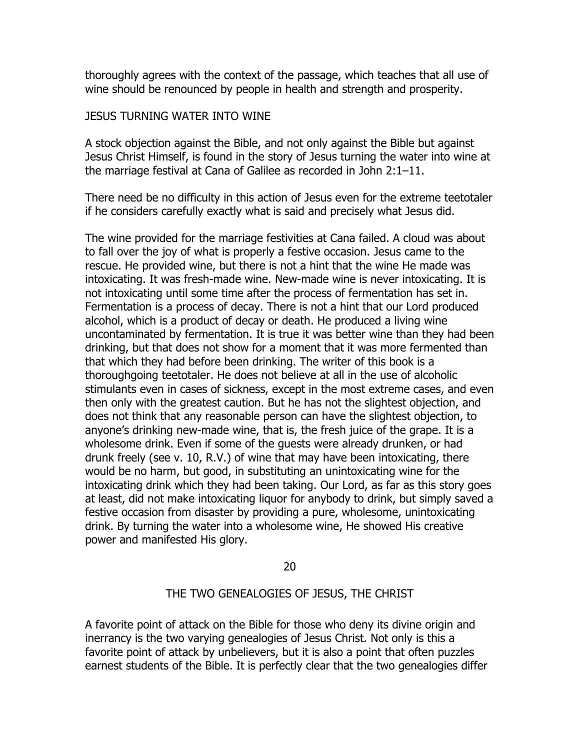thoroughly agrees with the context of the passage, which teaches that all use of wine should be renounced by people in health and strength and prosperity.

#### JESUS TURNING WATER INTO WINE

A stock objection against the Bible, and not only against the Bible but against Jesus Christ Himself, is found in the story of Jesus turning the water into wine at the marriage festival at Cana of Galilee as recorded in John 2:1–11.

There need be no difficulty in this action of Jesus even for the extreme teetotaler if he considers carefully exactly what is said and precisely what Jesus did.

The wine provided for the marriage festivities at Cana failed. A cloud was about to fall over the joy of what is properly a festive occasion. Jesus came to the rescue. He provided wine, but there is not a hint that the wine He made was intoxicating. It was fresh-made wine. New-made wine is never intoxicating. It is not intoxicating until some time after the process of fermentation has set in. Fermentation is a process of decay. There is not a hint that our Lord produced alcohol, which is a product of decay or death. He produced a living wine uncontaminated by fermentation. It is true it was better wine than they had been drinking, but that does not show for a moment that it was more fermented than that which they had before been drinking. The writer of this book is a thoroughgoing teetotaler. He does not believe at all in the use of alcoholic stimulants even in cases of sickness, except in the most extreme cases, and even then only with the greatest caution. But he has not the slightest objection, and does not think that any reasonable person can have the slightest objection, to anyone's drinking new-made wine, that is, the fresh juice of the grape. It is a wholesome drink. Even if some of the guests were already drunken, or had drunk freely (see v. 10, R.V.) of wine that may have been intoxicating, there would be no harm, but good, in substituting an unintoxicating wine for the intoxicating drink which they had been taking. Our Lord, as far as this story goes at least, did not make intoxicating liquor for anybody to drink, but simply saved a festive occasion from disaster by providing a pure, wholesome, unintoxicating drink. By turning the water into a wholesome wine, He showed His creative power and manifested His glory.

20

### THE TWO GENEALOGIES OF JESUS, THE CHRIST

A favorite point of attack on the Bible for those who deny its divine origin and inerrancy is the two varying genealogies of Jesus Christ. Not only is this a favorite point of attack by unbelievers, but it is also a point that often puzzles earnest students of the Bible. It is perfectly clear that the two genealogies differ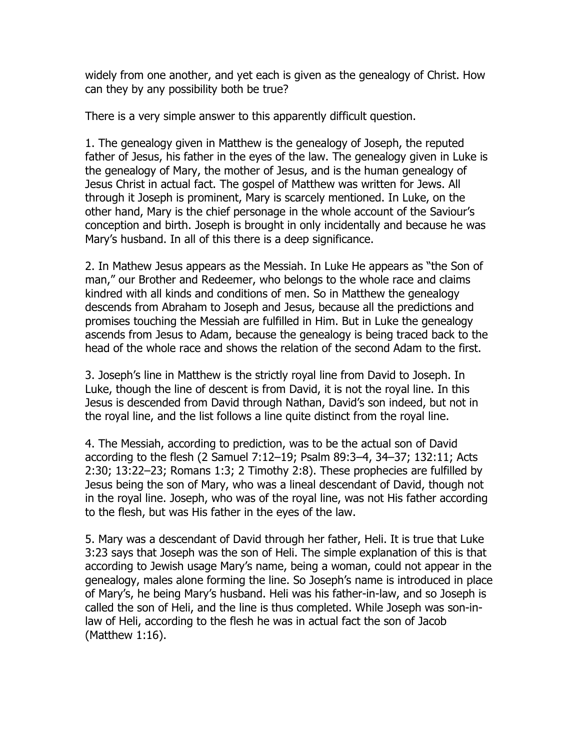widely from one another, and yet each is given as the genealogy of Christ. How can they by any possibility both be true?

There is a very simple answer to this apparently difficult question.

1. The genealogy given in Matthew is the genealogy of Joseph, the reputed father of Jesus, his father in the eyes of the law. The genealogy given in Luke is the genealogy of Mary, the mother of Jesus, and is the human genealogy of Jesus Christ in actual fact. The gospel of Matthew was written for Jews. All through it Joseph is prominent, Mary is scarcely mentioned. In Luke, on the other hand, Mary is the chief personage in the whole account of the Saviour's conception and birth. Joseph is brought in only incidentally and because he was Mary's husband. In all of this there is a deep significance.

2. In Mathew Jesus appears as the Messiah. In Luke He appears as "the Son of man," our Brother and Redeemer, who belongs to the whole race and claims kindred with all kinds and conditions of men. So in Matthew the genealogy descends from Abraham to Joseph and Jesus, because all the predictions and promises touching the Messiah are fulfilled in Him. But in Luke the genealogy ascends from Jesus to Adam, because the genealogy is being traced back to the head of the whole race and shows the relation of the second Adam to the first.

3. Joseph's line in Matthew is the strictly royal line from David to Joseph. In Luke, though the line of descent is from David, it is not the royal line. In this Jesus is descended from David through Nathan, David's son indeed, but not in the royal line, and the list follows a line quite distinct from the royal line.

4. The Messiah, according to prediction, was to be the actual son of David according to the flesh (2 Samuel 7:12–19; Psalm 89:3–4, 34–37; 132:11; Acts 2:30; 13:22–23; Romans 1:3; 2 Timothy 2:8). These prophecies are fulfilled by Jesus being the son of Mary, who was a lineal descendant of David, though not in the royal line. Joseph, who was of the royal line, was not His father according to the flesh, but was His father in the eyes of the law.

5. Mary was a descendant of David through her father, Heli. It is true that Luke 3:23 says that Joseph was the son of Heli. The simple explanation of this is that according to Jewish usage Mary's name, being a woman, could not appear in the genealogy, males alone forming the line. So Joseph's name is introduced in place of Mary's, he being Mary's husband. Heli was his father-in-law, and so Joseph is called the son of Heli, and the line is thus completed. While Joseph was son-inlaw of Heli, according to the flesh he was in actual fact the son of Jacob (Matthew 1:16).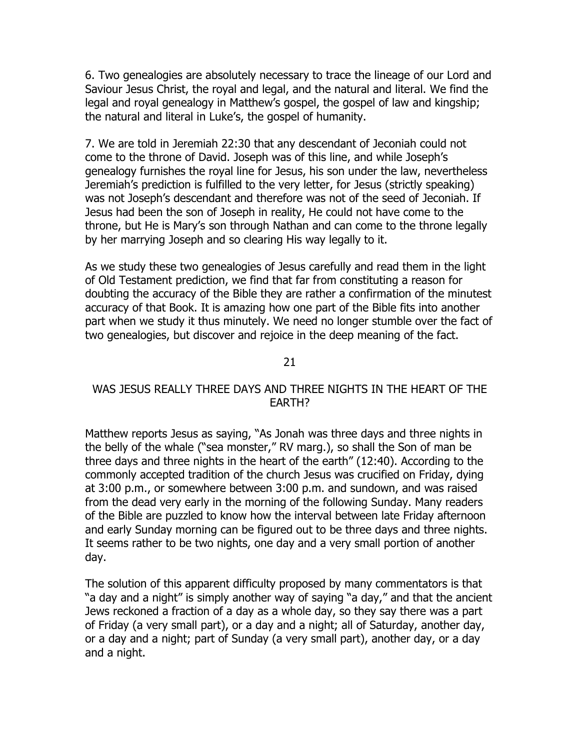6. Two genealogies are absolutely necessary to trace the lineage of our Lord and Saviour Jesus Christ, the royal and legal, and the natural and literal. We find the legal and royal genealogy in Matthew's gospel, the gospel of law and kingship; the natural and literal in Luke's, the gospel of humanity.

7. We are told in Jeremiah 22:30 that any descendant of Jeconiah could not come to the throne of David. Joseph was of this line, and while Joseph's genealogy furnishes the royal line for Jesus, his son under the law, nevertheless Jeremiah's prediction is fulfilled to the very letter, for Jesus (strictly speaking) was not Joseph's descendant and therefore was not of the seed of Jeconiah. If Jesus had been the son of Joseph in reality, He could not have come to the throne, but He is Mary's son through Nathan and can come to the throne legally by her marrying Joseph and so clearing His way legally to it.

As we study these two genealogies of Jesus carefully and read them in the light of Old Testament prediction, we find that far from constituting a reason for doubting the accuracy of the Bible they are rather a confirmation of the minutest accuracy of that Book. It is amazing how one part of the Bible fits into another part when we study it thus minutely. We need no longer stumble over the fact of two genealogies, but discover and rejoice in the deep meaning of the fact.

### 21

## WAS JESUS REALLY THREE DAYS AND THREE NIGHTS IN THE HEART OF THE EARTH?

Matthew reports Jesus as saying, "As Jonah was three days and three nights in the belly of the whale ("sea monster," RV marg.), so shall the Son of man be three days and three nights in the heart of the earth" (12:40). According to the commonly accepted tradition of the church Jesus was crucified on Friday, dying at 3:00 p.m., or somewhere between 3:00 p.m. and sundown, and was raised from the dead very early in the morning of the following Sunday. Many readers of the Bible are puzzled to know how the interval between late Friday afternoon and early Sunday morning can be figured out to be three days and three nights. It seems rather to be two nights, one day and a very small portion of another day.

The solution of this apparent difficulty proposed by many commentators is that "a day and a night" is simply another way of saying "a day," and that the ancient Jews reckoned a fraction of a day as a whole day, so they say there was a part of Friday (a very small part), or a day and a night; all of Saturday, another day, or a day and a night; part of Sunday (a very small part), another day, or a day and a night.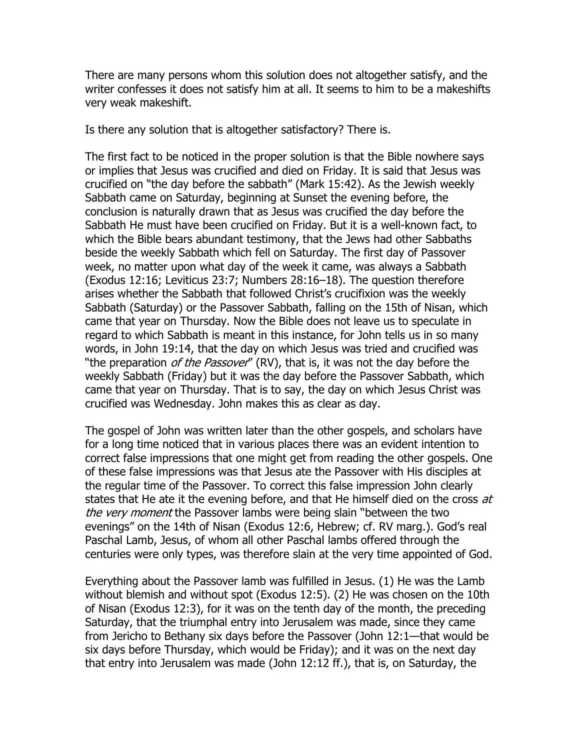There are many persons whom this solution does not altogether satisfy, and the writer confesses it does not satisfy him at all. It seems to him to be a makeshifts very weak makeshift.

Is there any solution that is altogether satisfactory? There is.

The first fact to be noticed in the proper solution is that the Bible nowhere says or implies that Jesus was crucified and died on Friday. It is said that Jesus was crucified on "the day before the sabbath" (Mark 15:42). As the Jewish weekly Sabbath came on Saturday, beginning at Sunset the evening before, the conclusion is naturally drawn that as Jesus was crucified the day before the Sabbath He must have been crucified on Friday. But it is a well-known fact, to which the Bible bears abundant testimony, that the Jews had other Sabbaths beside the weekly Sabbath which fell on Saturday. The first day of Passover week, no matter upon what day of the week it came, was always a Sabbath (Exodus 12:16; Leviticus 23:7; Numbers 28:16–18). The question therefore arises whether the Sabbath that followed Christ's crucifixion was the weekly Sabbath (Saturday) or the Passover Sabbath, falling on the 15th of Nisan, which came that year on Thursday. Now the Bible does not leave us to speculate in regard to which Sabbath is meant in this instance, for John tells us in so many words, in John 19:14, that the day on which Jesus was tried and crucified was "the preparation *of the Passover*" (RV), that is, it was not the day before the weekly Sabbath (Friday) but it was the day before the Passover Sabbath, which came that year on Thursday. That is to say, the day on which Jesus Christ was crucified was Wednesday. John makes this as clear as day.

The gospel of John was written later than the other gospels, and scholars have for a long time noticed that in various places there was an evident intention to correct false impressions that one might get from reading the other gospels. One of these false impressions was that Jesus ate the Passover with His disciples at the regular time of the Passover. To correct this false impression John clearly states that He ate it the evening before, and that He himself died on the cross at the very moment the Passover lambs were being slain "between the two evenings" on the 14th of Nisan (Exodus 12:6, Hebrew; cf. RV marg.). God's real Paschal Lamb, Jesus, of whom all other Paschal lambs offered through the centuries were only types, was therefore slain at the very time appointed of God.

Everything about the Passover lamb was fulfilled in Jesus. (1) He was the Lamb without blemish and without spot (Exodus 12:5). (2) He was chosen on the 10th of Nisan (Exodus 12:3), for it was on the tenth day of the month, the preceding Saturday, that the triumphal entry into Jerusalem was made, since they came from Jericho to Bethany six days before the Passover (John 12:1—that would be six days before Thursday, which would be Friday); and it was on the next day that entry into Jerusalem was made (John 12:12 ff.), that is, on Saturday, the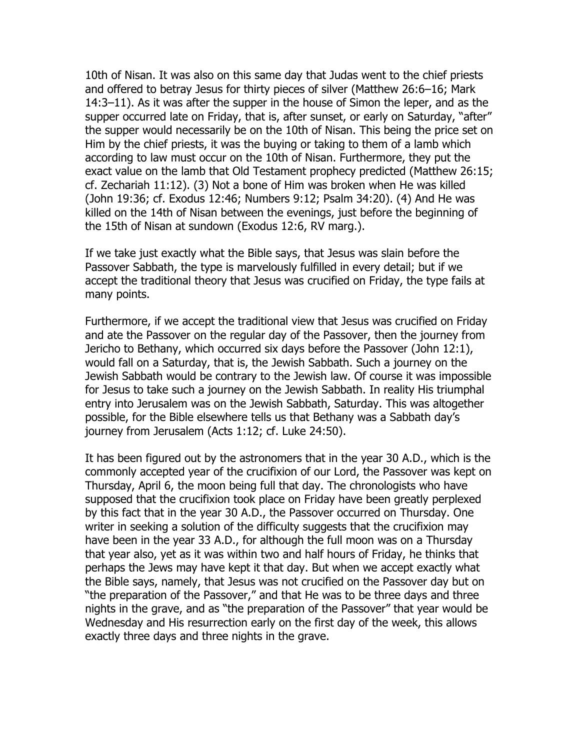10th of Nisan. It was also on this same day that Judas went to the chief priests and offered to betray Jesus for thirty pieces of silver (Matthew 26:6–16; Mark 14:3–11). As it was after the supper in the house of Simon the leper, and as the supper occurred late on Friday, that is, after sunset, or early on Saturday, "after" the supper would necessarily be on the 10th of Nisan. This being the price set on Him by the chief priests, it was the buying or taking to them of a lamb which according to law must occur on the 10th of Nisan. Furthermore, they put the exact value on the lamb that Old Testament prophecy predicted (Matthew 26:15; cf. Zechariah 11:12). (3) Not a bone of Him was broken when He was killed (John 19:36; cf. Exodus 12:46; Numbers 9:12; Psalm 34:20). (4) And He was killed on the 14th of Nisan between the evenings, just before the beginning of the 15th of Nisan at sundown (Exodus 12:6, RV marg.).

If we take just exactly what the Bible says, that Jesus was slain before the Passover Sabbath, the type is marvelously fulfilled in every detail; but if we accept the traditional theory that Jesus was crucified on Friday, the type fails at many points.

Furthermore, if we accept the traditional view that Jesus was crucified on Friday and ate the Passover on the regular day of the Passover, then the journey from Jericho to Bethany, which occurred six days before the Passover (John 12:1), would fall on a Saturday, that is, the Jewish Sabbath. Such a journey on the Jewish Sabbath would be contrary to the Jewish law. Of course it was impossible for Jesus to take such a journey on the Jewish Sabbath. In reality His triumphal entry into Jerusalem was on the Jewish Sabbath, Saturday. This was altogether possible, for the Bible elsewhere tells us that Bethany was a Sabbath day's journey from Jerusalem (Acts 1:12; cf. Luke 24:50).

It has been figured out by the astronomers that in the year 30 A.D., which is the commonly accepted year of the crucifixion of our Lord, the Passover was kept on Thursday, April 6, the moon being full that day. The chronologists who have supposed that the crucifixion took place on Friday have been greatly perplexed by this fact that in the year 30 A.D., the Passover occurred on Thursday. One writer in seeking a solution of the difficulty suggests that the crucifixion may have been in the year 33 A.D., for although the full moon was on a Thursday that year also, yet as it was within two and half hours of Friday, he thinks that perhaps the Jews may have kept it that day. But when we accept exactly what the Bible says, namely, that Jesus was not crucified on the Passover day but on "the preparation of the Passover," and that He was to be three days and three nights in the grave, and as "the preparation of the Passover" that year would be Wednesday and His resurrection early on the first day of the week, this allows exactly three days and three nights in the grave.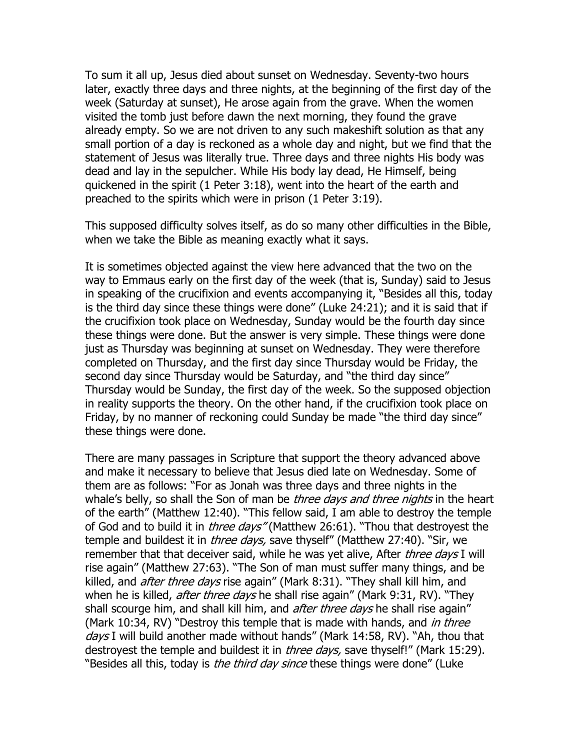To sum it all up, Jesus died about sunset on Wednesday. Seventy-two hours later, exactly three days and three nights, at the beginning of the first day of the week (Saturday at sunset), He arose again from the grave. When the women visited the tomb just before dawn the next morning, they found the grave already empty. So we are not driven to any such makeshift solution as that any small portion of a day is reckoned as a whole day and night, but we find that the statement of Jesus was literally true. Three days and three nights His body was dead and lay in the sepulcher. While His body lay dead, He Himself, being quickened in the spirit (1 Peter 3:18), went into the heart of the earth and preached to the spirits which were in prison (1 Peter 3:19).

This supposed difficulty solves itself, as do so many other difficulties in the Bible, when we take the Bible as meaning exactly what it says.

It is sometimes objected against the view here advanced that the two on the way to Emmaus early on the first day of the week (that is, Sunday) said to Jesus in speaking of the crucifixion and events accompanying it, "Besides all this, today is the third day since these things were done" (Luke 24:21); and it is said that if the crucifixion took place on Wednesday, Sunday would be the fourth day since these things were done. But the answer is very simple. These things were done just as Thursday was beginning at sunset on Wednesday. They were therefore completed on Thursday, and the first day since Thursday would be Friday, the second day since Thursday would be Saturday, and "the third day since" Thursday would be Sunday, the first day of the week. So the supposed objection in reality supports the theory. On the other hand, if the crucifixion took place on Friday, by no manner of reckoning could Sunday be made "the third day since" these things were done.

There are many passages in Scripture that support the theory advanced above and make it necessary to believe that Jesus died late on Wednesday. Some of them are as follows: "For as Jonah was three days and three nights in the whale's belly, so shall the Son of man be *three days and three nights* in the heart of the earth" (Matthew 12:40). "This fellow said, I am able to destroy the temple of God and to build it in *three days*" (Matthew 26:61). "Thou that destroyest the temple and buildest it in *three days,* save thyself" (Matthew 27:40). "Sir, we remember that that deceiver said, while he was yet alive, After three days I will rise again" (Matthew 27:63). "The Son of man must suffer many things, and be killed, and *after three days* rise again" (Mark 8:31). "They shall kill him, and when he is killed, *after three days* he shall rise again" (Mark 9:31, RV). "They shall scourge him, and shall kill him, and *after three days* he shall rise again" (Mark 10:34, RV) "Destroy this temple that is made with hands, and in three days I will build another made without hands" (Mark 14:58, RV). "Ah, thou that destroyest the temple and buildest it in *three days*, save thyself!" (Mark 15:29). "Besides all this, today is *the third day since* these things were done" (Luke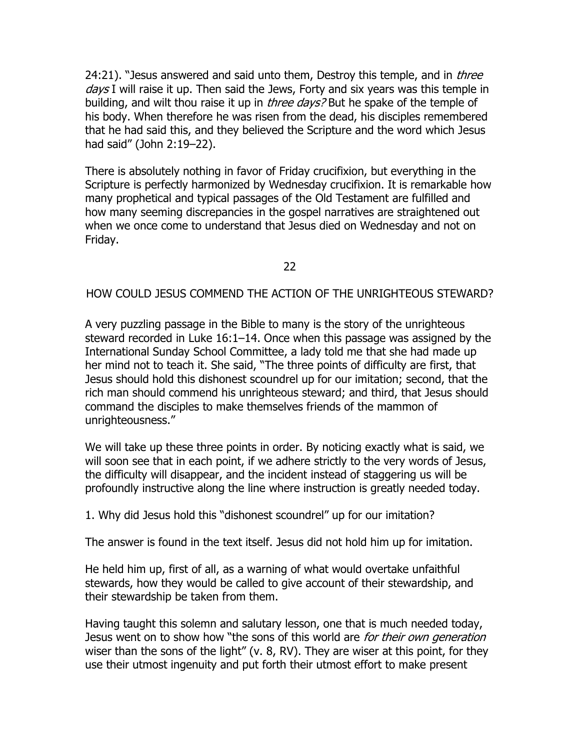24:21). "Jesus answered and said unto them, Destroy this temple, and in *three* days I will raise it up. Then said the Jews, Forty and six years was this temple in building, and wilt thou raise it up in *three days?* But he spake of the temple of his body. When therefore he was risen from the dead, his disciples remembered that he had said this, and they believed the Scripture and the word which Jesus had said" (John 2:19–22).

There is absolutely nothing in favor of Friday crucifixion, but everything in the Scripture is perfectly harmonized by Wednesday crucifixion. It is remarkable how many prophetical and typical passages of the Old Testament are fulfilled and how many seeming discrepancies in the gospel narratives are straightened out when we once come to understand that Jesus died on Wednesday and not on Friday.

22

## HOW COULD JESUS COMMEND THE ACTION OF THE UNRIGHTEOUS STEWARD?

A very puzzling passage in the Bible to many is the story of the unrighteous steward recorded in Luke 16:1–14. Once when this passage was assigned by the International Sunday School Committee, a lady told me that she had made up her mind not to teach it. She said, "The three points of difficulty are first, that Jesus should hold this dishonest scoundrel up for our imitation; second, that the rich man should commend his unrighteous steward; and third, that Jesus should command the disciples to make themselves friends of the mammon of unrighteousness."

We will take up these three points in order. By noticing exactly what is said, we will soon see that in each point, if we adhere strictly to the very words of Jesus, the difficulty will disappear, and the incident instead of staggering us will be profoundly instructive along the line where instruction is greatly needed today.

1. Why did Jesus hold this "dishonest scoundrel" up for our imitation?

The answer is found in the text itself. Jesus did not hold him up for imitation.

He held him up, first of all, as a warning of what would overtake unfaithful stewards, how they would be called to give account of their stewardship, and their stewardship be taken from them.

Having taught this solemn and salutary lesson, one that is much needed today, Jesus went on to show how "the sons of this world are *for their own generation* wiser than the sons of the light" (v. 8, RV). They are wiser at this point, for they use their utmost ingenuity and put forth their utmost effort to make present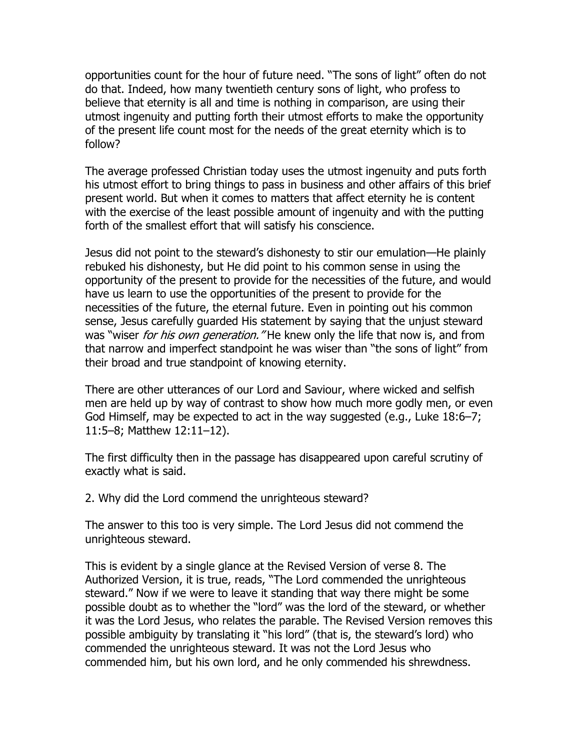opportunities count for the hour of future need. "The sons of light" often do not do that. Indeed, how many twentieth century sons of light, who profess to believe that eternity is all and time is nothing in comparison, are using their utmost ingenuity and putting forth their utmost efforts to make the opportunity of the present life count most for the needs of the great eternity which is to follow?

The average professed Christian today uses the utmost ingenuity and puts forth his utmost effort to bring things to pass in business and other affairs of this brief present world. But when it comes to matters that affect eternity he is content with the exercise of the least possible amount of ingenuity and with the putting forth of the smallest effort that will satisfy his conscience.

Jesus did not point to the steward's dishonesty to stir our emulation—He plainly rebuked his dishonesty, but He did point to his common sense in using the opportunity of the present to provide for the necessities of the future, and would have us learn to use the opportunities of the present to provide for the necessities of the future, the eternal future. Even in pointing out his common sense, Jesus carefully guarded His statement by saying that the unjust steward was "wiser for his own generation. "He knew only the life that now is, and from that narrow and imperfect standpoint he was wiser than "the sons of light" from their broad and true standpoint of knowing eternity.

There are other utterances of our Lord and Saviour, where wicked and selfish men are held up by way of contrast to show how much more godly men, or even God Himself, may be expected to act in the way suggested (e.g., Luke 18:6–7; 11:5–8; Matthew 12:11–12).

The first difficulty then in the passage has disappeared upon careful scrutiny of exactly what is said.

2. Why did the Lord commend the unrighteous steward?

The answer to this too is very simple. The Lord Jesus did not commend the unrighteous steward.

This is evident by a single glance at the Revised Version of verse 8. The Authorized Version, it is true, reads, "The Lord commended the unrighteous steward." Now if we were to leave it standing that way there might be some possible doubt as to whether the "lord" was the lord of the steward, or whether it was the Lord Jesus, who relates the parable. The Revised Version removes this possible ambiguity by translating it "his lord" (that is, the steward's lord) who commended the unrighteous steward. It was not the Lord Jesus who commended him, but his own lord, and he only commended his shrewdness.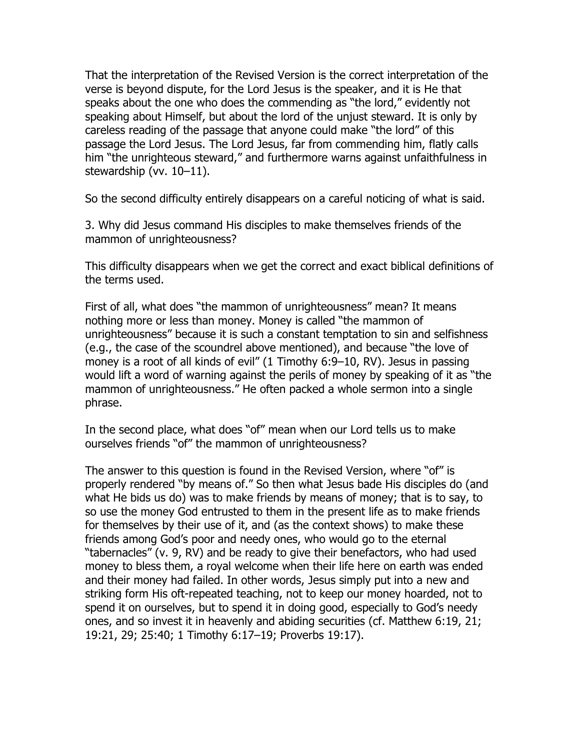That the interpretation of the Revised Version is the correct interpretation of the verse is beyond dispute, for the Lord Jesus is the speaker, and it is He that speaks about the one who does the commending as "the lord," evidently not speaking about Himself, but about the lord of the unjust steward. It is only by careless reading of the passage that anyone could make "the lord" of this passage the Lord Jesus. The Lord Jesus, far from commending him, flatly calls him "the unrighteous steward," and furthermore warns against unfaithfulness in stewardship (vv. 10–11).

So the second difficulty entirely disappears on a careful noticing of what is said.

3. Why did Jesus command His disciples to make themselves friends of the mammon of unrighteousness?

This difficulty disappears when we get the correct and exact biblical definitions of the terms used.

First of all, what does "the mammon of unrighteousness" mean? It means nothing more or less than money. Money is called "the mammon of unrighteousness" because it is such a constant temptation to sin and selfishness (e.g., the case of the scoundrel above mentioned), and because "the love of money is a root of all kinds of evil" (1 Timothy 6:9–10, RV). Jesus in passing would lift a word of warning against the perils of money by speaking of it as "the mammon of unrighteousness." He often packed a whole sermon into a single phrase.

In the second place, what does "of" mean when our Lord tells us to make ourselves friends "of" the mammon of unrighteousness?

The answer to this question is found in the Revised Version, where "of" is properly rendered "by means of." So then what Jesus bade His disciples do (and what He bids us do) was to make friends by means of money; that is to say, to so use the money God entrusted to them in the present life as to make friends for themselves by their use of it, and (as the context shows) to make these friends among God's poor and needy ones, who would go to the eternal "tabernacles" (v. 9, RV) and be ready to give their benefactors, who had used money to bless them, a royal welcome when their life here on earth was ended and their money had failed. In other words, Jesus simply put into a new and striking form His oft-repeated teaching, not to keep our money hoarded, not to spend it on ourselves, but to spend it in doing good, especially to God's needy ones, and so invest it in heavenly and abiding securities (cf. Matthew 6:19, 21; 19:21, 29; 25:40; 1 Timothy 6:17–19; Proverbs 19:17).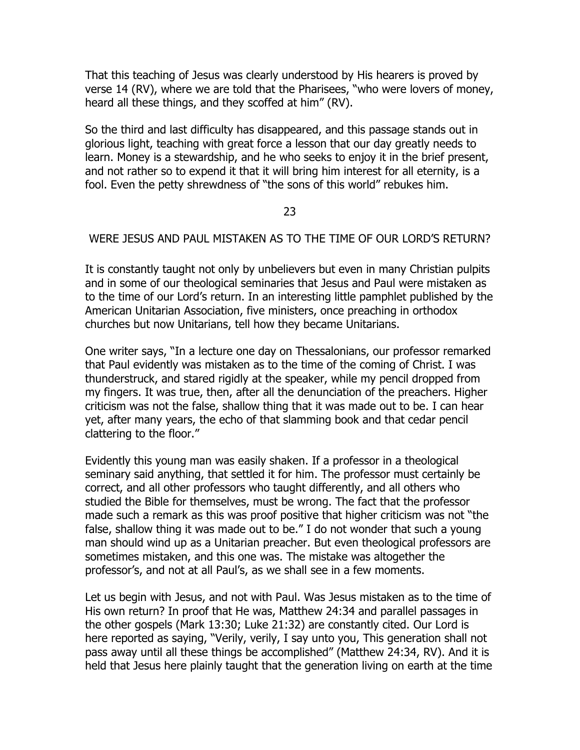That this teaching of Jesus was clearly understood by His hearers is proved by verse 14 (RV), where we are told that the Pharisees, "who were lovers of money, heard all these things, and they scoffed at him" (RV).

So the third and last difficulty has disappeared, and this passage stands out in glorious light, teaching with great force a lesson that our day greatly needs to learn. Money is a stewardship, and he who seeks to enjoy it in the brief present, and not rather so to expend it that it will bring him interest for all eternity, is a fool. Even the petty shrewdness of "the sons of this world" rebukes him.

## 23

## WERE JESUS AND PAUL MISTAKEN AS TO THE TIME OF OUR LORD'S RETURN?

It is constantly taught not only by unbelievers but even in many Christian pulpits and in some of our theological seminaries that Jesus and Paul were mistaken as to the time of our Lord's return. In an interesting little pamphlet published by the American Unitarian Association, five ministers, once preaching in orthodox churches but now Unitarians, tell how they became Unitarians.

One writer says, "In a lecture one day on Thessalonians, our professor remarked that Paul evidently was mistaken as to the time of the coming of Christ. I was thunderstruck, and stared rigidly at the speaker, while my pencil dropped from my fingers. It was true, then, after all the denunciation of the preachers. Higher criticism was not the false, shallow thing that it was made out to be. I can hear yet, after many years, the echo of that slamming book and that cedar pencil clattering to the floor."

Evidently this young man was easily shaken. If a professor in a theological seminary said anything, that settled it for him. The professor must certainly be correct, and all other professors who taught differently, and all others who studied the Bible for themselves, must be wrong. The fact that the professor made such a remark as this was proof positive that higher criticism was not "the false, shallow thing it was made out to be." I do not wonder that such a young man should wind up as a Unitarian preacher. But even theological professors are sometimes mistaken, and this one was. The mistake was altogether the professor's, and not at all Paul's, as we shall see in a few moments.

Let us begin with Jesus, and not with Paul. Was Jesus mistaken as to the time of His own return? In proof that He was, Matthew 24:34 and parallel passages in the other gospels (Mark 13:30; Luke 21:32) are constantly cited. Our Lord is here reported as saying, "Verily, verily, I say unto you, This generation shall not pass away until all these things be accomplished" (Matthew 24:34, RV). And it is held that Jesus here plainly taught that the generation living on earth at the time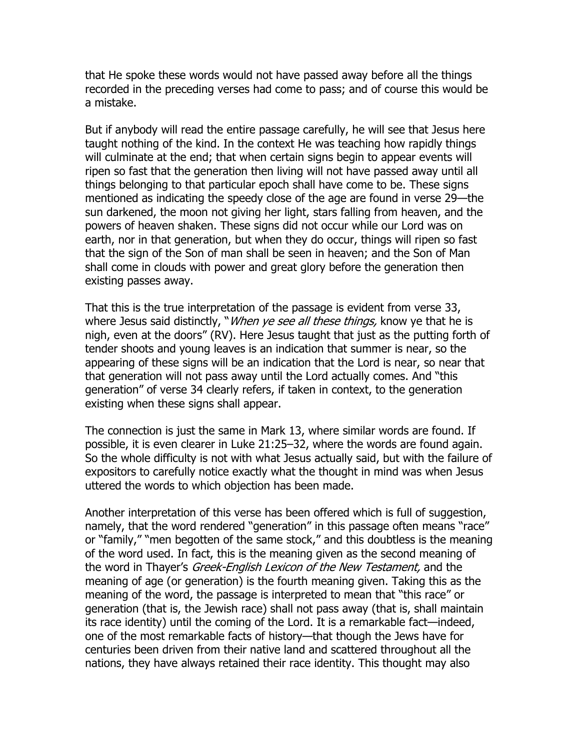that He spoke these words would not have passed away before all the things recorded in the preceding verses had come to pass; and of course this would be a mistake.

But if anybody will read the entire passage carefully, he will see that Jesus here taught nothing of the kind. In the context He was teaching how rapidly things will culminate at the end; that when certain signs begin to appear events will ripen so fast that the generation then living will not have passed away until all things belonging to that particular epoch shall have come to be. These signs mentioned as indicating the speedy close of the age are found in verse 29—the sun darkened, the moon not giving her light, stars falling from heaven, and the powers of heaven shaken. These signs did not occur while our Lord was on earth, nor in that generation, but when they do occur, things will ripen so fast that the sign of the Son of man shall be seen in heaven; and the Son of Man shall come in clouds with power and great glory before the generation then existing passes away.

That this is the true interpretation of the passage is evident from verse 33, where Jesus said distinctly, "*When ye see all these things,* know ye that he is nigh, even at the doors" (RV). Here Jesus taught that just as the putting forth of tender shoots and young leaves is an indication that summer is near, so the appearing of these signs will be an indication that the Lord is near, so near that that generation will not pass away until the Lord actually comes. And "this generation" of verse 34 clearly refers, if taken in context, to the generation existing when these signs shall appear.

The connection is just the same in Mark 13, where similar words are found. If possible, it is even clearer in Luke 21:25–32, where the words are found again. So the whole difficulty is not with what Jesus actually said, but with the failure of expositors to carefully notice exactly what the thought in mind was when Jesus uttered the words to which objection has been made.

Another interpretation of this verse has been offered which is full of suggestion, namely, that the word rendered "generation" in this passage often means "race" or "family," "men begotten of the same stock," and this doubtless is the meaning of the word used. In fact, this is the meaning given as the second meaning of the word in Thayer's *Greek-English Lexicon of the New Testament*, and the meaning of age (or generation) is the fourth meaning given. Taking this as the meaning of the word, the passage is interpreted to mean that "this race" or generation (that is, the Jewish race) shall not pass away (that is, shall maintain its race identity) until the coming of the Lord. It is a remarkable fact—indeed, one of the most remarkable facts of history—that though the Jews have for centuries been driven from their native land and scattered throughout all the nations, they have always retained their race identity. This thought may also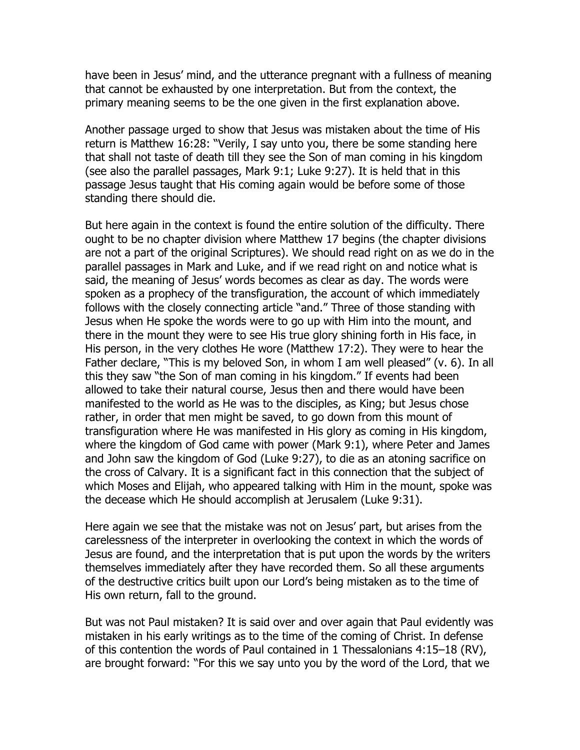have been in Jesus' mind, and the utterance pregnant with a fullness of meaning that cannot be exhausted by one interpretation. But from the context, the primary meaning seems to be the one given in the first explanation above.

Another passage urged to show that Jesus was mistaken about the time of His return is Matthew 16:28: "Verily, I say unto you, there be some standing here that shall not taste of death till they see the Son of man coming in his kingdom (see also the parallel passages, Mark 9:1; Luke 9:27). It is held that in this passage Jesus taught that His coming again would be before some of those standing there should die.

But here again in the context is found the entire solution of the difficulty. There ought to be no chapter division where Matthew 17 begins (the chapter divisions are not a part of the original Scriptures). We should read right on as we do in the parallel passages in Mark and Luke, and if we read right on and notice what is said, the meaning of Jesus' words becomes as clear as day. The words were spoken as a prophecy of the transfiguration, the account of which immediately follows with the closely connecting article "and." Three of those standing with Jesus when He spoke the words were to go up with Him into the mount, and there in the mount they were to see His true glory shining forth in His face, in His person, in the very clothes He wore (Matthew 17:2). They were to hear the Father declare, "This is my beloved Son, in whom I am well pleased" (v. 6). In all this they saw "the Son of man coming in his kingdom." If events had been allowed to take their natural course, Jesus then and there would have been manifested to the world as He was to the disciples, as King; but Jesus chose rather, in order that men might be saved, to go down from this mount of transfiguration where He was manifested in His glory as coming in His kingdom, where the kingdom of God came with power (Mark 9:1), where Peter and James and John saw the kingdom of God (Luke 9:27), to die as an atoning sacrifice on the cross of Calvary. It is a significant fact in this connection that the subject of which Moses and Elijah, who appeared talking with Him in the mount, spoke was the decease which He should accomplish at Jerusalem (Luke 9:31).

Here again we see that the mistake was not on Jesus' part, but arises from the carelessness of the interpreter in overlooking the context in which the words of Jesus are found, and the interpretation that is put upon the words by the writers themselves immediately after they have recorded them. So all these arguments of the destructive critics built upon our Lord's being mistaken as to the time of His own return, fall to the ground.

But was not Paul mistaken? It is said over and over again that Paul evidently was mistaken in his early writings as to the time of the coming of Christ. In defense of this contention the words of Paul contained in 1 Thessalonians 4:15–18 (RV), are brought forward: "For this we say unto you by the word of the Lord, that we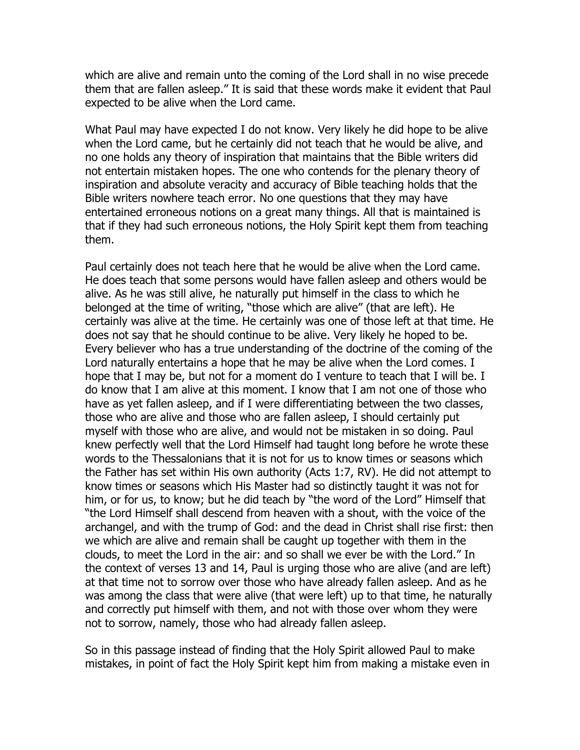which are alive and remain unto the coming of the Lord shall in no wise precede them that are fallen asleep." It is said that these words make it evident that Paul expected to be alive when the Lord came.

What Paul may have expected I do not know. Very likely he did hope to be alive when the Lord came, but he certainly did not teach that he would be alive, and no one holds any theory of inspiration that maintains that the Bible writers did not entertain mistaken hopes. The one who contends for the plenary theory of inspiration and absolute veracity and accuracy of Bible teaching holds that the Bible writers nowhere teach error. No one questions that they may have entertained erroneous notions on a great many things. All that is maintained is that if they had such erroneous notions, the Holy Spirit kept them from teaching them.

Paul certainly does not teach here that he would be alive when the Lord came. He does teach that some persons would have fallen asleep and others would be alive. As he was still alive, he naturally put himself in the class to which he belonged at the time of writing, "those which are alive" (that are left). He certainly was alive at the time. He certainly was one of those left at that time. He does not say that he should continue to be alive. Very likely he hoped to be. Every believer who has a true understanding of the doctrine of the coming of the Lord naturally entertains a hope that he may be alive when the Lord comes. I hope that I may be, but not for a moment do I venture to teach that I will be. I do know that I am alive at this moment. I know that I am not one of those who have as yet fallen asleep, and if I were differentiating between the two classes, those who are alive and those who are fallen asleep, I should certainly put myself with those who are alive, and would not be mistaken in so doing. Paul knew perfectly well that the Lord Himself had taught long before he wrote these words to the Thessalonians that it is not for us to know times or seasons which the Father has set within His own authority (Acts 1:7, RV). He did not attempt to know times or seasons which His Master had so distinctly taught it was not for him, or for us, to know; but he did teach by "the word of the Lord" Himself that "the Lord Himself shall descend from heaven with a shout, with the voice of the archangel, and with the trump of God: and the dead in Christ shall rise first: then we which are alive and remain shall be caught up together with them in the clouds, to meet the Lord in the air: and so shall we ever be with the Lord." In the context of verses 13 and 14, Paul is urging those who are alive (and are left) at that time not to sorrow over those who have already fallen asleep. And as he was among the class that were alive (that were left) up to that time, he naturally and correctly put himself with them, and not with those over whom they were not to sorrow, namely, those who had already fallen asleep.

So in this passage instead of finding that the Holy Spirit allowed Paul to make mistakes, in point of fact the Holy Spirit kept him from making a mistake even in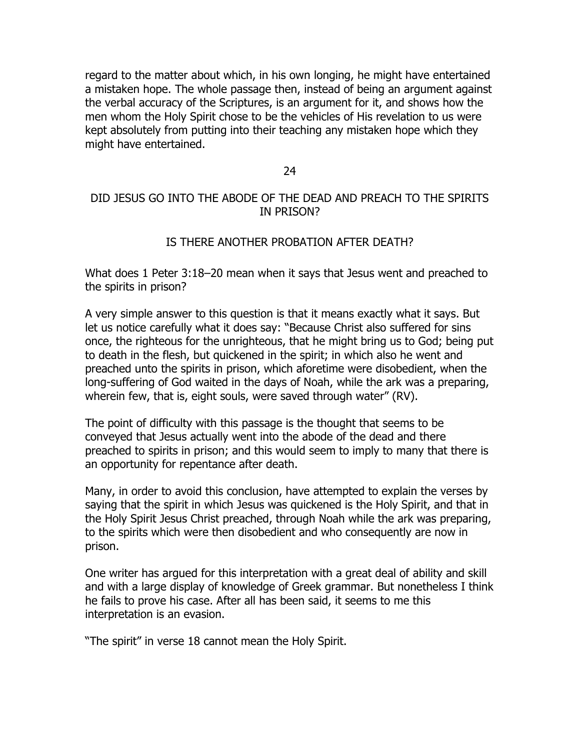regard to the matter about which, in his own longing, he might have entertained a mistaken hope. The whole passage then, instead of being an argument against the verbal accuracy of the Scriptures, is an argument for it, and shows how the men whom the Holy Spirit chose to be the vehicles of His revelation to us were kept absolutely from putting into their teaching any mistaken hope which they might have entertained.

24

## DID JESUS GO INTO THE ABODE OF THE DEAD AND PREACH TO THE SPIRITS IN PRISON?

## IS THERE ANOTHER PROBATION AFTER DEATH?

What does 1 Peter 3:18–20 mean when it says that Jesus went and preached to the spirits in prison?

A very simple answer to this question is that it means exactly what it says. But let us notice carefully what it does say: "Because Christ also suffered for sins once, the righteous for the unrighteous, that he might bring us to God; being put to death in the flesh, but quickened in the spirit; in which also he went and preached unto the spirits in prison, which aforetime were disobedient, when the long-suffering of God waited in the days of Noah, while the ark was a preparing, wherein few, that is, eight souls, were saved through water" (RV).

The point of difficulty with this passage is the thought that seems to be conveyed that Jesus actually went into the abode of the dead and there preached to spirits in prison; and this would seem to imply to many that there is an opportunity for repentance after death.

Many, in order to avoid this conclusion, have attempted to explain the verses by saying that the spirit in which Jesus was quickened is the Holy Spirit, and that in the Holy Spirit Jesus Christ preached, through Noah while the ark was preparing, to the spirits which were then disobedient and who consequently are now in prison.

One writer has argued for this interpretation with a great deal of ability and skill and with a large display of knowledge of Greek grammar. But nonetheless I think he fails to prove his case. After all has been said, it seems to me this interpretation is an evasion.

"The spirit" in verse 18 cannot mean the Holy Spirit.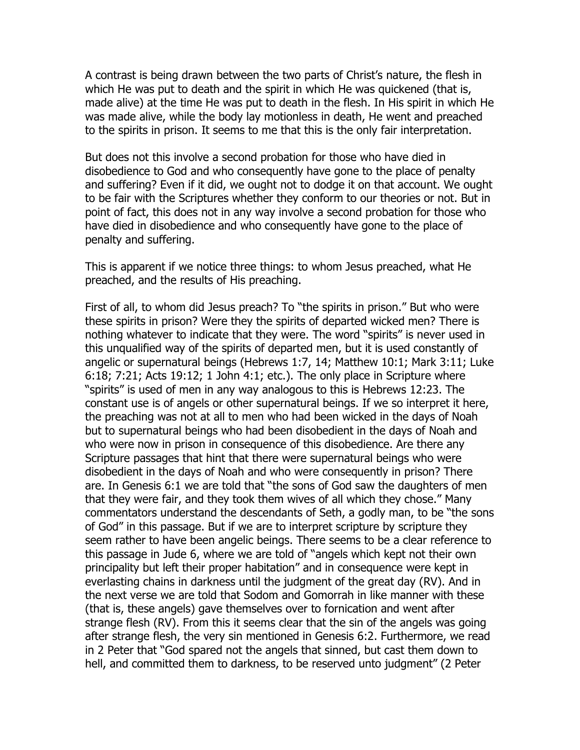A contrast is being drawn between the two parts of Christ's nature, the flesh in which He was put to death and the spirit in which He was quickened (that is, made alive) at the time He was put to death in the flesh. In His spirit in which He was made alive, while the body lay motionless in death, He went and preached to the spirits in prison. It seems to me that this is the only fair interpretation.

But does not this involve a second probation for those who have died in disobedience to God and who consequently have gone to the place of penalty and suffering? Even if it did, we ought not to dodge it on that account. We ought to be fair with the Scriptures whether they conform to our theories or not. But in point of fact, this does not in any way involve a second probation for those who have died in disobedience and who consequently have gone to the place of penalty and suffering.

This is apparent if we notice three things: to whom Jesus preached, what He preached, and the results of His preaching.

First of all, to whom did Jesus preach? To "the spirits in prison." But who were these spirits in prison? Were they the spirits of departed wicked men? There is nothing whatever to indicate that they were. The word "spirits" is never used in this unqualified way of the spirits of departed men, but it is used constantly of angelic or supernatural beings (Hebrews 1:7, 14; Matthew 10:1; Mark 3:11; Luke 6:18; 7:21; Acts 19:12; 1 John 4:1; etc.). The only place in Scripture where "spirits" is used of men in any way analogous to this is Hebrews 12:23. The constant use is of angels or other supernatural beings. If we so interpret it here, the preaching was not at all to men who had been wicked in the days of Noah but to supernatural beings who had been disobedient in the days of Noah and who were now in prison in consequence of this disobedience. Are there any Scripture passages that hint that there were supernatural beings who were disobedient in the days of Noah and who were consequently in prison? There are. In Genesis 6:1 we are told that "the sons of God saw the daughters of men that they were fair, and they took them wives of all which they chose." Many commentators understand the descendants of Seth, a godly man, to be "the sons of God" in this passage. But if we are to interpret scripture by scripture they seem rather to have been angelic beings. There seems to be a clear reference to this passage in Jude 6, where we are told of "angels which kept not their own principality but left their proper habitation" and in consequence were kept in everlasting chains in darkness until the judgment of the great day (RV). And in the next verse we are told that Sodom and Gomorrah in like manner with these (that is, these angels) gave themselves over to fornication and went after strange flesh (RV). From this it seems clear that the sin of the angels was going after strange flesh, the very sin mentioned in Genesis 6:2. Furthermore, we read in 2 Peter that "God spared not the angels that sinned, but cast them down to hell, and committed them to darkness, to be reserved unto judgment" (2 Peter